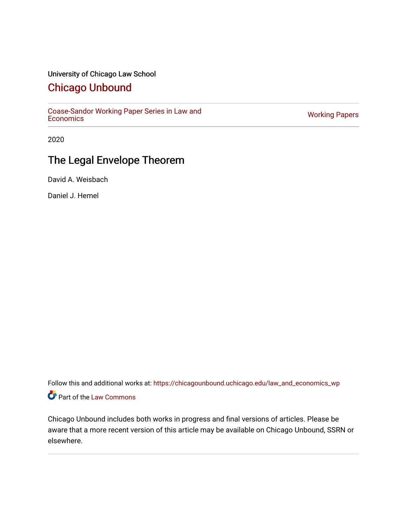## University of Chicago Law School

## [Chicago Unbound](https://chicagounbound.uchicago.edu/)

[Coase-Sandor Working Paper Series in Law and](https://chicagounbound.uchicago.edu/law_and_economics_wp) [Economics](https://chicagounbound.uchicago.edu/law_and_economics_wp) [Working Papers](https://chicagounbound.uchicago.edu/working_papers) 

2020

# The Legal Envelope Theorem

David A. Weisbach

Daniel J. Hemel

Follow this and additional works at: [https://chicagounbound.uchicago.edu/law\\_and\\_economics\\_wp](https://chicagounbound.uchicago.edu/law_and_economics_wp?utm_source=chicagounbound.uchicago.edu%2Flaw_and_economics_wp%2F26&utm_medium=PDF&utm_campaign=PDFCoverPages)  Part of the [Law Commons](http://network.bepress.com/hgg/discipline/578?utm_source=chicagounbound.uchicago.edu%2Flaw_and_economics_wp%2F26&utm_medium=PDF&utm_campaign=PDFCoverPages)

Chicago Unbound includes both works in progress and final versions of articles. Please be aware that a more recent version of this article may be available on Chicago Unbound, SSRN or elsewhere.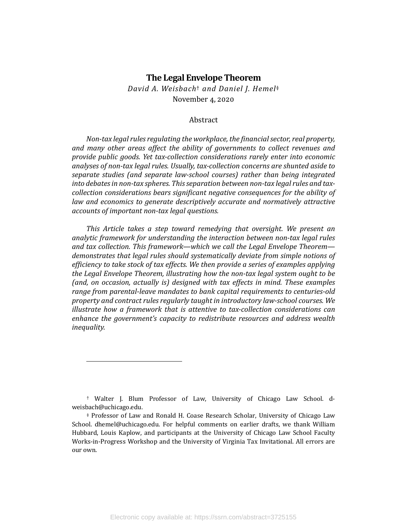## **The Legal Envelope Theorem**

*David A. Weisbach*† *and Daniel J. Hemel*‡ November 4, 2020

## Abstract

*Non-tax legal rules regulating the workplace, the financial sector, real property,* and many other areas affect the ability of governments to collect revenues and provide public goods. Yet tax-collection considerations rarely enter into economic *analyses of non-tax legal rules. Usually, tax-collection concerns are shunted aside to* separate studies (and separate law-school courses) rather than being integrated into debates in non-tax spheres. This separation between non-tax legal rules and tax*collection considerations bears significant negative consequences for the ability of law* and economics to generate descriptively accurate and normatively attractive *accounts of important non-tax legal questions.* 

This Article takes a step toward remedying that oversight. We present an analytic framework for understanding the interaction between non-tax legal rules and tax collection. This framework—which we call the Legal Envelope Theorem demonstrates that legal rules should systematically deviate from simple notions of *efficiency to take stock of tax effects. We then provide a series of examples applying the Legal Envelope Theorem, illustrating how the non-tax legal system ought to be* (and, on occasion, actually is) designed with tax effects in mind. These examples range from parental-leave mandates to bank capital requirements to centuries-old *property and contract rules regularly taught in introductory law-school courses. We illustrate how a framework that is attentive to tax-collection considerations can enhance the government's capacity to redistribute resources and address wealth inequality.*

<sup>†</sup> Walter J. Blum Professor of Law, University of Chicago Law School. dweisbach@uchicago.edu.

<sup>‡</sup> Professor of Law and Ronald H. Coase Research Scholar, University of Chicago Law School. dhemel@uchicago.edu. For helpful comments on earlier drafts, we thank William Hubbard, Louis Kaplow, and participants at the University of Chicago Law School Faculty Works-in-Progress Workshop and the University of Virginia Tax Invitational. All errors are our own.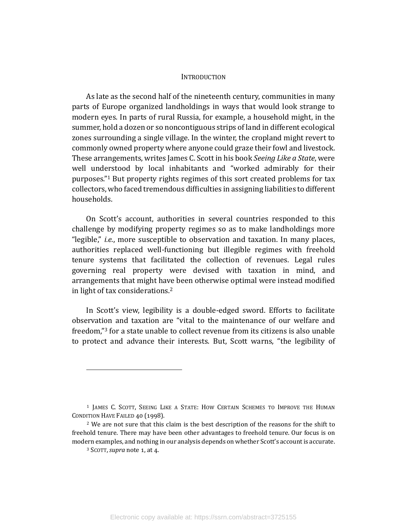#### **INTRODUCTION**

As late as the second half of the nineteenth century, communities in many parts of Europe organized landholdings in ways that would look strange to modern eyes. In parts of rural Russia, for example, a household might, in the summer, hold a dozen or so noncontiguous strips of land in different ecological zones surrounding a single village. In the winter, the cropland might revert to commonly owned property where anyone could graze their fowl and livestock. These arrangements, writes James C. Scott in his book *Seeing Like a State*, were well understood by local inhabitants and "worked admirably for their purposes."<sup>1</sup> But property rights regimes of this sort created problems for tax collectors, who faced tremendous difficulties in assigning liabilities to different households.

On Scott's account, authorities in several countries responded to this challenge by modifying property regimes so as to make landholdings more "legible," *i.e.*, more susceptible to observation and taxation. In many places, authorities replaced well-functioning but illegible regimes with freehold tenure systems that facilitated the collection of revenues. Legal rules governing real property were devised with taxation in mind, and arrangements that might have been otherwise optimal were instead modified in light of tax considerations.<sup>2</sup>

In Scott's view, legibility is a double-edged sword. Efforts to facilitate observation and taxation are "vital to the maintenance of our welfare and freedom,"<sup>3</sup> for a state unable to collect revenue from its citizens is also unable to protect and advance their interests. But, Scott warns, "the legibility of

<sup>&</sup>lt;sup>1</sup> JAMES C. SCOTT, SEEING LIKE A STATE: HOW CERTAIN SCHEMES TO IMPROVE THE HUMAN CONDITION HAVE FAILED 40 (1998).

 $2$  We are not sure that this claim is the best description of the reasons for the shift to freehold tenure. There may have been other advantages to freehold tenure. Our focus is on modern examples, and nothing in our analysis depends on whether Scott's account is accurate.

<sup>&</sup>lt;sup>3</sup> SCOTT, *supra* note 1, at 4.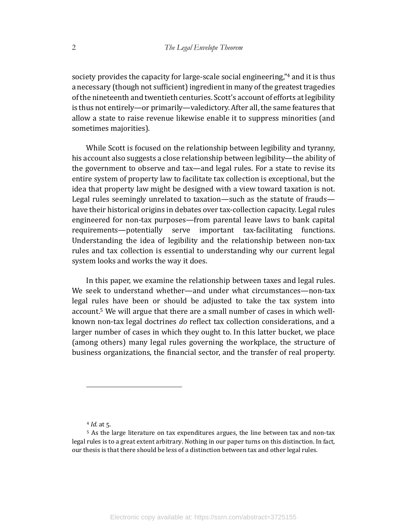society provides the capacity for large-scale social engineering," $4$  and it is thus a necessary (though not sufficient) ingredient in many of the greatest tragedies of the nineteenth and twentieth centuries. Scott's account of efforts at legibility is thus not entirely—or primarily—valedictory. After all, the same features that allow a state to raise revenue likewise enable it to suppress minorities (and sometimes majorities).

While Scott is focused on the relationship between legibility and tyranny, his account also suggests a close relationship between legibility—the ability of the government to observe and tax—and legal rules. For a state to revise its entire system of property law to facilitate tax collection is exceptional, but the idea that property law might be designed with a view toward taxation is not. Legal rules seemingly unrelated to taxation—such as the statute of frauds have their historical origins in debates over tax-collection capacity. Legal rules engineered for non-tax purposes—from parental leave laws to bank capital requirements—potentially serve important tax-facilitating functions. Understanding the idea of legibility and the relationship between non-tax rules and tax collection is essential to understanding why our current legal system looks and works the way it does.

In this paper, we examine the relationship between taxes and legal rules. We seek to understand whether—and under what circumstances—non-tax legal rules have been or should be adjusted to take the tax system into account.<sup>5</sup> We will argue that there are a small number of cases in which wellknown non-tax legal doctrines *do* reflect tax collection considerations, and a larger number of cases in which they ought to. In this latter bucket, we place (among others) many legal rules governing the workplace, the structure of business organizations, the financial sector, and the transfer of real property.

 $4$  *Id.* at 5.

<sup>&</sup>lt;sup>5</sup> As the large literature on tax expenditures argues, the line between tax and non-tax legal rules is to a great extent arbitrary. Nothing in our paper turns on this distinction. In fact, our thesis is that there should be less of a distinction between tax and other legal rules.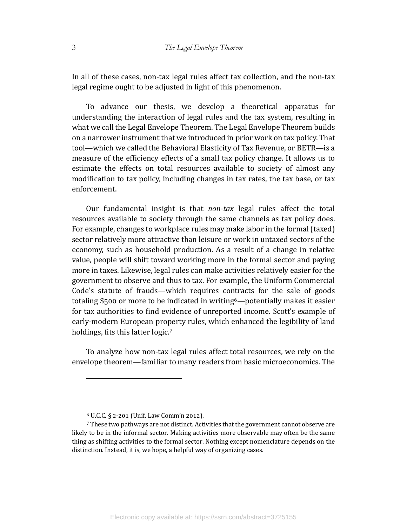In all of these cases, non-tax legal rules affect tax collection, and the non-tax legal regime ought to be adjusted in light of this phenomenon.

To advance our thesis, we develop a theoretical apparatus for understanding the interaction of legal rules and the tax system, resulting in what we call the Legal Envelope Theorem. The Legal Envelope Theorem builds on a narrower instrument that we introduced in prior work on tax policy. That tool—which we called the Behavioral Elasticity of Tax Revenue, or BETR—is a measure of the efficiency effects of a small tax policy change. It allows us to estimate the effects on total resources available to society of almost any modification to tax policy, including changes in tax rates, the tax base, or tax enforcement. 

Our fundamental insight is that *non-tax* legal rules affect the total resources available to society through the same channels as tax policy does. For example, changes to workplace rules may make labor in the formal (taxed) sector relatively more attractive than leisure or work in untaxed sectors of the economy, such as household production. As a result of a change in relative value, people will shift toward working more in the formal sector and paying more in taxes. Likewise, legal rules can make activities relatively easier for the government to observe and thus to tax. For example, the Uniform Commercial Code's statute of frauds—which requires contracts for the sale of goods totaling \$500 or more to be indicated in writing<sup>6</sup>—potentially makes it easier for tax authorities to find evidence of unreported income. Scott's example of early-modern European property rules, which enhanced the legibility of land holdings, fits this latter logic.<sup>7</sup>

To analyze how non-tax legal rules affect total resources, we rely on the envelope theorem—familiar to many readers from basic microeconomics. The

 $6$  U.C.C. § 2-201 (Unif. Law Comm'n 2012).

 $7$  These two pathways are not distinct. Activities that the government cannot observe are likely to be in the informal sector. Making activities more observable may often be the same thing as shifting activities to the formal sector. Nothing except nomenclature depends on the distinction. Instead, it is, we hope, a helpful way of organizing cases.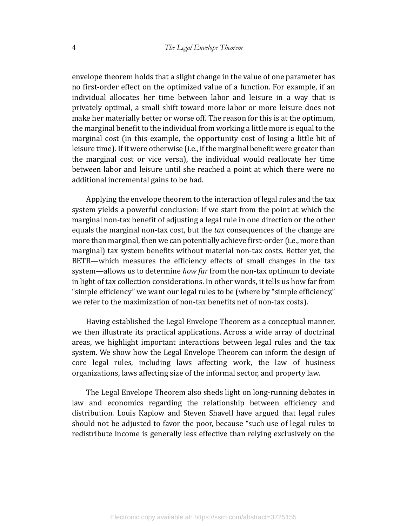envelope theorem holds that a slight change in the value of one parameter has no first-order effect on the optimized value of a function. For example, if an individual allocates her time between labor and leisure in a way that is privately optimal, a small shift toward more labor or more leisure does not make her materially better or worse off. The reason for this is at the optimum, the marginal benefit to the individual from working a little more is equal to the marginal cost (in this example, the opportunity cost of losing a little bit of leisure time). If it were otherwise (i.e., if the marginal benefit were greater than the marginal cost or vice versa), the individual would reallocate her time between labor and leisure until she reached a point at which there were no additional incremental gains to be had.

Applying the envelope theorem to the interaction of legal rules and the tax system yields a powerful conclusion: If we start from the point at which the marginal non-tax benefit of adjusting a legal rule in one direction or the other equals the marginal non-tax cost, but the tax consequences of the change are more than marginal, then we can potentially achieve first-order (i.e., more than marginal) tax system benefits without material non-tax costs. Better yet, the  $BETR$ —which measures the efficiency effects of small changes in the tax system—allows us to determine *how far* from the non-tax optimum to deviate in light of tax collection considerations. In other words, it tells us how far from "simple efficiency" we want our legal rules to be (where by "simple efficiency," we refer to the maximization of non-tax benefits net of non-tax costs).

Having established the Legal Envelope Theorem as a conceptual manner, we then illustrate its practical applications. Across a wide array of doctrinal areas, we highlight important interactions between legal rules and the tax system. We show how the Legal Envelope Theorem can inform the design of core legal rules, including laws affecting work, the law of business organizations, laws affecting size of the informal sector, and property law.

The Legal Envelope Theorem also sheds light on long-running debates in law and economics regarding the relationship between efficiency and distribution. Louis Kaplow and Steven Shavell have argued that legal rules should not be adjusted to favor the poor, because "such use of legal rules to redistribute income is generally less effective than relying exclusively on the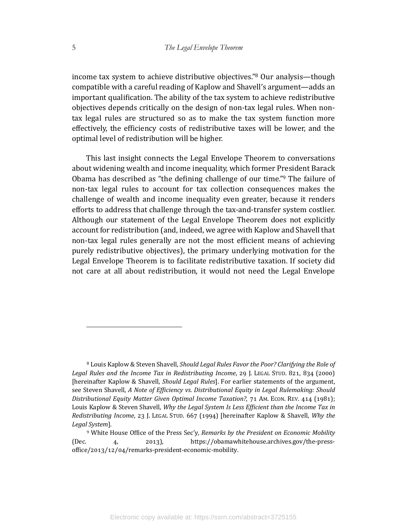income tax system to achieve distributive objectives."<sup>8</sup> Our analysis—though compatible with a careful reading of Kaplow and Shavell's argument—adds an important qualification. The ability of the tax system to achieve redistributive objectives depends critically on the design of non-tax legal rules. When nontax legal rules are structured so as to make the tax system function more effectively, the efficiency costs of redistributive taxes will be lower, and the optimal level of redistribution will be higher.

This last insight connects the Legal Envelope Theorem to conversations about widening wealth and income inequality, which former President Barack Obama has described as "the defining challenge of our time."<sup>9</sup> The failure of non-tax legal rules to account for tax collection consequences makes the challenge of wealth and income inequality even greater, because it renders efforts to address that challenge through the tax-and-transfer system costlier. Although our statement of the Legal Envelope Theorem does not explicitly account for redistribution (and, indeed, we agree with Kaplow and Shavell that non-tax legal rules generally are not the most efficient means of achieving purely redistributive objectives), the primary underlying motivation for the Legal Envelope Theorem is to facilitate redistributive taxation. If society did not care at all about redistribution, it would not need the Legal Envelope

<sup>&</sup>lt;sup>8</sup> Louis Kaplow & Steven Shavell, *Should Legal Rules Favor the Poor? Clarifying the Role of Legal Rules and the Income Tax in Redistributing Income,* 29 J. LEGAL STUD. 821, 834 (2000) [hereinafter Kaplow & Shavell, *Should Legal Rules*]. For earlier statements of the argument, see Steven Shavell, *A Note of Efficiency vs. Distributional Equity in Legal Rulemaking: Should Distributional Equity Matter Given Optimal Income Taxation?*, 71 AM. ECON. REV. 414 (1981); Louis Kaplow & Steven Shavell, *Why the Legal System Is Less Efficient than the Income Tax in Redistributing Income,* 23 J. LEGAL STUD. 667 (1994) [hereinafter Kaplow & Shavell, *Why the Legal System*].

<sup>&</sup>lt;sup>9</sup> White House Office of the Press Sec'y, Remarks by the President on Economic Mobility (Dec. 4, 2013), https://obamawhitehouse.archives.gov/the-pressoffice/2013/12/04/remarks-president-economic-mobility.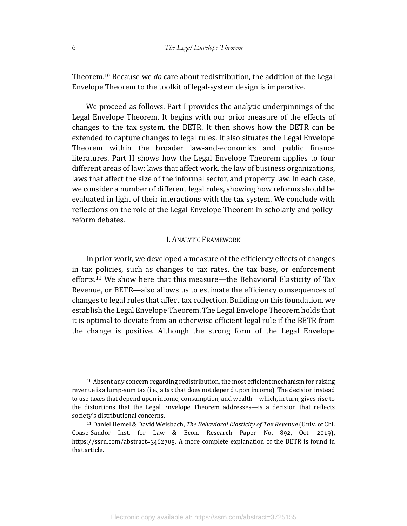Theorem.<sup>10</sup> Because we *do* care about redistribution, the addition of the Legal Envelope Theorem to the toolkit of legal-system design is imperative.

We proceed as follows. Part I provides the analytic underpinnings of the Legal Envelope Theorem. It begins with our prior measure of the effects of changes to the tax system, the BETR. It then shows how the BETR can be extended to capture changes to legal rules. It also situates the Legal Envelope Theorem within the broader law-and-economics and public finance literatures. Part II shows how the Legal Envelope Theorem applies to four different areas of law: laws that affect work, the law of business organizations, laws that affect the size of the informal sector, and property law. In each case, we consider a number of different legal rules, showing how reforms should be evaluated in light of their interactions with the tax system. We conclude with reflections on the role of the Legal Envelope Theorem in scholarly and policyreform debates.

## **I. ANALYTIC FRAMEWORK**

In prior work, we developed a measure of the efficiency effects of changes in tax policies, such as changes to tax rates, the tax base, or enforcement efforts.<sup>11</sup> We show here that this measure—the Behavioral Elasticity of Tax Revenue, or BETR—also allows us to estimate the efficiency consequences of changes to legal rules that affect tax collection. Building on this foundation, we establish the Legal Envelope Theorem. The Legal Envelope Theorem holds that it is optimal to deviate from an otherwise efficient legal rule if the BETR from the change is positive. Although the strong form of the Legal Envelope

 $10$  Absent any concern regarding redistribution, the most efficient mechanism for raising revenue is a lump-sum tax (i.e., a tax that does not depend upon income). The decision instead to use taxes that depend upon income, consumption, and wealth—which, in turn, gives rise to the distortions that the Legal Envelope Theorem addresses—is a decision that reflects society's distributional concerns.

<sup>&</sup>lt;sup>11</sup> Daniel Hemel & David Weisbach, *The Behavioral Elasticity of Tax Revenue* (Univ. of Chi. Coase-Sandor Inst. for Law & Econ. Research Paper No. 892, Oct. 2019), https://ssrn.com/abstract=3462705. A more complete explanation of the BETR is found in that article.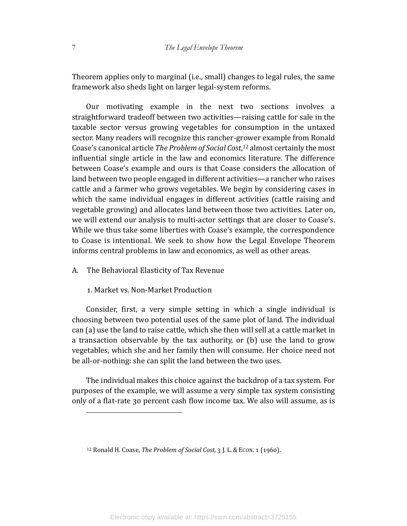Theorem applies only to marginal (i.e., small) changes to legal rules, the same framework also sheds light on larger legal-system reforms.

Our motivating example in the next two sections involves a straightforward tradeoff between two activities—raising cattle for sale in the taxable sector versus growing vegetables for consumption in the untaxed sector. Many readers will recognize this rancher-grower example from Ronald Coase's canonical article *The Problem of Social Cost*,<sup>12</sup> almost certainly the most influential single article in the law and economics literature. The difference between Coase's example and ours is that Coase considers the allocation of land between two people engaged in different activities—a rancher who raises cattle and a farmer who grows vegetables. We begin by considering cases in which the same individual engages in different activities (cattle raising and vegetable growing) and allocates land between those two activities. Later on, we will extend our analysis to multi-actor settings that are closer to Coase's. While we thus take some liberties with Coase's example, the correspondence to Coase is intentional. We seek to show how the Legal Envelope Theorem informs central problems in law and economics, as well as other areas.

## A. The Behavioral Elasticity of Tax Revenue

## 1. Market vs. Non-Market Production

Consider, first, a very simple setting in which a single individual is choosing between two potential uses of the same plot of land. The individual can (a) use the land to raise cattle, which she then will sell at a cattle market in a transaction observable by the tax authority, or  $(b)$  use the land to grow vegetables, which she and her family then will consume. Her choice need not be all-or-nothing: she can split the land between the two uses.

The individual makes this choice against the backdrop of a tax system. For purposes of the example, we will assume a very simple tax system consisting only of a flat-rate 30 percent cash flow income tax. We also will assume, as is

<sup>&</sup>lt;sup>12</sup> Ronald H. Coase, *The Problem of Social Cost*, 3 J. L. & ECON. 1 (1960).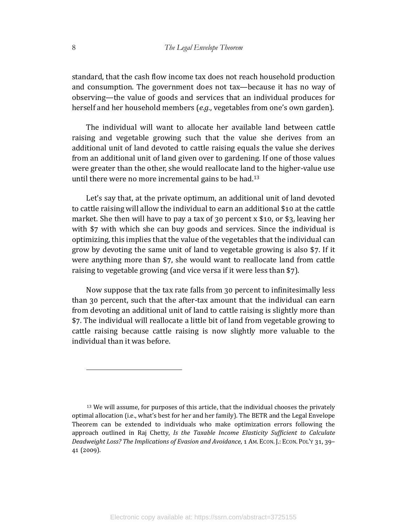standard, that the cash flow income tax does not reach household production and consumption. The government does not tax—because it has no way of observing—the value of goods and services that an individual produces for herself and her household members (*e.g.*, vegetables from one's own garden).

The individual will want to allocate her available land between cattle raising and vegetable growing such that the value she derives from an additional unit of land devoted to cattle raising equals the value she derives from an additional unit of land given over to gardening. If one of those values were greater than the other, she would reallocate land to the higher-value use until there were no more incremental gains to be had.<sup>13</sup>

Let's say that, at the private optimum, an additional unit of land devoted to cattle raising will allow the individual to earn an additional \$10 at the cattle market. She then will have to pay a tax of 30 percent x \$10, or \$3, leaving her with  $$7$  with which she can buy goods and services. Since the individual is optimizing, this implies that the value of the vegetables that the individual can grow by devoting the same unit of land to vegetable growing is also  $$7$ . If it were anything more than  $$7$ , she would want to reallocate land from cattle raising to vegetable growing (and vice versa if it were less than \$7).

Now suppose that the tax rate falls from 30 percent to infinitesimally less than 30 percent, such that the after-tax amount that the individual can earn from devoting an additional unit of land to cattle raising is slightly more than \$7. The individual will reallocate a little bit of land from vegetable growing to cattle raising because cattle raising is now slightly more valuable to the individual than it was before.

<sup>&</sup>lt;sup>13</sup> We will assume, for purposes of this article, that the individual chooses the privately optimal allocation (i.e., what's best for her and her family). The BETR and the Legal Envelope Theorem can be extended to individuals who make optimization errors following the approach outlined in Raj Chetty, *Is the Taxable Income Elasticity Sufficient to Calculate Deadweight Loss? The Implications of Evasion and Avoidance*, 1 AM. ECON. J.: ECON. POL'Y 31, 39- $41(2009)$ .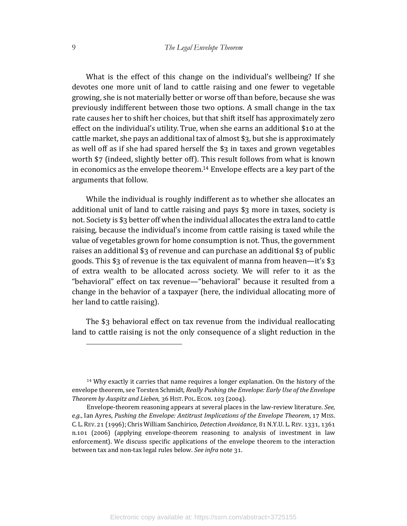What is the effect of this change on the individual's wellbeing? If she devotes one more unit of land to cattle raising and one fewer to vegetable growing, she is not materially better or worse off than before, because she was previously indifferent between those two options. A small change in the tax rate causes her to shift her choices, but that shift itself has approximately zero effect on the individual's utility. True, when she earns an additional \$10 at the cattle market, she pays an additional tax of almost  $\S$ 3, but she is approximately as well off as if she had spared herself the  $\S$ 3 in taxes and grown vegetables worth  $$7$  (indeed, slightly better off). This result follows from what is known in economics as the envelope theorem.<sup>14</sup> Envelope effects are a key part of the arguments that follow.

While the individual is roughly indifferent as to whether she allocates an additional unit of land to cattle raising and pays  $$3$  more in taxes, society is not. Society is \$3 better off when the individual allocates the extra land to cattle raising, because the individual's income from cattle raising is taxed while the value of vegetables grown for home consumption is not. Thus, the government raises an additional  $\S$ 3 of revenue and can purchase an additional  $\S$ 3 of public goods. This \$3 of revenue is the tax equivalent of manna from heaven—it's  $$3$ of extra wealth to be allocated across society. We will refer to it as the "behavioral" effect on tax revenue—"behavioral" because it resulted from a change in the behavior of a taxpayer (here, the individual allocating more of her land to cattle raising).

The  $$3$  behavioral effect on tax revenue from the individual reallocating land to cattle raising is not the only consequence of a slight reduction in the

 $14$  Why exactly it carries that name requires a longer explanation. On the history of the envelope theorem, see Torsten Schmidt, *Really Pushing the Envelope: Early Use of the Envelope Theorem by Auspitz and Lieben*, 36 HIST. POL. ECON. 103 (2004).

Envelope-theorem reasoning appears at several places in the law-review literature. See, *e.g.*, Ian Ayres, Pushing the Envelope: Antitrust Implications of the Envelope Theorem, 17 MISS. C. L. REV. 21 (1996); Chris William Sanchirico, *Detection Avoidance*, 81 N.Y.U. L. REV. 1331, 1361 n.101 (2006) (applying envelope-theorem reasoning to analysis of investment in law enforcement). We discuss specific applications of the envelope theorem to the interaction between tax and non-tax legal rules below. See infra note 31.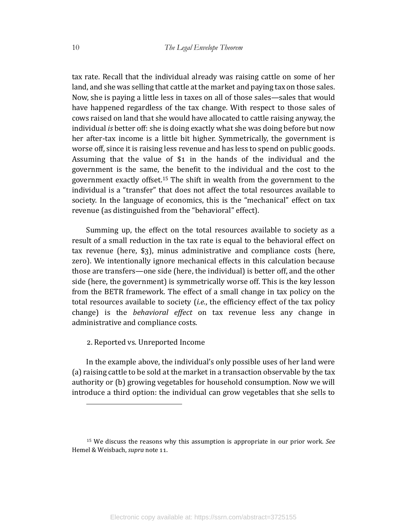tax rate. Recall that the individual already was raising cattle on some of her land, and she was selling that cattle at the market and paying tax on those sales. Now, she is paying a little less in taxes on all of those sales—sales that would have happened regardless of the tax change. With respect to those sales of cows raised on land that she would have allocated to cattle raising anyway, the individual *is* better off: she is doing exactly what she was doing before but now her after-tax income is a little bit higher. Symmetrically, the government is worse off, since it is raising less revenue and has less to spend on public goods. Assuming that the value of  $\$1$  in the hands of the individual and the government is the same, the benefit to the individual and the cost to the government exactly offset.<sup>15</sup> The shift in wealth from the government to the individual is a "transfer" that does not affect the total resources available to society. In the language of economics, this is the "mechanical" effect on tax revenue (as distinguished from the "behavioral" effect).

Summing up, the effect on the total resources available to society as a result of a small reduction in the tax rate is equal to the behavioral effect on tax revenue (here,  $\S$ 3), minus administrative and compliance costs (here, zero). We intentionally ignore mechanical effects in this calculation because those are transfers—one side (here, the individual) is better off, and the other side (here, the government) is symmetrically worse off. This is the key lesson from the BETR framework. The effect of a small change in tax policy on the total resources available to society (*i.e.*, the efficiency effect of the tax policy change) is the *behavioral effect* on tax revenue less any change in administrative and compliance costs.

#### 2. Reported vs. Unreported Income

In the example above, the individual's only possible uses of her land were (a) raising cattle to be sold at the market in a transaction observable by the tax authority or (b) growing vegetables for household consumption. Now we will introduce a third option: the individual can grow vegetables that she sells to

<sup>&</sup>lt;sup>15</sup> We discuss the reasons why this assumption is appropriate in our prior work. See Hemel & Weisbach, *supra* note 11.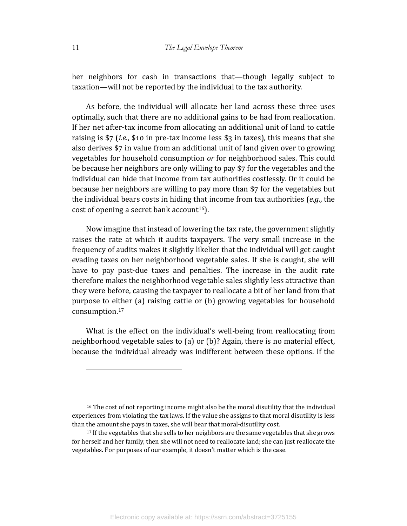her neighbors for cash in transactions that—though legally subject to taxation—will not be reported by the individual to the tax authority.

As before, the individual will allocate her land across these three uses optimally, such that there are no additional gains to be had from reallocation. If her net after-tax income from allocating an additional unit of land to cattle raising is  $\frac{1}{2}$  (*i.e.*,  $\frac{1}{2}$  in pre-tax income less  $\frac{1}{2}$  in taxes), this means that she also derives \$7 in value from an additional unit of land given over to growing vegetables for household consumption *or* for neighborhood sales. This could be because her neighbors are only willing to pay \$7 for the vegetables and the individual can hide that income from tax authorities costlessly. Or it could be because her neighbors are willing to pay more than \$7 for the vegetables but the individual bears costs in hiding that income from tax authorities (*e.g.*, the cost of opening a secret bank account<sup>16</sup>).

Now imagine that instead of lowering the tax rate, the government slightly raises the rate at which it audits taxpayers. The very small increase in the frequency of audits makes it slightly likelier that the individual will get caught evading taxes on her neighborhood vegetable sales. If she is caught, she will have to pay past-due taxes and penalties. The increase in the audit rate therefore makes the neighborhood vegetable sales slightly less attractive than they were before, causing the taxpayer to reallocate a bit of her land from that purpose to either (a) raising cattle or (b) growing vegetables for household consumption.17

What is the effect on the individual's well-being from reallocating from neighborhood vegetable sales to  $(a)$  or  $(b)$ ? Again, there is no material effect, because the individual already was indifferent between these options. If the

<sup>&</sup>lt;sup>16</sup> The cost of not reporting income might also be the moral disutility that the individual experiences from violating the tax laws. If the value she assigns to that moral disutility is less than the amount she pays in taxes, she will bear that moral-disutility cost.

<sup>&</sup>lt;sup>17</sup> If the vegetables that she sells to her neighbors are the same vegetables that she grows for herself and her family, then she will not need to reallocate land; she can just reallocate the vegetables. For purposes of our example, it doesn't matter which is the case.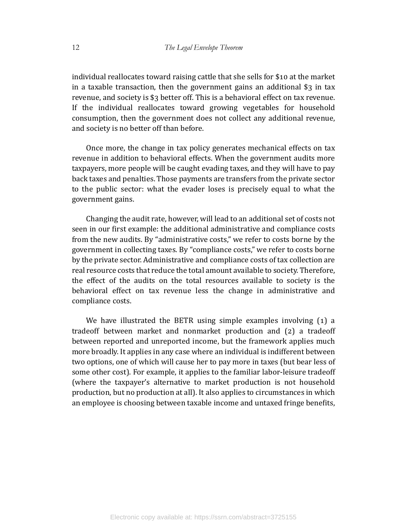individual reallocates toward raising cattle that she sells for \$10 at the market in a taxable transaction, then the government gains an additional  $\S$ 3 in tax revenue, and society is  $\S$ 3 better off. This is a behavioral effect on tax revenue. If the individual reallocates toward growing vegetables for household consumption, then the government does not collect any additional revenue, and society is no better off than before.

Once more, the change in tax policy generates mechanical effects on tax revenue in addition to behavioral effects. When the government audits more taxpayers, more people will be caught evading taxes, and they will have to pay back taxes and penalties. Those payments are transfers from the private sector to the public sector: what the evader loses is precisely equal to what the government gains.

Changing the audit rate, however, will lead to an additional set of costs not seen in our first example: the additional administrative and compliance costs from the new audits. By "administrative costs," we refer to costs borne by the government in collecting taxes. By "compliance costs," we refer to costs borne by the private sector. Administrative and compliance costs of tax collection are real resource costs that reduce the total amount available to society. Therefore, the effect of the audits on the total resources available to society is the behavioral effect on tax revenue less the change in administrative and compliance costs.

We have illustrated the BETR using simple examples involving  $(1)$  a tradeoff between market and nonmarket production and  $(2)$  a tradeoff between reported and unreported income, but the framework applies much more broadly. It applies in any case where an individual is indifferent between two options, one of which will cause her to pay more in taxes (but bear less of some other cost). For example, it applies to the familiar labor-leisure tradeoff (where the taxpayer's alternative to market production is not household production, but no production at all). It also applies to circumstances in which an employee is choosing between taxable income and untaxed fringe benefits,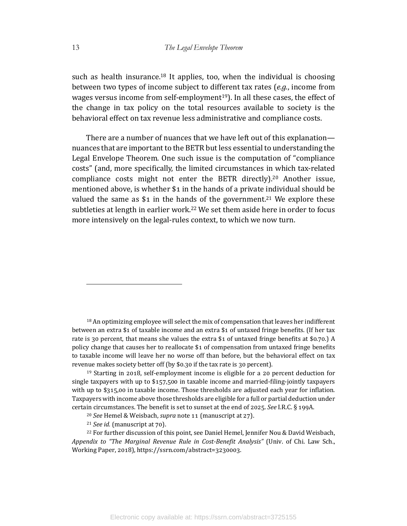such as health insurance.<sup>18</sup> It applies, too, when the individual is choosing between two types of income subject to different tax rates (*e.g.*, income from wages versus income from self-employment<sup>19</sup>). In all these cases, the effect of the change in tax policy on the total resources available to society is the behavioral effect on tax revenue less administrative and compliance costs.

There are a number of nuances that we have left out of this explanation nuances that are important to the BETR but less essential to understanding the Legal Envelope Theorem. One such issue is the computation of "compliance" costs" (and, more specifically, the limited circumstances in which tax-related compliance costs might not enter the BETR directly).<sup>20</sup> Another issue, mentioned above, is whether  $$1$  in the hands of a private individual should be valued the same as  $$1$  in the hands of the government.<sup>21</sup> We explore these subtleties at length in earlier work.<sup>22</sup> We set them aside here in order to focus more intensively on the legal-rules context, to which we now turn.

<sup>18</sup> An optimizing employee will select the mix of compensation that leaves her indifferent between an extra \$1 of taxable income and an extra \$1 of untaxed fringe benefits. (If her tax rate is 30 percent, that means she values the extra \$1 of untaxed fringe benefits at \$0.70.) A policy change that causes her to reallocate  $$1$  of compensation from untaxed fringe benefits to taxable income will leave her no worse off than before, but the behavioral effect on tax revenue makes society better off (by \$0.30 if the tax rate is 30 percent).

 $19$  Starting in 2018, self-employment income is eligible for a 20 percent deduction for single taxpayers with up to  $$157,500$  in taxable income and married-filing-jointly taxpayers with up to  $$315,00$  in taxable income. Those thresholds are adjusted each year for inflation. Taxpayers with income above those thresholds are eligible for a full or partial deduction under certain circumstances. The benefit is set to sunset at the end of 2025. See I.R.C. § 199A.

<sup>22</sup> For further discussion of this point, see Daniel Hemel, Jennifer Nou & David Weisbach, *Appendix to "The Marginal Revenue Rule in Cost-Benefit Analysis"* (Univ. of Chi. Law Sch., Working Paper, 2018), https://ssrn.com/abstract=3230003.

<sup>&</sup>lt;sup>20</sup> See Hemel & Weisbach, *supra* note 11 (manuscript at 27).

<sup>&</sup>lt;sup>21</sup> *See id.* (manuscript at 70).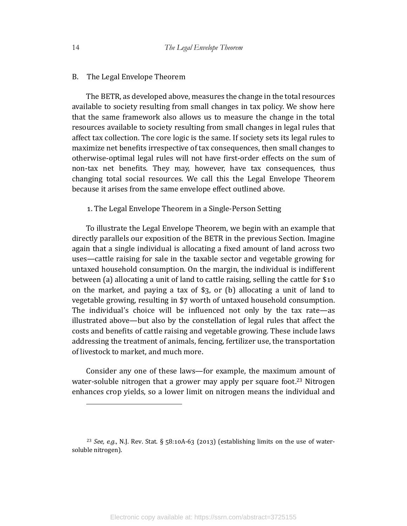#### B. The Legal Envelope Theorem

The BETR, as developed above, measures the change in the total resources available to society resulting from small changes in tax policy. We show here that the same framework also allows us to measure the change in the total resources available to society resulting from small changes in legal rules that affect tax collection. The core logic is the same. If society sets its legal rules to maximize net benefits irrespective of tax consequences, then small changes to otherwise-optimal legal rules will not have first-order effects on the sum of non-tax net benefits. They may, however, have tax consequences, thus changing total social resources. We call this the Legal Envelope Theorem because it arises from the same envelope effect outlined above.

#### 1. The Legal Envelope Theorem in a Single-Person Setting

To illustrate the Legal Envelope Theorem, we begin with an example that directly parallels our exposition of the BETR in the previous Section. Imagine again that a single individual is allocating a fixed amount of land across two uses—cattle raising for sale in the taxable sector and vegetable growing for untaxed household consumption. On the margin, the individual is indifferent between (a) allocating a unit of land to cattle raising, selling the cattle for  $$10$ on the market, and paying a tax of  $\S$ , or (b) allocating a unit of land to vegetable growing, resulting in \$7 worth of untaxed household consumption. The individual's choice will be influenced not only by the tax rate—as illustrated above—but also by the constellation of legal rules that affect the costs and benefits of cattle raising and vegetable growing. These include laws addressing the treatment of animals, fencing, fertilizer use, the transportation of livestock to market, and much more.

Consider any one of these laws—for example, the maximum amount of water-soluble nitrogen that a grower may apply per square foot.<sup>23</sup> Nitrogen enhances crop yields, so a lower limit on nitrogen means the individual and

<sup>&</sup>lt;sup>23</sup> *See, e.g.*, N.J. Rev. Stat. §  $58:10A-63$  (2013) (establishing limits on the use of watersoluble nitrogen).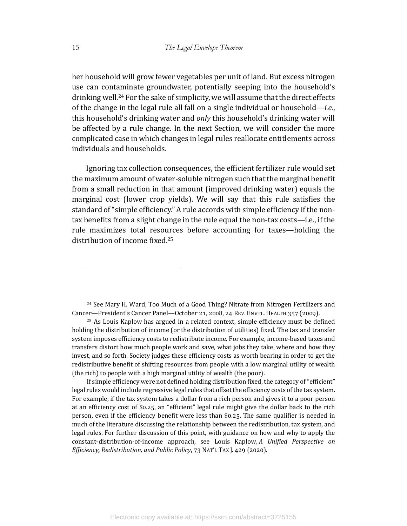her household will grow fewer vegetables per unit of land. But excess nitrogen use can contaminate groundwater, potentially seeping into the household's drinking well.<sup>24</sup> For the sake of simplicity, we will assume that the direct effects of the change in the legal rule all fall on a single individual or household—*i.e.*, this household's drinking water and *only* this household's drinking water will be affected by a rule change. In the next Section, we will consider the more complicated case in which changes in legal rules reallocate entitlements across individuals and households.

Ignoring tax collection consequences, the efficient fertilizer rule would set the maximum amount of water-soluble nitrogen such that the marginal benefit from a small reduction in that amount (improved drinking water) equals the marginal cost (lower crop yields). We will say that this rule satisfies the standard of "simple efficiency." A rule accords with simple efficiency if the nontax benefits from a slight change in the rule equal the non-tax costs—i.e., if the rule maximizes total resources before accounting for taxes—holding the distribution of income fixed.<sup>25</sup>

<sup>24</sup> See Mary H. Ward, Too Much of a Good Thing? Nitrate from Nitrogen Fertilizers and Cancer—President's Cancer Panel—October 21, 2008, 24 REV. ENVTL. HEALTH 357 (2009).

 $25$  As Louis Kaplow has argued in a related context, simple efficiency must be defined holding the distribution of income (or the distribution of utilities) fixed. The tax and transfer system imposes efficiency costs to redistribute income. For example, income-based taxes and transfers distort how much people work and save, what jobs they take, where and how they invest, and so forth. Society judges these efficiency costs as worth bearing in order to get the redistributive benefit of shifting resources from people with a low marginal utility of wealth (the rich) to people with a high marginal utility of wealth (the poor).

If simple efficiency were not defined holding distribution fixed, the category of "efficient" legal rules would include regressive legal rules that offset the efficiency costs of the tax system. For example, if the tax system takes a dollar from a rich person and gives it to a poor person at an efficiency cost of \$0.25, an "efficient" legal rule might give the dollar back to the rich person, even if the efficiency benefit were less than \$0.25. The same qualifier is needed in much of the literature discussing the relationship between the redistribution, tax system, and legal rules. For further discussion of this point, with guidance on how and why to apply the constant-distribution-of-income approach, see Louis Kaplow, *A* Unified Perspective on *Efficiency, Redistribution, and Public Policy,* 73 NAT'L TAX J. 429 (2020).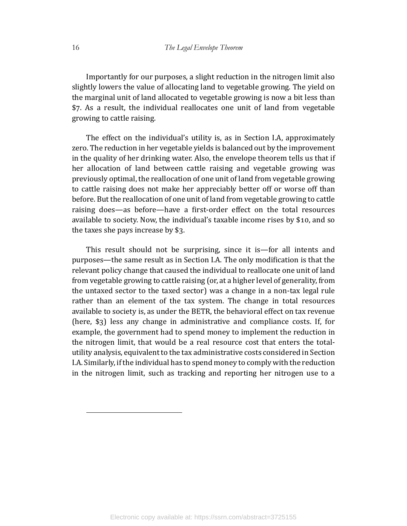Importantly for our purposes, a slight reduction in the nitrogen limit also slightly lowers the value of allocating land to vegetable growing. The yield on the marginal unit of land allocated to vegetable growing is now a bit less than \$7. As a result, the individual reallocates one unit of land from vegetable growing to cattle raising.

The effect on the individual's utility is, as in Section I.A, approximately zero. The reduction in her vegetable yields is balanced out by the improvement in the quality of her drinking water. Also, the envelope theorem tells us that if her allocation of land between cattle raising and vegetable growing was previously optimal, the reallocation of one unit of land from vegetable growing to cattle raising does not make her appreciably better off or worse off than before. But the reallocation of one unit of land from vegetable growing to cattle raising does—as before—have a first-order effect on the total resources available to society. Now, the individual's taxable income rises by \$10, and so the taxes she pays increase by  $$3.$ 

This result should not be surprising, since it is—for all intents and purposes—the same result as in Section I.A. The only modification is that the relevant policy change that caused the individual to reallocate one unit of land from vegetable growing to cattle raising (or, at a higher level of generality, from the untaxed sector to the taxed sector) was a change in a non-tax legal rule rather than an element of the tax system. The change in total resources available to society is, as under the BETR, the behavioral effect on tax revenue (here,  $\S$ 3) less any change in administrative and compliance costs. If, for example, the government had to spend money to implement the reduction in the nitrogen limit, that would be a real resource cost that enters the totalutility analysis, equivalent to the tax administrative costs considered in Section I.A. Similarly, if the individual has to spend money to comply with the reduction in the nitrogen limit, such as tracking and reporting her nitrogen use to a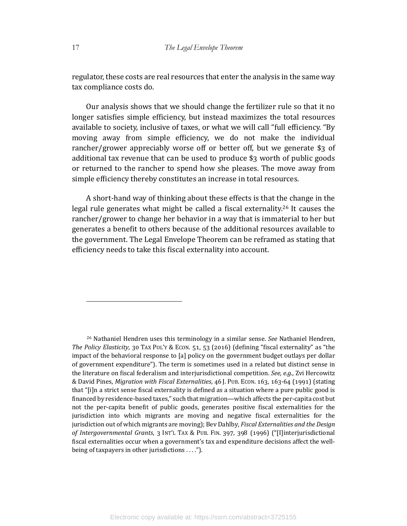regulator, these costs are real resources that enter the analysis in the same way tax compliance costs do.

Our analysis shows that we should change the fertilizer rule so that it no longer satisfies simple efficiency, but instead maximizes the total resources available to society, inclusive of taxes, or what we will call "full efficiency. "By moving away from simple efficiency, we do not make the individual rancher/grower appreciably worse off or better off, but we generate  $$3$  of additional tax revenue that can be used to produce  $$3$  worth of public goods or returned to the rancher to spend how she pleases. The move away from simple efficiency thereby constitutes an increase in total resources.

A short-hand way of thinking about these effects is that the change in the legal rule generates what might be called a fiscal externality.<sup>26</sup> It causes the rancher/grower to change her behavior in a way that is immaterial to her but generates a benefit to others because of the additional resources available to the government. The Legal Envelope Theorem can be reframed as stating that efficiency needs to take this fiscal externality into account.

<sup>&</sup>lt;sup>26</sup> Nathaniel Hendren uses this terminology in a similar sense. *See* Nathaniel Hendren, *The Policy Elasticity*, 30 TAX POL'Y & ECON. 51, 53 (2016) (defining "fiscal externality" as "the impact of the behavioral response to [a] policy on the government budget outlays per dollar of government expenditure"). The term is sometimes used in a related but distinct sense in the literature on fiscal federalism and interjurisdictional competition. *See, e.g.*, Zvi Hercowitz & David Pines, *Migration with Fiscal Externalities*, 46 J. PUB. ECON. 163, 163-64 (1991) (stating that "[i]n a strict sense fiscal externality is defined as a situation where a pure public good is financed by residence-based taxes," such that migration—which affects the per-capita cost but not the per-capita benefit of public goods, generates positive fiscal externalities for the jurisdiction into which migrants are moving and negative fiscal externalities for the jurisdiction out of which migrants are moving); Bev Dahlby, *Fiscal Externalities and the Design* of Intergovernmental Grants, 3 INT'L TAX & PUB. FIN. 397, 398 (1996) ("[I]interjurisdictional fiscal externalities occur when a government's tax and expenditure decisions affect the wellbeing of taxpayers in other jurisdictions  $\dots$ ").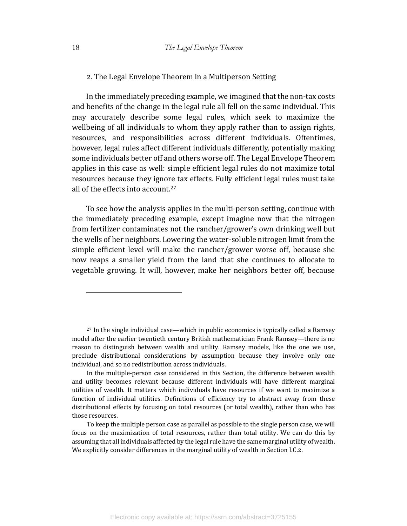#### 2. The Legal Envelope Theorem in a Multiperson Setting

In the immediately preceding example, we imagined that the non-tax costs and benefits of the change in the legal rule all fell on the same individual. This may accurately describe some legal rules, which seek to maximize the wellbeing of all individuals to whom they apply rather than to assign rights, resources, and responsibilities across different individuals. Oftentimes, however, legal rules affect different individuals differently, potentially making some individuals better off and others worse off. The Legal Envelope Theorem applies in this case as well: simple efficient legal rules do not maximize total resources because they ignore tax effects. Fully efficient legal rules must take all of the effects into account.<sup>27</sup>

To see how the analysis applies in the multi-person setting, continue with the immediately preceding example, except imagine now that the nitrogen from fertilizer contaminates not the rancher/grower's own drinking well but the wells of her neighbors. Lowering the water-soluble nitrogen limit from the simple efficient level will make the rancher/grower worse off, because she now reaps a smaller yield from the land that she continues to allocate to vegetable growing. It will, however, make her neighbors better off, because

 $27$  In the single individual case—which in public economics is typically called a Ramsey model after the earlier twentieth century British mathematician Frank Ramsey—there is no reason to distinguish between wealth and utility. Ramsey models, like the one we use, preclude distributional considerations by assumption because they involve only one individual, and so no redistribution across individuals.

In the multiple-person case considered in this Section, the difference between wealth and utility becomes relevant because different individuals will have different marginal utilities of wealth. It matters which individuals have resources if we want to maximize a function of individual utilities. Definitions of efficiency try to abstract away from these distributional effects by focusing on total resources (or total wealth), rather than who has those resources.

To keep the multiple person case as parallel as possible to the single person case, we will focus on the maximization of total resources, rather than total utility. We can do this by assuming that all individuals affected by the legal rule have the same marginal utility of wealth. We explicitly consider differences in the marginal utility of wealth in Section I.C.2.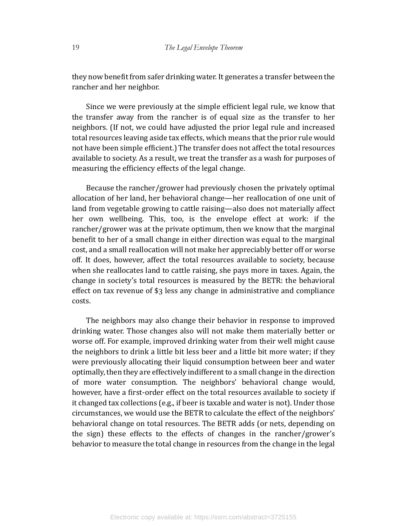they now benefit from safer drinking water. It generates a transfer between the rancher and her neighbor.

Since we were previously at the simple efficient legal rule, we know that the transfer away from the rancher is of equal size as the transfer to her neighbors. (If not, we could have adjusted the prior legal rule and increased total resources leaving aside tax effects, which means that the prior rule would not have been simple efficient.) The transfer does not affect the total resources available to society. As a result, we treat the transfer as a wash for purposes of measuring the efficiency effects of the legal change.

Because the rancher/grower had previously chosen the privately optimal allocation of her land, her behavioral change—her reallocation of one unit of land from vegetable growing to cattle raising—also does not materially affect her own wellbeing. This, too, is the envelope effect at work: if the rancher/grower was at the private optimum, then we know that the marginal benefit to her of a small change in either direction was equal to the marginal cost, and a small reallocation will not make her appreciably better off or worse off. It does, however, affect the total resources available to society, because when she reallocates land to cattle raising, she pays more in taxes. Again, the change in society's total resources is measured by the BETR: the behavioral effect on tax revenue of  $\S$ 3 less any change in administrative and compliance costs.

The neighbors may also change their behavior in response to improved drinking water. Those changes also will not make them materially better or worse off. For example, improved drinking water from their well might cause the neighbors to drink a little bit less beer and a little bit more water; if they were previously allocating their liquid consumption between beer and water optimally, then they are effectively indifferent to a small change in the direction of more water consumption. The neighbors' behavioral change would, however, have a first-order effect on the total resources available to society if it changed tax collections (e.g., if beer is taxable and water is not). Under those circumstances, we would use the BETR to calculate the effect of the neighbors' behavioral change on total resources. The BETR adds (or nets, depending on the sign) these effects to the effects of changes in the rancher/grower's behavior to measure the total change in resources from the change in the legal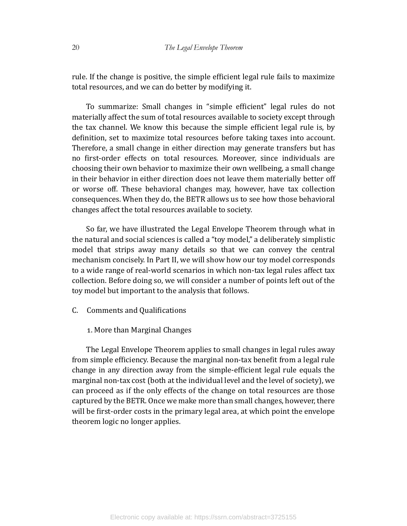rule. If the change is positive, the simple efficient legal rule fails to maximize total resources, and we can do better by modifying it.

To summarize: Small changes in "simple efficient" legal rules do not materially affect the sum of total resources available to society except through the tax channel. We know this because the simple efficient legal rule is, by definition, set to maximize total resources before taking taxes into account. Therefore, a small change in either direction may generate transfers but has no first-order effects on total resources. Moreover, since individuals are choosing their own behavior to maximize their own wellbeing, a small change in their behavior in either direction does not leave them materially better off or worse off. These behavioral changes may, however, have tax collection consequences. When they do, the BETR allows us to see how those behavioral changes affect the total resources available to society.

So far, we have illustrated the Legal Envelope Theorem through what in the natural and social sciences is called a "toy model," a deliberately simplistic model that strips away many details so that we can convey the central mechanism concisely. In Part II, we will show how our toy model corresponds to a wide range of real-world scenarios in which non-tax legal rules affect tax collection. Before doing so, we will consider a number of points left out of the toy model but important to the analysis that follows.

C. Comments and Qualifications

## 1. More than Marginal Changes

The Legal Envelope Theorem applies to small changes in legal rules away from simple efficiency. Because the marginal non-tax benefit from a legal rule change in any direction away from the simple-efficient legal rule equals the marginal non-tax cost (both at the individual level and the level of society), we can proceed as if the only effects of the change on total resources are those captured by the BETR. Once we make more than small changes, however, there will be first-order costs in the primary legal area, at which point the envelope theorem logic no longer applies.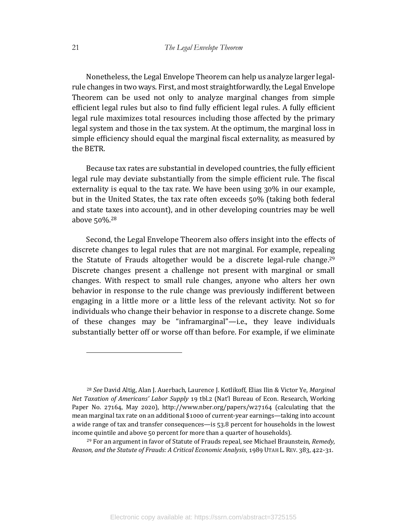Nonetheless, the Legal Envelope Theorem can help us analyze larger legalrule changes in two ways. First, and most straightforwardly, the Legal Envelope Theorem can be used not only to analyze marginal changes from simple efficient legal rules but also to find fully efficient legal rules. A fully efficient legal rule maximizes total resources including those affected by the primary legal system and those in the tax system. At the optimum, the marginal loss in simple efficiency should equal the marginal fiscal externality, as measured by the BETR.

Because tax rates are substantial in developed countries, the fully efficient legal rule may deviate substantially from the simple efficient rule. The fiscal externality is equal to the tax rate. We have been using  $30\%$  in our example, but in the United States, the tax rate often exceeds 50% (taking both federal and state taxes into account), and in other developing countries may be well above  $50\%$ .<sup>28</sup>

Second, the Legal Envelope Theorem also offers insight into the effects of discrete changes to legal rules that are not marginal. For example, repealing the Statute of Frauds altogether would be a discrete legal-rule change.<sup>29</sup> Discrete changes present a challenge not present with marginal or small changes. With respect to small rule changes, anyone who alters her own behavior in response to the rule change was previously indifferent between engaging in a little more or a little less of the relevant activity. Not so for individuals who change their behavior in response to a discrete change. Some of these changes may be "inframarginal"—i.e., they leave individuals substantially better off or worse off than before. For example, if we eliminate

<sup>28</sup> See David Altig, Alan J. Auerbach, Laurence J. Kotlikoff, Elias Ilin & Victor Ye, Marginal *Net Taxation of Americans' Labor Supply* 19 tbl.2 (Nat'l Bureau of Econ. Research, Working Paper No. 27164, May 2020), http://www.nber.org/papers/w27164 (calculating that the mean marginal tax rate on an additional \$1000 of current-year earnings—taking into account a wide range of tax and transfer consequences—is  $53.8$  percent for households in the lowest income quintile and above 50 percent for more than a quarter of households).

<sup>29</sup> For an argument in favor of Statute of Frauds repeal, see Michael Braunstein, *Remedy*, *Reason, and the Statute of Frauds: A Critical Economic Analysis, 1989 UTAH L. REV. 383, 422-31.*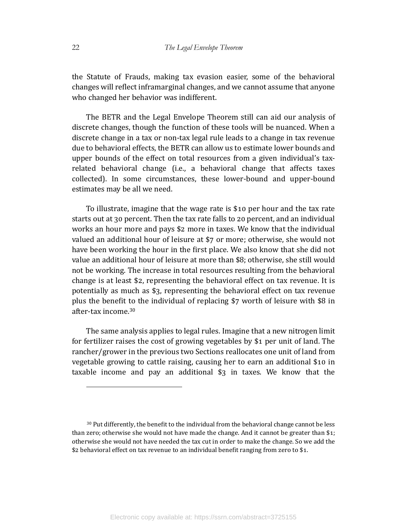the Statute of Frauds, making tax evasion easier, some of the behavioral changes will reflect inframarginal changes, and we cannot assume that anyone who changed her behavior was indifferent.

The BETR and the Legal Envelope Theorem still can aid our analysis of discrete changes, though the function of these tools will be nuanced. When a discrete change in a tax or non-tax legal rule leads to a change in tax revenue due to behavioral effects, the BETR can allow us to estimate lower bounds and upper bounds of the effect on total resources from a given individual's taxrelated behavioral change (i.e., a behavioral change that affects taxes collected). In some circumstances, these lower-bound and upper-bound estimates may be all we need.

To illustrate, imagine that the wage rate is \$10 per hour and the tax rate starts out at 30 percent. Then the tax rate falls to 20 percent, and an individual works an hour more and pays \$2 more in taxes. We know that the individual valued an additional hour of leisure at \$7 or more; otherwise, she would not have been working the hour in the first place. We also know that she did not value an additional hour of leisure at more than \$8; otherwise, she still would not be working. The increase in total resources resulting from the behavioral change is at least \$2, representing the behavioral effect on tax revenue. It is potentially as much as  $\S$ , representing the behavioral effect on tax revenue plus the benefit to the individual of replacing  $$7$  worth of leisure with  $$8$  in after-tax income. $30$ 

The same analysis applies to legal rules. Imagine that a new nitrogen limit for fertilizer raises the cost of growing vegetables by \$1 per unit of land. The rancher/grower in the previous two Sections reallocates one unit of land from vegetable growing to cattle raising, causing her to earn an additional  $$10$  in taxable income and pay an additional  $\S$ 3 in taxes. We know that the

 $30$  Put differently, the benefit to the individual from the behavioral change cannot be less than zero; otherwise she would not have made the change. And it cannot be greater than \$1; otherwise she would not have needed the tax cut in order to make the change. So we add the  $$2$  behavioral effect on tax revenue to an individual benefit ranging from zero to  $$1$ .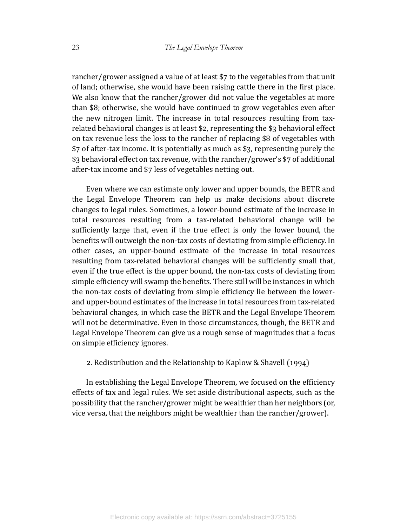rancher/grower assigned a value of at least  $\frac{1}{2}$  to the vegetables from that unit of land; otherwise, she would have been raising cattle there in the first place. We also know that the rancher/grower did not value the vegetables at more than \$8; otherwise, she would have continued to grow vegetables even after the new nitrogen limit. The increase in total resources resulting from taxrelated behavioral changes is at least \$2, representing the \$3 behavioral effect on tax revenue less the loss to the rancher of replacing \$8 of vegetables with  $$7$  of after-tax income. It is potentially as much as  $$3$ , representing purely the  $$3$  behavioral effect on tax revenue, with the rancher/grower's  $$7$  of additional after-tax income and \$7 less of vegetables netting out.

Even where we can estimate only lower and upper bounds, the BETR and the Legal Envelope Theorem can help us make decisions about discrete changes to legal rules. Sometimes, a lower-bound estimate of the increase in total resources resulting from a tax-related behavioral change will be sufficiently large that, even if the true effect is only the lower bound, the benefits will outweigh the non-tax costs of deviating from simple efficiency. In other cases, an upper-bound estimate of the increase in total resources resulting from tax-related behavioral changes will be sufficiently small that, even if the true effect is the upper bound, the non-tax costs of deviating from simple efficiency will swamp the benefits. There still will be instances in which the non-tax costs of deviating from simple efficiency lie between the lowerand upper-bound estimates of the increase in total resources from tax-related behavioral changes, in which case the BETR and the Legal Envelope Theorem will not be determinative. Even in those circumstances, though, the BETR and Legal Envelope Theorem can give us a rough sense of magnitudes that a focus on simple efficiency ignores.

## 2. Redistribution and the Relationship to Kaplow & Shavell  $(1994)$

In establishing the Legal Envelope Theorem, we focused on the efficiency effects of tax and legal rules. We set aside distributional aspects, such as the possibility that the rancher/grower might be wealthier than her neighbors (or, vice versa, that the neighbors might be wealthier than the rancher/grower).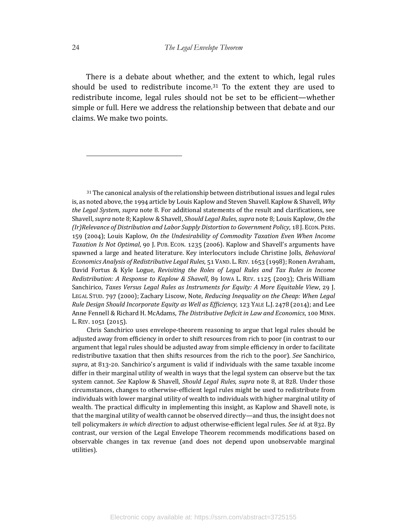There is a debate about whether, and the extent to which, legal rules should be used to redistribute income.<sup>31</sup> To the extent they are used to redistribute income, legal rules should not be set to be efficient—whether simple or full. Here we address the relationship between that debate and our claims. We make two points.

31 The canonical analysis of the relationship between distributional issues and legal rules is, as noted above, the 1994 article by Louis Kaplow and Steven Shavell. Kaplow & Shavell,  $Whv$ *the Legal System, supra* note 8. For additional statements of the result and clarifications, see Shavell, *supra* note 8; Kaplow & Shavell, *Should Legal Rules*, *supra* note 8; Louis Kaplow, On the *(Ir)Relevance of Distribution and Labor Supply Distortion to Government Policy*, 18 J. Econ. PERS. 159 (2004); Louis Kaplow, *On the Undesirability of Commodity Taxation Even When Income* Taxation Is Not Optimal, 90 J. PUB. ECON. 1235 (2006). Kaplow and Shavell's arguments have spawned a large and heated literature. Key interlocutors include Christine Jolls, *Behavioral Economics Analysis of Redistributive Legal Rules*, 51 VAND. L. REV. 1653 (1998); Ronen Avraham, David Fortus & Kyle Logue, *Revisiting the Roles of Legal Rules and Tax Rules in Income Redistribution: A Response to Kaplow & Shavell*, 89 Iowa L. REV. 1125 (2003); Chris William Sanchirico, *Taxes Versus Legal Rules as Instruments for Equity: A More Equitable View*, 29 J. LEGAL STUD. 797 (2000); Zachary Liscow, Note, *Reducing Inequality on the Cheap: When Legal Rule Design Should Incorporate Equity as Well as Efficiency*, 123 YALE L.J. 2478 (2014); and Lee Anne Fennell & Richard H. McAdams, *The Distributive Deficit in Law and Economics*, 100 MINN. L. REV. 1051 (2015).

Chris Sanchirico uses envelope-theorem reasoning to argue that legal rules should be adjusted away from efficiency in order to shift resources from rich to poor (in contrast to our argument that legal rules should be adjusted away from simple efficiency in order to facilitate redistributive taxation that then shifts resources from the rich to the poor). See Sanchirico, supra, at 813-20. Sanchirico's argument is valid if individuals with the same taxable income differ in their marginal utility of wealth in ways that the legal system can observe but the tax system cannot. See Kaplow & Shavell, *Should Legal Rules*, *supra* note 8, at 828. Under those circumstances, changes to otherwise-efeicient legal rules might be used to redistribute from individuals with lower marginal utility of wealth to individuals with higher marginal utility of wealth. The practical difficulty in implementing this insight, as Kaplow and Shavell note, is that the marginal utility of wealth cannot be observed directly—and thus, the insight does not tell policymakers *in which direction* to adjust otherwise-efficient legal rules. *See id.* at 832. By contrast, our version of the Legal Envelope Theorem recommends modifications based on observable changes in tax revenue (and does not depend upon unobservable marginal utilities).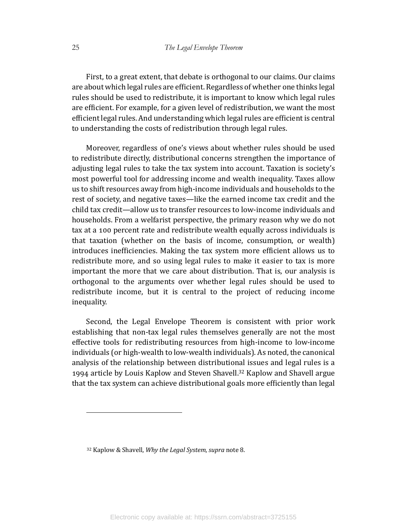First, to a great extent, that debate is orthogonal to our claims. Our claims are about which legal rules are efficient. Regardless of whether one thinks legal rules should be used to redistribute, it is important to know which legal rules are efficient. For example, for a given level of redistribution, we want the most efficient legal rules. And understanding which legal rules are efficient is central to understanding the costs of redistribution through legal rules.

Moreover, regardless of one's views about whether rules should be used to redistribute directly, distributional concerns strengthen the importance of adjusting legal rules to take the tax system into account. Taxation is society's most powerful tool for addressing income and wealth inequality. Taxes allow us to shift resources away from high-income individuals and households to the rest of society, and negative taxes—like the earned income tax credit and the child tax credit—allow us to transfer resources to low-income individuals and households. From a welfarist perspective, the primary reason why we do not tax at a 100 percent rate and redistribute wealth equally across individuals is that taxation (whether on the basis of income, consumption, or wealth) introduces inefficiencies. Making the tax system more efficient allows us to redistribute more, and so using legal rules to make it easier to tax is more important the more that we care about distribution. That is, our analysis is orthogonal to the arguments over whether legal rules should be used to redistribute income, but it is central to the project of reducing income inequality. 

Second, the Legal Envelope Theorem is consistent with prior work establishing that non-tax legal rules themselves generally are not the most effective tools for redistributing resources from high-income to low-income individuals (or high-wealth to low-wealth individuals). As noted, the canonical analysis of the relationship between distributional issues and legal rules is a 1994 article by Louis Kaplow and Steven Shavell.<sup>32</sup> Kaplow and Shavell argue that the tax system can achieve distributional goals more efficiently than legal

<sup>&</sup>lt;sup>32</sup> Kaplow & Shavell, *Why the Legal System*, *supra* note 8.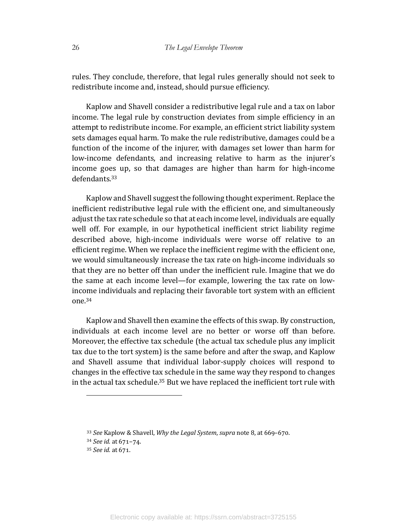rules. They conclude, therefore, that legal rules generally should not seek to redistribute income and, instead, should pursue efficiency.

Kaplow and Shavell consider a redistributive legal rule and a tax on labor income. The legal rule by construction deviates from simple efficiency in an attempt to redistribute income. For example, an efficient strict liability system sets damages equal harm. To make the rule redistributive, damages could be a function of the income of the injurer, with damages set lower than harm for low-income defendants, and increasing relative to harm as the injurer's income goes up, so that damages are higher than harm for high-income defendants.33

Kaplow and Shavell suggest the following thought experiment. Replace the inefficient redistributive legal rule with the efficient one, and simultaneously adjust the tax rate schedule so that at each income level, individuals are equally well off. For example, in our hypothetical inefficient strict liability regime described above, high-income individuals were worse off relative to an efficient regime. When we replace the inefficient regime with the efficient one, we would simultaneously increase the tax rate on high-income individuals so that they are no better off than under the inefficient rule. Imagine that we do the same at each income level—for example, lowering the tax rate on lowincome individuals and replacing their favorable tort system with an efficient one. 34

Kaplow and Shavell then examine the effects of this swap. By construction, individuals at each income level are no better or worse off than before. Moreover, the effective tax schedule (the actual tax schedule plus any implicit tax due to the tort system) is the same before and after the swap, and Kaplow and Shavell assume that individual labor-supply choices will respond to changes in the effective tax schedule in the same way they respond to changes in the actual tax schedule.<sup>35</sup> But we have replaced the inefficient tort rule with

<sup>&</sup>lt;sup>33</sup> See Kaplow & Shavell, *Why the Legal System*, *supra* note 8, at 669-670.

<sup>34</sup> *See id.* at 671-74.

<sup>&</sup>lt;sup>35</sup> *See id.* at 671.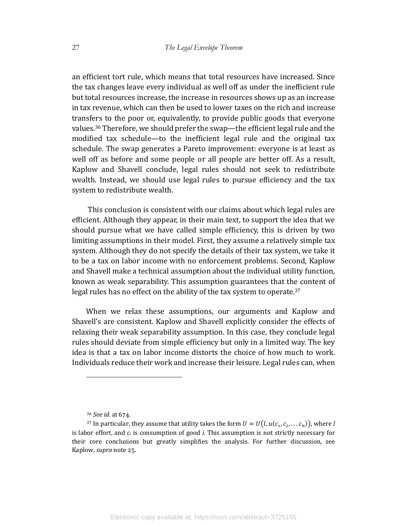an efficient tort rule, which means that total resources have increased. Since the tax changes leave every individual as well off as under the inefficient rule but total resources increase, the increase in resources shows up as an increase in tax revenue, which can then be used to lower taxes on the rich and increase transfers to the poor or, equivalently, to provide public goods that everyone values.<sup>36</sup> Therefore, we should prefer the swap—the efficient legal rule and the modified tax schedule—to the inefficient legal rule and the original tax schedule. The swap generates a Pareto improvement: everyone is at least as well off as before and some people or all people are better off. As a result, Kaplow and Shavell conclude, legal rules should not seek to redistribute wealth. Instead, we should use legal rules to pursue efficiency and the tax system to redistribute wealth.

This conclusion is consistent with our claims about which legal rules are efficient. Although they appear, in their main text, to support the idea that we should pursue what we have called simple efficiency, this is driven by two limiting assumptions in their model. First, they assume a relatively simple tax system. Although they do not specify the details of their tax system, we take it to be a tax on labor income with no enforcement problems. Second, Kaplow and Shavell make a technical assumption about the individual utility function, known as weak separability. This assumption guarantees that the content of legal rules has no effect on the ability of the tax system to operate. $37$ 

When we relax these assumptions, our arguments and Kaplow and Shavell's are consistent. Kaplow and Shavell explicitly consider the effects of relaxing their weak separability assumption. In this case, they conclude legal rules should deviate from simple efficiency but only in a limited way. The key idea is that a tax on labor income distorts the choice of how much to work. Individuals reduce their work and increase their leisure. Legal rules can, when

<sup>&</sup>lt;sup>36</sup> *See id.* at 674.

<sup>&</sup>lt;sup>37</sup> In particular, they assume that utility takes the form  $U = U(l, u(c_1, c_2, \ldots c_n))$ , where *l* is labor effort, and  $c_i$  is consumption of good *i*. This assumption is not strictly necessary for their core conclusions but greatly simplifies the analysis. For further discussion, see Kaplow, *supra* note 25.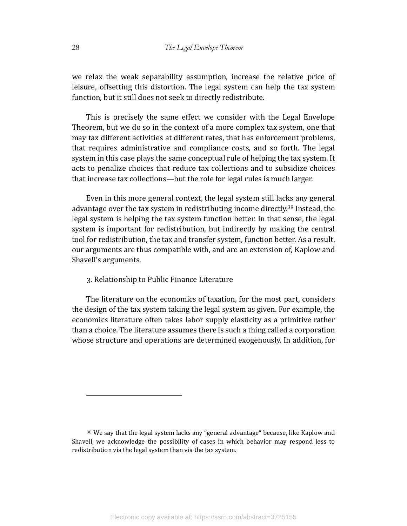we relax the weak separability assumption, increase the relative price of leisure, offsetting this distortion. The legal system can help the tax system function, but it still does not seek to directly redistribute.

This is precisely the same effect we consider with the Legal Envelope Theorem, but we do so in the context of a more complex tax system, one that may tax different activities at different rates, that has enforcement problems, that requires administrative and compliance costs, and so forth. The legal system in this case plays the same conceptual rule of helping the tax system. It acts to penalize choices that reduce tax collections and to subsidize choices that increase tax collections—but the role for legal rules is much larger.

Even in this more general context, the legal system still lacks any general advantage over the tax system in redistributing income directly.<sup>38</sup> Instead, the legal system is helping the tax system function better. In that sense, the legal system is important for redistribution, but indirectly by making the central tool for redistribution, the tax and transfer system, function better. As a result, our arguments are thus compatible with, and are an extension of, Kaplow and Shavell's arguments.

## 3. Relationship to Public Finance Literature

The literature on the economics of taxation, for the most part, considers the design of the tax system taking the legal system as given. For example, the economics literature often takes labor supply elasticity as a primitive rather than a choice. The literature assumes there is such a thing called a corporation whose structure and operations are determined exogenously. In addition, for

<sup>38</sup> We say that the legal system lacks any "general advantage" because, like Kaplow and Shavell, we acknowledge the possibility of cases in which behavior may respond less to redistribution via the legal system than via the tax system.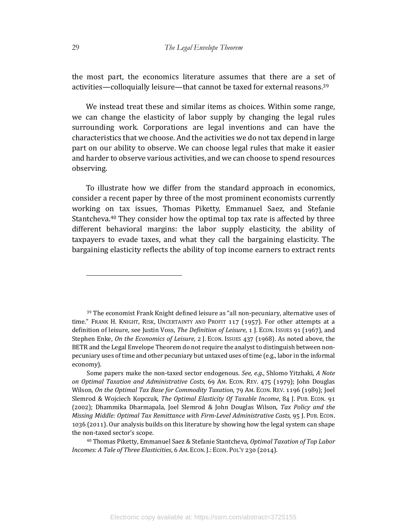the most part, the economics literature assumes that there are a set of activities—colloquially leisure—that cannot be taxed for external reasons.<sup>39</sup>

We instead treat these and similar items as choices. Within some range, we can change the elasticity of labor supply by changing the legal rules surrounding work. Corporations are legal inventions and can have the characteristics that we choose. And the activities we do not tax depend in large part on our ability to observe. We can choose legal rules that make it easier and harder to observe various activities, and we can choose to spend resources observing. 

To illustrate how we differ from the standard approach in economics, consider a recent paper by three of the most prominent economists currently working on tax issues, Thomas Piketty, Emmanuel Saez, and Stefanie Stantcheva.<sup>40</sup> They consider how the optimal top tax rate is affected by three different behavioral margins: the labor supply elasticity, the ability of taxpayers to evade taxes, and what they call the bargaining elasticity. The bargaining elasticity reflects the ability of top income earners to extract rents

 $39$  The economist Frank Knight defined leisure as "all non-pecuniary, alternative uses of time." FRANK H. KNIGHT, RISK, UNCERTAINTY AND PROFIT 117 (1957). For other attempts at a definition of leisure, see Justin Voss, *The Definition of Leisure*, 1 J. Econ. Issues 91 (1967), and Stephen Enke, *On the Economics of Leisure*, 2 J. Econ. Issues 437 (1968). As noted above, the BETR and the Legal Envelope Theorem do not require the analyst to distinguish between nonpecuniary uses of time and other pecuniary but untaxed uses of time (e.g., labor in the informal economy).

Some papers make the non-taxed sector endogenous. See, e.g., Shlomo Yitzhaki, *A Note on Optimal Taxation and Administrative Costs*, 69 AM. ECON. REV. 475 (1979); John Douglas Wilson, On the Optimal Tax Base for Commodity Taxation, 79 AM. ECON. REV. 1196 (1989); Joel Slemrod & Wojciech Kopczuk, *The Optimal Elasticity Of Taxable Income*, 84 J. Pub. Econ. 91 (2002); Dhammika Dharmapala, Joel Slemrod & John Douglas Wilson, *Tax Policy and the Missing Middle: Optimal Tax Remittance with Firm-Level Administrative Costs*, 95 J. Pub. Econ. 1036 (2011). Our analysis builds on this literature by showing how the legal system can shape the non-taxed sector's scope.

<sup>40</sup> Thomas Piketty, Emmanuel Saez & Stefanie Stantcheva, *Optimal Taxation of Top Labor Incomes: A Tale of Three Elasticities*, 6 Am. Econ. J.: Econ. Pol'y 230 (2014).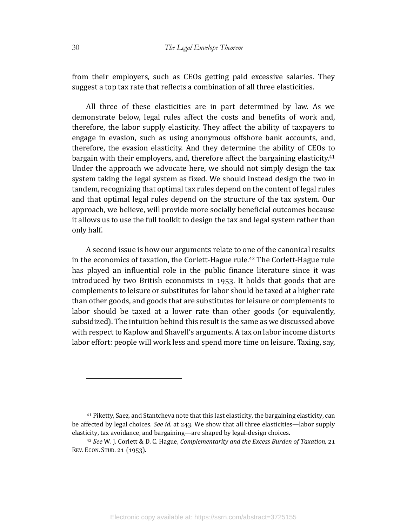from their employers, such as CEOs getting paid excessive salaries. They suggest a top tax rate that reflects a combination of all three elasticities.

All three of these elasticities are in part determined by law. As we demonstrate below, legal rules affect the costs and benefits of work and, therefore, the labor supply elasticity. They affect the ability of taxpayers to engage in evasion, such as using anonymous offshore bank accounts, and, therefore, the evasion elasticity. And they determine the ability of CEOs to bargain with their employers, and, therefore affect the bargaining elasticity.<sup>41</sup> Under the approach we advocate here, we should not simply design the tax system taking the legal system as fixed. We should instead design the two in tandem, recognizing that optimal tax rules depend on the content of legal rules and that optimal legal rules depend on the structure of the tax system. Our approach, we believe, will provide more socially beneficial outcomes because it allows us to use the full toolkit to design the tax and legal system rather than only half. 

A second issue is how our arguments relate to one of the canonical results in the economics of taxation, the Corlett-Hague rule.<sup>42</sup> The Corlett-Hague rule has played an influential role in the public finance literature since it was introduced by two British economists in 1953. It holds that goods that are complements to leisure or substitutes for labor should be taxed at a higher rate than other goods, and goods that are substitutes for leisure or complements to labor should be taxed at a lower rate than other goods (or equivalently, subsidized). The intuition behind this result is the same as we discussed above with respect to Kaplow and Shavell's arguments. A tax on labor income distorts labor effort: people will work less and spend more time on leisure. Taxing, say,

<sup>&</sup>lt;sup>41</sup> Piketty, Saez, and Stantcheva note that this last elasticity, the bargaining elasticity, can be affected by legal choices. *See id.* at 243. We show that all three elasticities—labor supply elasticity, tax avoidance, and bargaining—are shaped by legal-design choices.

<sup>&</sup>lt;sup>42</sup> See W. J. Corlett & D. C. Hague, *Complementarity and the Excess Burden of Taxation*, 21 REV. ECON. STUD. 21 (1953).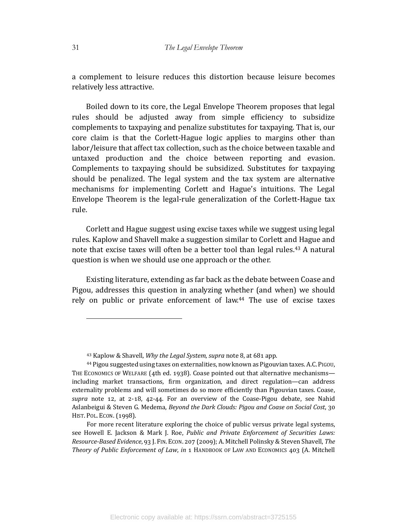a complement to leisure reduces this distortion because leisure becomes relatively less attractive.

Boiled down to its core, the Legal Envelope Theorem proposes that legal rules should be adjusted away from simple efficiency to subsidize complements to taxpaying and penalize substitutes for taxpaying. That is, our core claim is that the Corlett-Hague logic applies to margins other than labor/leisure that affect tax collection, such as the choice between taxable and untaxed production and the choice between reporting and evasion. Complements to taxpaying should be subsidized. Substitutes for taxpaying should be penalized. The legal system and the tax system are alternative mechanisms for implementing Corlett and Hague's intuitions. The Legal Envelope Theorem is the legal-rule generalization of the Corlett-Hague tax rule.

Corlett and Hague suggest using excise taxes while we suggest using legal rules. Kaplow and Shavell make a suggestion similar to Corlett and Hague and note that excise taxes will often be a better tool than legal rules.<sup>43</sup> A natural question is when we should use one approach or the other.

Existing literature, extending as far back as the debate between Coase and Pigou, addresses this question in analyzing whether (and when) we should rely on public or private enforcement of law. $44$  The use of excise taxes

<sup>&</sup>lt;sup>43</sup> Kaplow & Shavell, *Why the Legal System, supra* note 8, at 681 app.

<sup>44</sup> Pigou suggested using taxes on externalities, now known as Pigouvian taxes. A.C. PIGOU, THE ECONOMICS OF WELFARE (4th ed. 1938). Coase pointed out that alternative mechanisms including market transactions, firm organization, and direct regulation—can address externality problems and will sometimes do so more efficiently than Pigouvian taxes. Coase, supra note 12, at 2-18, 42-44. For an overview of the Coase-Pigou debate, see Nahid Aslanbeigui & Steven G. Medema, *Beyond the Dark Clouds: Pigou and Coase on Social Cost*, 30 HIST. POL. ECON. (1998).

For more recent literature exploring the choice of public versus private legal systems, see Howell E. Jackson & Mark J. Roe, *Public and Private Enforcement of Securities Laws: Resource-Based Evidence,* 93 J. FIN. ECON. 207 (2009); A. Mitchell Polinsky & Steven Shavell, The *Theory of Public Enforcement of Law*, *in* 1 HANDBOOK OF LAW AND ECONOMICS 403 (A. Mitchell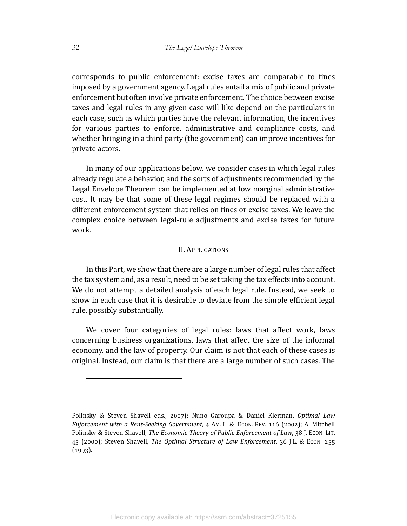corresponds to public enforcement: excise taxes are comparable to fines imposed by a government agency. Legal rules entail a mix of public and private enforcement but often involve private enforcement. The choice between excise taxes and legal rules in any given case will like depend on the particulars in each case, such as which parties have the relevant information, the incentives for various parties to enforce, administrative and compliance costs, and whether bringing in a third party (the government) can improve incentives for private actors.

In many of our applications below, we consider cases in which legal rules already regulate a behavior, and the sorts of adjustments recommended by the Legal Envelope Theorem can be implemented at low marginal administrative cost. It may be that some of these legal regimes should be replaced with a different enforcement system that relies on fines or excise taxes. We leave the complex choice between legal-rule adjustments and excise taxes for future work.

## II. APPLICATIONS

In this Part, we show that there are a large number of legal rules that affect the tax system and, as a result, need to be set taking the tax effects into account. We do not attempt a detailed analysis of each legal rule. Instead, we seek to show in each case that it is desirable to deviate from the simple efficient legal rule, possibly substantially.

We cover four categories of legal rules: laws that affect work, laws concerning business organizations, laws that affect the size of the informal economy, and the law of property. Our claim is not that each of these cases is original. Instead, our claim is that there are a large number of such cases. The

Polinsky & Steven Shavell eds., 2007); Nuno Garoupa & Daniel Klerman, Optimal Law *Enforcement with a Rent-Seeking Government*, 4 Am. L. & ECON. REV. 116 (2002); A. Mitchell Polinsky & Steven Shavell, *The Economic Theory of Public Enforcement of Law*, 38 J. Econ. LIT. 45 (2000); Steven Shavell, *The Optimal Structure of Law Enforcement*, 36 J.L. & Econ. 255  $(1993).$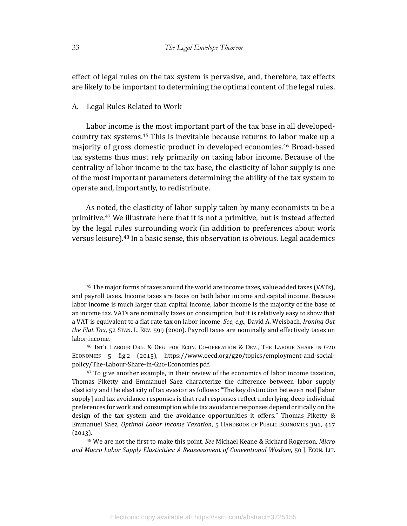effect of legal rules on the tax system is pervasive, and, therefore, tax effects are likely to be important to determining the optimal content of the legal rules.

#### A. Legal Rules Related to Work

Labor income is the most important part of the tax base in all developedcountry tax systems.<sup>45</sup> This is inevitable because returns to labor make up a majority of gross domestic product in developed economies.<sup>46</sup> Broad-based tax systems thus must rely primarily on taxing labor income. Because of the centrality of labor income to the tax base, the elasticity of labor supply is one of the most important parameters determining the ability of the tax system to operate and, importantly, to redistribute.

As noted, the elasticity of labor supply taken by many economists to be a primitive.<sup>47</sup> We illustrate here that it is not a primitive, but is instead affected by the legal rules surrounding work (in addition to preferences about work versus leisure).<sup>48</sup> In a basic sense, this observation is obvious. Legal academics

<sup>&</sup>lt;sup>45</sup> The major forms of taxes around the world are income taxes, value added taxes (VATs), and payroll taxes. Income taxes are taxes on both labor income and capital income. Because labor income is much larger than capital income, labor income is the majority of the base of an income tax. VATs are nominally taxes on consumption, but it is relatively easy to show that a VAT is equivalent to a flat rate tax on labor income. *See, e.g.*, David A. Weisbach, *Ironing Out the Flat Tax*, 52 STAN. L. REV. 599 (2000). Payroll taxes are nominally and effectively taxes on labor income.

<sup>&</sup>lt;sup>46</sup> INT'L LABOUR ORG. & ORG. FOR ECON. CO-OPERATION & DEV., THE LABOUR SHARE IN G20 ECONOMIES 5 fig.2 (2015), https://www.oecd.org/g20/topics/employment-and-socialpolicy/The-Labour-Share-in-G20-Economies.pdf.

 $47$  To give another example, in their review of the economics of labor income taxation, Thomas Piketty and Emmanuel Saez characterize the difference between labor supply elasticity and the elasticity of tax evasion as follows: "The key distinction between real [labor supply] and tax avoidance responses is that real responses reflect underlying, deep individual preferences for work and consumption while tax avoidance responses depend critically on the design of the tax system and the avoidance opportunities it offers." Thomas Piketty & Emmanuel Saez, *Optimal Labor Income Taxation*, 5 HANDBOOK OF PUBLIC ECONOMICS 391, 417  $(2013).$ 

<sup>&</sup>lt;sup>48</sup> We are not the first to make this point. *See* Michael Keane & Richard Rogerson, *Micro* and Macro Labor Supply Elasticities: A Reassessment of Conventional Wisdom, 50 J. Econ. LIT.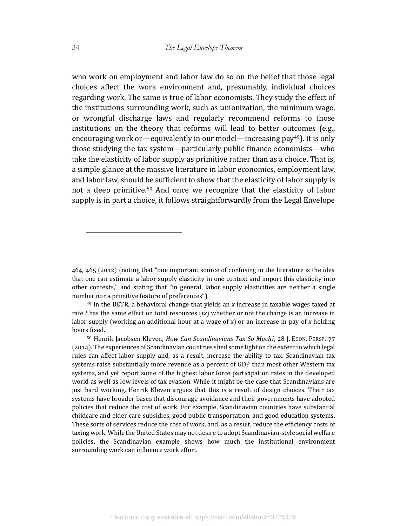who work on employment and labor law do so on the belief that those legal choices affect the work environment and, presumably, individual choices regarding work. The same is true of labor economists. They study the effect of the institutions surrounding work, such as unionization, the minimum wage, or wrongful discharge laws and regularly recommend reforms to those institutions on the theory that reforms will lead to better outcomes (e.g., encouraging work or—equivalently in our model—increasing pay<sup>49</sup>). It is only those studying the tax system—particularly public finance economists—who take the elasticity of labor supply as primitive rather than as a choice. That is, a simple glance at the massive literature in labor economics, employment law, and labor law, should be sufficient to show that the elasticity of labor supply is not a deep primitive.<sup>50</sup> And once we recognize that the elasticity of labor supply is in part a choice, it follows straightforwardly from the Legal Envelope

<sup>464, 465 (2012) (</sup>noting that "one important source of confusing in the literature is the idea that one can estimate a labor supply elasticity in one context and import this elasticity into other contexts," and stating that "in general, labor supply elasticities are neither a single number nor a primitive feature of preferences").

 $49$  In the BETR, a behavioral change that yields an x increase in taxable wages taxed at rate  $t$  has the same effect on total resources  $(tx)$  whether or not the change is an increase in labor supply (working an additional hour at a wage of  $x$ ) or an increase in pay of  $x$  holding hours fixed.

<sup>&</sup>lt;sup>50</sup> Henrik Jacobsen Kleven, *How Can Scandinavians Tax So Much?*, 28 J. Econ. PERSP. 77 (2014). The experiences of Scandinavian countries shed some light on the extent to which legal rules can affect labor supply and, as a result, increase the ability to tax. Scandinavian tax systems raise substantially more revenue as a percent of GDP than most other Western tax systems, and yet report some of the highest labor force participation rates in the developed world as well as low levels of tax evasion. While it might be the case that Scandinavians are just hard working, Henrik Kleven argues that this is a result of design choices. Their tax systems have broader bases that discourage avoidance and their governments have adopted policies that reduce the cost of work. For example, Scandinavian countries have substantial childcare and elder care subsidies, good public transportation, and good education systems. These sorts of services reduce the cost of work, and, as a result, reduce the efficiency costs of taxing work. While the United States may not desire to adopt Scandinavian-style social welfare policies, the Scandinavian example shows how much the institutional environment surrounding work can influence work effort.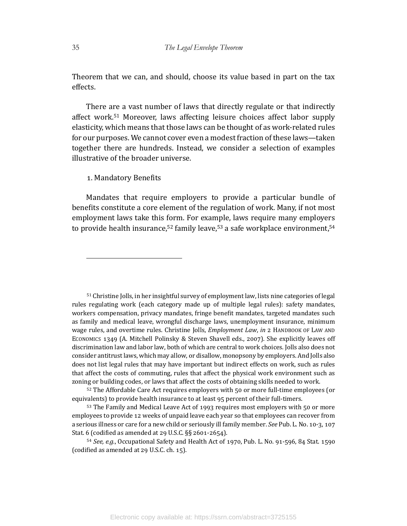Theorem that we can, and should, choose its value based in part on the tax effects. 

There are a vast number of laws that directly regulate or that indirectly affect work.<sup>51</sup> Moreover, laws affecting leisure choices affect labor supply elasticity, which means that those laws can be thought of as work-related rules for our purposes. We cannot cover even a modest fraction of these laws—taken together there are hundreds. Instead, we consider a selection of examples illustrative of the broader universe.

#### 1. Mandatory Benefits

Mandates that require employers to provide a particular bundle of benefits constitute a core element of the regulation of work. Many, if not most employment laws take this form. For example, laws require many employers to provide health insurance,<sup>52</sup> family leave,<sup>53</sup> a safe workplace environment,<sup>54</sup>

 $51$  Christine Jolls, in her insightful survey of employment law, lists nine categories of legal rules regulating work (each category made up of multiple legal rules): safety mandates, workers compensation, privacy mandates, fringe benefit mandates, targeted mandates such as family and medical leave, wrongful discharge laws, unemployment insurance, minimum wage rules, and overtime rules. Christine Jolls, *Employment Law*, *in* 2 HANDBOOK OF LAW AND ECONOMICS 1349 (A. Mitchell Polinsky & Steven Shavell eds., 2007). She explicitly leaves off discrimination law and labor law, both of which are central to work choices. Jolls also does not consider antitrust laws, which may allow, or disallow, monopsony by employers. And Jolls also does not list legal rules that may have important but indirect effects on work, such as rules that affect the costs of commuting, rules that affect the physical work environment such as zoning or building codes, or laws that affect the costs of obtaining skills needed to work.

52 The Affordable Care Act requires employers with 50 or more full-time employees (or equivalents) to provide health insurance to at least 95 percent of their full-timers.

53 The Family and Medical Leave Act of 1993 requires most employers with 50 or more employees to provide 12 weeks of unpaid leave each year so that employees can recover from a serious illness or care for a new child or seriously ill family member. *See* Pub. L. No. 10-3, 107 Stat. 6 (codified as amended at 29 U.S.C.  $\S$ § 2601-2654).

<sup>54</sup> See, e.g., Occupational Safety and Health Act of 1970, Pub. L. No. 91-596, 84 Stat. 1590 (codified as amended at  $29$  U.S.C. ch.  $15$ ).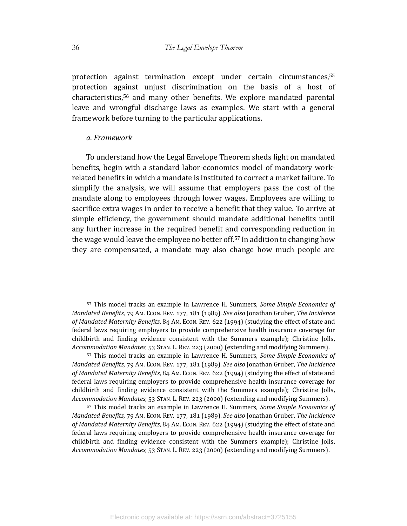protection against termination except under certain circumstances,<sup>55</sup> protection against unjust discrimination on the basis of a host of  $characteristics,56$  and many other benefits. We explore mandated parental leave and wrongful discharge laws as examples. We start with a general framework before turning to the particular applications.

#### *a. Framework*

To understand how the Legal Envelope Theorem sheds light on mandated benefits, begin with a standard labor-economics model of mandatory workrelated benefits in which a mandate is instituted to correct a market failure. To simplify the analysis, we will assume that employers pass the cost of the mandate along to employees through lower wages. Employees are willing to sacrifice extra wages in order to receive a benefit that they value. To arrive at simple efficiency, the government should mandate additional benefits until any further increase in the required benefit and corresponding reduction in the wage would leave the employee no better off.<sup>57</sup> In addition to changing how they are compensated, a mandate may also change how much people are

57 This model tracks an example in Lawrence H. Summers, *Some Simple Economics of Mandated Benefits, 79 AM. ECON. REV. 177, 181 (1989). See also Jonathan Gruber, The Incidence* of Mandated Maternity Benefits, 84 Am. Econ. REV. 622 (1994) (studying the effect of state and federal laws requiring employers to provide comprehensive health insurance coverage for childbirth and finding evidence consistent with the Summers example); Christine Jolls, *Accommodation Mandates*, 53 STAN. L. REV. 223 (2000) (extending and modifying Summers).

57 This model tracks an example in Lawrence H. Summers, *Some Simple Economics of Mandated Benefits, 79 AM. ECON. REV. 177, 181 (1989). See also Jonathan Gruber, The Incidence* of Mandated Maternity Benefits, 84 AM. ECON. REV. 622 (1994) (studying the effect of state and federal laws requiring employers to provide comprehensive health insurance coverage for childbirth and finding evidence consistent with the Summers example); Christine Jolls, *Accommodation Mandates*, 53 STAN. L. REV. 223 (2000) (extending and modifying Summers).

57 This model tracks an example in Lawrence H. Summers, *Some Simple Economics of Mandated Benefits, 79 Am. Econ. REv. 177, 181 (1989). See also Jonathan Gruber, The Incidence* of Mandated Maternity Benefits, 84 AM. ECON. REV. 622 (1994) (studying the effect of state and federal laws requiring employers to provide comprehensive health insurance coverage for childbirth and finding evidence consistent with the Summers example); Christine Jolls, *Accommodation Mandates*, 53 STAN. L. REV. 223 (2000) (extending and modifying Summers).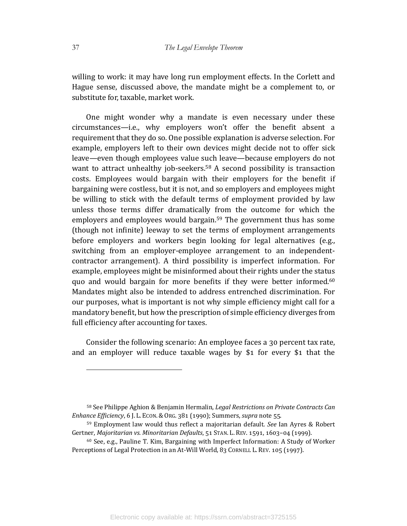willing to work: it may have long run employment effects. In the Corlett and Hague sense, discussed above, the mandate might be a complement to, or substitute for, taxable, market work.

One might wonder why a mandate is even necessary under these circumstances-i.e., why employers won't offer the benefit absent a requirement that they do so. One possible explanation is adverse selection. For example, employers left to their own devices might decide not to offer sick leave—even though employees value such leave—because employers do not want to attract unhealthy job-seekers.<sup>58</sup> A second possibility is transaction costs. Employees would bargain with their employers for the benefit if bargaining were costless, but it is not, and so employers and employees might be willing to stick with the default terms of employment provided by law unless those terms differ dramatically from the outcome for which the employers and employees would bargain.<sup>59</sup> The government thus has some (though not infinite) leeway to set the terms of employment arrangements before employers and workers begin looking for legal alternatives (e.g., switching from an employer-employee arrangement to an independentcontractor arrangement). A third possibility is imperfect information. For example, employees might be misinformed about their rights under the status quo and would bargain for more benefits if they were better informed.<sup>60</sup> Mandates might also be intended to address entrenched discrimination. For our purposes, what is important is not why simple efficiency might call for a mandatory benefit, but how the prescription of simple efficiency diverges from full efficiency after accounting for taxes.

Consider the following scenario: An employee faces a 30 percent tax rate, and an employer will reduce taxable wages by \$1 for every \$1 that the

<sup>60</sup> See, e.g., Pauline T. Kim, Bargaining with Imperfect Information: A Study of Worker Perceptions of Legal Protection in an At-Will World, 83 CORNELL L. REV. 105 (1997).

<sup>58</sup> See Philippe Aghion & Benjamin Hermalin, *Legal Restrictions on Private Contracts Can Enhance Efficiency*, 6 J. L. Econ. & Org. 381 (1990); Summers, *supra* note 55.

<sup>59</sup> Employment law would thus reflect a majoritarian default. *See* Ian Ayres & Robert Gertner, *Majoritarian vs. Minoritarian Defaults*, 51 STAN. L. REV. 1591, 1603-04 (1999).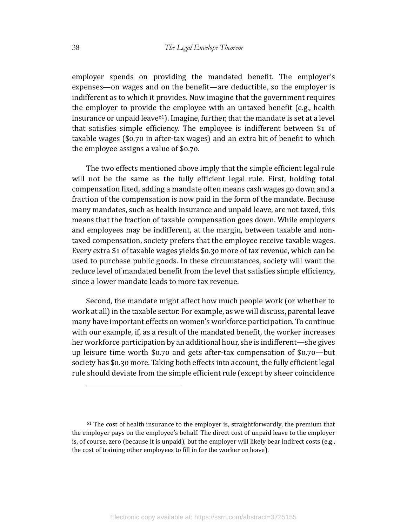employer spends on providing the mandated benefit. The employer's expenses—on wages and on the benefit—are deductible, so the employer is indifferent as to which it provides. Now imagine that the government requires the employer to provide the employee with an untaxed benefit (e.g., health insurance or unpaid leave<sup>61</sup>). Imagine, further, that the mandate is set at a level that satisfies simple efficiency. The employee is indifferent between  $$1$  of taxable wages (\$0.70 in after-tax wages) and an extra bit of benefit to which the employee assigns a value of  $$0.70$ .

The two effects mentioned above imply that the simple efficient legal rule will not be the same as the fully efficient legal rule. First, holding total compensation fixed, adding a mandate often means cash wages go down and a fraction of the compensation is now paid in the form of the mandate. Because many mandates, such as health insurance and unpaid leave, are not taxed, this means that the fraction of taxable compensation goes down. While employers and employees may be indifferent, at the margin, between taxable and nontaxed compensation, society prefers that the employee receive taxable wages. Every extra \$1 of taxable wages yields \$0.30 more of tax revenue, which can be used to purchase public goods. In these circumstances, society will want the reduce level of mandated benefit from the level that satisfies simple efficiency, since a lower mandate leads to more tax revenue.

Second, the mandate might affect how much people work (or whether to work at all) in the taxable sector. For example, as we will discuss, parental leave many have important effects on women's workforce participation. To continue with our example, if, as a result of the mandated benefit, the worker increases her workforce participation by an additional hour, she is indifferent—she gives up leisure time worth  $$0.70$  and gets after-tax compensation of  $$0.70$  —but society has \$0.30 more. Taking both effects into account, the fully efficient legal rule should deviate from the simple efficient rule (except by sheer coincidence

 $61$  The cost of health insurance to the employer is, straightforwardly, the premium that the employer pays on the employee's behalf. The direct cost of unpaid leave to the employer is, of course, zero (because it is unpaid), but the employer will likely bear indirect costs (e.g., the cost of training other employees to fill in for the worker on leave).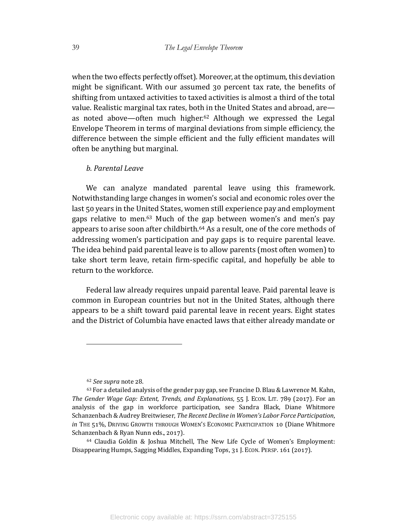when the two effects perfectly offset). Moreover, at the optimum, this deviation might be significant. With our assumed 30 percent tax rate, the benefits of shifting from untaxed activities to taxed activities is almost a third of the total value. Realistic marginal tax rates, both in the United States and abroad, are as noted above—often much higher.<sup>62</sup> Although we expressed the Legal Envelope Theorem in terms of marginal deviations from simple efficiency, the difference between the simple efficient and the fully efficient mandates will often be anything but marginal.

#### *b. Parental Leave*

We can analyze mandated parental leave using this framework. Notwithstanding large changes in women's social and economic roles over the last 50 years in the United States, women still experience pay and employment gaps relative to men.<sup>63</sup> Much of the gap between women's and men's pay appears to arise soon after childbirth. $64$  As a result, one of the core methods of addressing women's participation and pay gaps is to require parental leave. The idea behind paid parental leave is to allow parents (most often women) to take short term leave, retain firm-specific capital, and hopefully be able to return to the workforce.

Federal law already requires unpaid parental leave. Paid parental leave is common in European countries but not in the United States, although there appears to be a shift toward paid parental leave in recent years. Eight states and the District of Columbia have enacted laws that either already mandate or

<sup>62</sup> *See supra* note ZS.

<sup>63</sup> For a detailed analysis of the gender pay gap, see Francine D. Blau & Lawrence M. Kahn, *The Gender Wage Gap: Extent, Trends, and Explanations*, 55 J. ECON. LIT. 789 (2017). For an analysis of the gap in workforce participation, see Sandra Black, Diane Whitmore Schanzenbach & Audrey Breitwieser, *The Recent Decline in Women's Labor Force Participation*, *in* THE 51%, DRIVING GROWTH THROUGH WOMEN'S ECONOMIC PARTICIPATION 10 (Diane Whitmore Schanzenbach & Ryan Nunn eds., 2017).

 $64$  Claudia Goldin & Joshua Mitchell, The New Life Cycle of Women's Employment: Disappearing Humps, Sagging Middles, Expanding Tops, 31 J. ECON. PERSP. 161 (2017).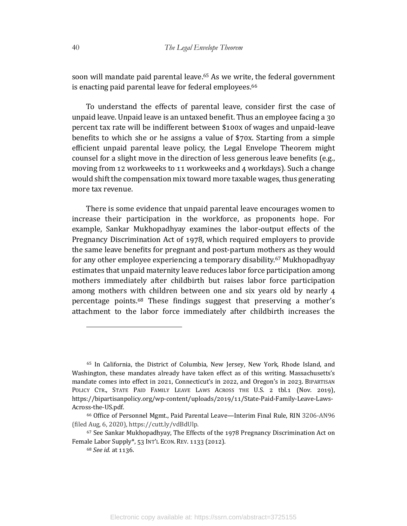soon will mandate paid parental leave.<sup>65</sup> As we write, the federal government is enacting paid parental leave for federal employees.<sup>66</sup>

To understand the effects of parental leave, consider first the case of unpaid leave. Unpaid leave is an untaxed benefit. Thus an employee facing a 30 percent tax rate will be indifferent between \$100x of wages and unpaid-leave benefits to which she or he assigns a value of  $$70x$ . Starting from a simple efficient unpaid parental leave policy, the Legal Envelope Theorem might counsel for a slight move in the direction of less generous leave benefits (e.g., moving from 12 workweeks to 11 workweeks and 4 workdays). Such a change would shift the compensation mix toward more taxable wages, thus generating more tax revenue.

There is some evidence that unpaid parental leave encourages women to increase their participation in the workforce, as proponents hope. For example, Sankar Mukhopadhyay examines the labor-output effects of the Pregnancy Discrimination Act of 1978, which required employers to provide the same leave benefits for pregnant and post-partum mothers as they would for any other employee experiencing a temporary disability.<sup>67</sup> Mukhopadhyay estimates that unpaid maternity leave reduces labor force participation among mothers immediately after childbirth but raises labor force participation among mothers with children between one and six years old by nearly 4 percentage points.<sup>68</sup> These findings suggest that preserving a mother's attachment to the labor force immediately after childbirth increases the

<sup>&</sup>lt;sup>65</sup> In California, the District of Columbia, New Jersey, New York, Rhode Island, and Washington, these mandates already have taken effect as of this writing. Massachusetts's mandate comes into effect in 2021, Connecticut's in 2022, and Oregon's in 2023. BIPARTISAN POLICY CTR., STATE PAID FAMILY LEAVE LAWS ACROSS THE U.S. 2 tbl.1 (Nov. 2019), https://bipartisanpolicy.org/wp-content/uploads/2019/11/State-Paid-Family-Leave-Laws-Across-the-US.pdf. 

<sup>&</sup>lt;sup>66</sup> Office of Personnel Mgmt., Paid Parental Leave—Interim Final Rule, RIN 3206-AN96 (filed Aug, 6, 2020), https://cutt.ly/vdBdUlp.

 $67$  See Sankar Mukhopadhyay, The Effects of the 1978 Pregnancy Discrimination Act on Female Labor Supply\*, 53 INT'L ECON. REV. 1133 (2012).

<sup>68</sup> *See id.* at 1136.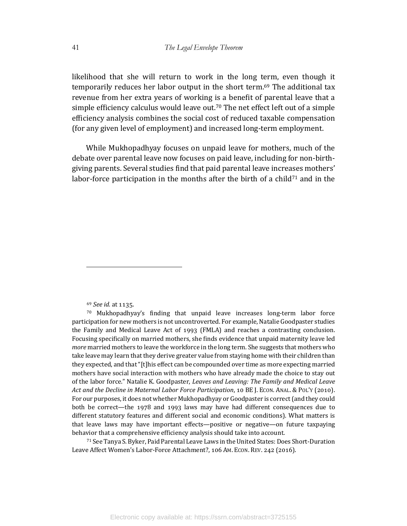likelihood that she will return to work in the long term, even though it temporarily reduces her labor output in the short term.<sup>69</sup> The additional tax revenue from her extra years of working is a benefit of parental leave that a simple efficiency calculus would leave out.<sup>70</sup> The net effect left out of a simple efficiency analysis combines the social cost of reduced taxable compensation (for any given level of employment) and increased long-term employment.

While Mukhopadhyay focuses on unpaid leave for mothers, much of the debate over parental leave now focuses on paid leave, including for non-birthgiving parents. Several studies find that paid parental leave increases mothers' labor-force participation in the months after the birth of a child<sup>71</sup> and in the

69 *See id.* at 1135.

71 See Tanya S. Byker, Paid Parental Leave Laws in the United States: Does Short-Duration Leave Affect Women's Labor-Force Attachment?, 106 AM. ECON. REV. 242 (2016).

 $70$  Mukhopadhyay's finding that unpaid leave increases long-term labor force participation for new mothers is not uncontroverted. For example, Natalie Goodpaster studies the Family and Medical Leave Act of 1993 (FMLA) and reaches a contrasting conclusion. Focusing specifically on married mothers, she finds evidence that unpaid maternity leave led *more* married mothers to leave the workforce in the long term. She suggests that mothers who take leave may learn that they derive greater value from staying home with their children than they expected, and that "[t]his effect can be compounded over time as more expecting married mothers have social interaction with mothers who have already made the choice to stay out of the labor force." Natalie K. Goodpaster, *Leaves and Leaving: The Family and Medical Leave Act and the Decline in Maternal Labor Force Participation*, 10 BE J. ECON. ANAL. & POL'Y (2010). For our purposes, it does not whether Mukhopadhyay or Goodpaster is correct (and they could both be correct—the  $1978$  and  $1993$  laws may have had different consequences due to different statutory features and different social and economic conditions). What matters is that leave laws may have important effects—positive or negative—on future taxpaying behavior that a comprehensive efficiency analysis should take into account.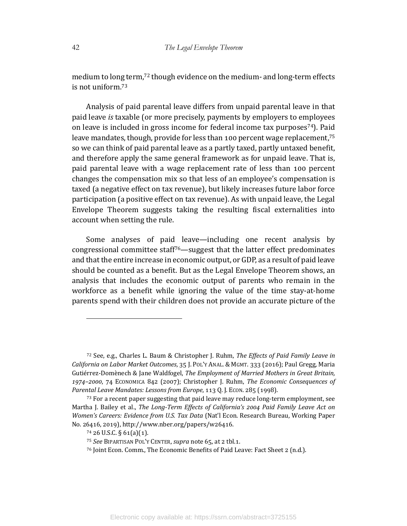medium to long term,<sup>72</sup> though evidence on the medium- and long-term effects is not uniform.<sup>73</sup>

Analysis of paid parental leave differs from unpaid parental leave in that paid leave *is* taxable (or more precisely, payments by employers to employees on leave is included in gross income for federal income tax purposes<sup>74</sup>). Paid leave mandates, though, provide for less than 100 percent wage replacement,<sup>75</sup> so we can think of paid parental leave as a partly taxed, partly untaxed benefit, and therefore apply the same general framework as for unpaid leave. That is, paid parental leave with a wage replacement rate of less than 100 percent changes the compensation mix so that less of an employee's compensation is taxed (a negative effect on tax revenue), but likely increases future labor force participation (a positive effect on tax revenue). As with unpaid leave, the Legal Envelope Theorem suggests taking the resulting fiscal externalities into account when setting the rule.

Some analyses of paid leave—including one recent analysis by congressional committee staff<sup>76</sup>—suggest that the latter effect predominates and that the entire increase in economic output, or GDP, as a result of paid leave should be counted as a benefit. But as the Legal Envelope Theorem shows, an analysis that includes the economic output of parents who remain in the workforce as a benefit while ignoring the value of the time stay-at-home parents spend with their children does not provide an accurate picture of the

<sup>&</sup>lt;sup>72</sup> See, e.g., Charles L. Baum & Christopher J. Ruhm, *The Effects of Paid Family Leave in California on Labor Market Outcomes*, 35 J. PoL'Y ANAL. & MGMT. 333 (2016); Paul Gregg, Maria Gutiérrez-Domènech & Jane Waldfogel, *The Employment of Married Mothers in Great Britain*, 1974-2000, 74 ECONOMICA 842 (2007); Christopher J. Ruhm, *The Economic Consequences of* Parental Leave Mandates: Lessons from Europe, 113 Q. J. ECON. 285 (1998).

 $73$  For a recent paper suggesting that paid leave may reduce long-term employment, see Martha J. Bailey et al., *The Long-Term Effects of California's 2004 Paid Family Leave Act on Women's Careers: Evidence from U.S. Tax Data* (Nat'l Econ. Research Bureau, Working Paper No. 26416, 2019), http://www.nber.org/papers/w26416.

 $74$  26 U.S.C. § 61(a)(1).

<sup>&</sup>lt;sup>75</sup> *See* BIPARTISAN POL'Y CENTER, *supra* note 65, at 2 tbl.1.

<sup>&</sup>lt;sup>76</sup> Joint Econ. Comm., The Economic Benefits of Paid Leave: Fact Sheet 2 (n.d.).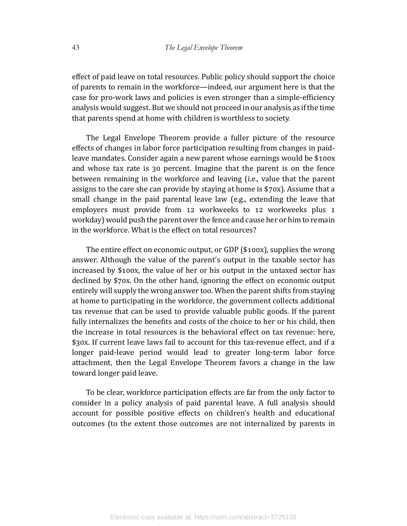effect of paid leave on total resources. Public policy should support the choice of parents to remain in the workforce—indeed, our argument here is that the case for pro-work laws and policies is even stronger than a simple-efficiency analysis would suggest. But we should not proceed in our analysis as if the time that parents spend at home with children is worthless to society.

The Legal Envelope Theorem provide a fuller picture of the resource effects of changes in labor force participation resulting from changes in paidleave mandates. Consider again a new parent whose earnings would be  $$100x$ and whose tax rate is  $30$  percent. Imagine that the parent is on the fence between remaining in the workforce and leaving (i.e., value that the parent assigns to the care she can provide by staying at home is  $$70x$ ). Assume that a small change in the paid parental leave law (e.g., extending the leave that employers must provide from 12 workweeks to 12 workweeks plus 1 workday) would push the parent over the fence and cause her or him to remain in the workforce. What is the effect on total resources?

The entire effect on economic output, or GDP  $(\$100x)$ , supplies the wrong answer. Although the value of the parent's output in the taxable sector has increased by \$100x, the value of her or his output in the untaxed sector has declined by \$70x. On the other hand, ignoring the effect on economic output entirely will supply the wrong answer too. When the parent shifts from staying at home to participating in the workforce, the government collects additional tax revenue that can be used to provide valuable public goods. If the parent fully internalizes the benefits and costs of the choice to her or his child, then the increase in total resources is the behavioral effect on tax revenue: here, \$30x. If current leave laws fail to account for this tax-revenue effect, and if a longer paid-leave period would lead to greater long-term labor force attachment, then the Legal Envelope Theorem favors a change in the law toward longer paid leave.

To be clear, workforce participation effects are far from the only factor to consider in a policy analysis of paid parental leave. A full analysis should account for possible positive effects on children's health and educational outcomes (to the extent those outcomes are not internalized by parents in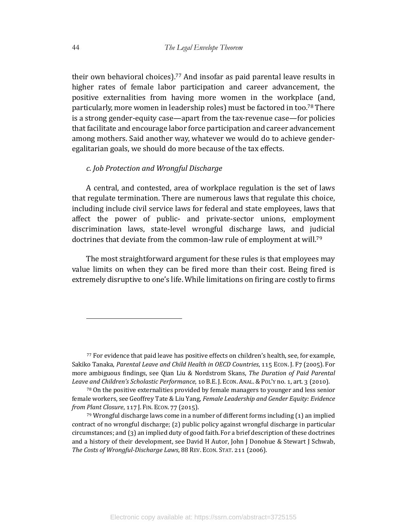their own behavioral choices).<sup>77</sup> And insofar as paid parental leave results in higher rates of female labor participation and career advancement, the positive externalities from having more women in the workplace (and, particularly, more women in leadership roles) must be factored in too.<sup>78</sup> There is a strong gender-equity case—apart from the tax-revenue case—for policies that facilitate and encourage labor force participation and career advancement among mothers. Said another way, whatever we would do to achieve genderegalitarian goals, we should do more because of the tax effects.

# *c. Job Protection and Wrongful Discharge*

A central, and contested, area of workplace regulation is the set of laws that regulate termination. There are numerous laws that regulate this choice, including include civil service laws for federal and state employees, laws that affect the power of public- and private-sector unions, employment discrimination laws, state-level wrongful discharge laws, and judicial doctrines that deviate from the common-law rule of employment at will.<sup>79</sup>

The most straightforward argument for these rules is that employees may value limits on when they can be fired more than their cost. Being fired is extremely disruptive to one's life. While limitations on firing are costly to firms

<sup>77</sup> For evidence that paid leave has positive effects on children's health, see, for example, Sakiko Tanaka, *Parental Leave and Child Health in OECD Countries*, 115 Econ. J. F7 (2005). For more ambiguous findings, see Qian Liu & Nordstrom Skans, *The Duration of Paid Parental* Leave and Children's Scholastic Performance, 10 B.E. J. ECON. ANAL. & POL'Y no. 1, art. 3 (2010).

 $78$  On the positive externalities provided by female managers to younger and less senior female workers, see Geoffrey Tate & Liu Yang, *Female Leadership and Gender Equity: Evidence from Plant Closure,* 117 J. FIN. ECON. 77 (2015).

 $79$  Wrongful discharge laws come in a number of different forms including  $(1)$  an implied contract of no wrongful discharge; (2) public policy against wrongful discharge in particular circumstances; and  $(3)$  an implied duty of good faith. For a brief description of these doctrines and a history of their development, see David H Autor, John J Donohue & Stewart J Schwab, *The Costs of Wrongful-Discharge Laws*, 88 REV. ECON. STAT. 211 (2006).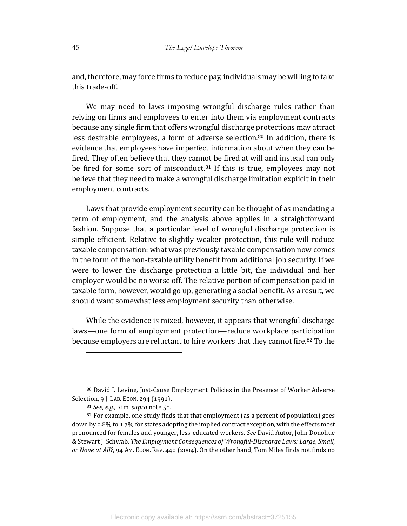and, therefore, may force firms to reduce pay, individuals may be willing to take this trade-off.

We may need to laws imposing wrongful discharge rules rather than relying on firms and employees to enter into them via employment contracts because any single firm that offers wrongful discharge protections may attract less desirable employees, a form of adverse selection.<sup>80</sup> In addition, there is evidence that employees have imperfect information about when they can be fired. They often believe that they cannot be fired at will and instead can only be fired for some sort of misconduct. $81$  If this is true, employees may not believe that they need to make a wrongful discharge limitation explicit in their employment contracts.

Laws that provide employment security can be thought of as mandating a term of employment, and the analysis above applies in a straightforward fashion. Suppose that a particular level of wrongful discharge protection is simple efficient. Relative to slightly weaker protection, this rule will reduce taxable compensation: what was previously taxable compensation now comes in the form of the non-taxable utility benefit from additional job security. If we were to lower the discharge protection a little bit, the individual and her employer would be no worse off. The relative portion of compensation paid in taxable form, however, would go up, generating a social benefit. As a result, we should want somewhat less employment security than otherwise.

While the evidence is mixed, however, it appears that wrongful discharge laws—one form of employment protection—reduce workplace participation because employers are reluctant to hire workers that they cannot fire. $82$  To the

<sup>80</sup> David I. Levine, Just-Cause Employment Policies in the Presence of Worker Adverse Selection, 9 J. LAB. ECON. 294 (1991).

<sup>81</sup> *See, e.g.*, Kim, *supra* note 58.

<sup>82</sup> For example, one study finds that that employment (as a percent of population) goes down by 0.8% to 1.7% for states adopting the implied contract exception, with the effects most pronounced for females and younger, less-educated workers. See David Autor, John Donohue & Stewart J. Schwab, *The Employment Consequences of Wrongful-Discharge Laws: Large, Small, or None at All?*, 94 AM. ECON. REV. 440 (2004). On the other hand, Tom Miles finds not finds no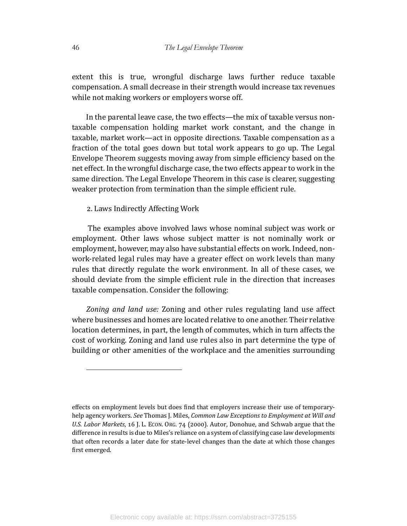extent this is true, wrongful discharge laws further reduce taxable compensation. A small decrease in their strength would increase tax revenues while not making workers or employers worse off.

In the parental leave case, the two effects—the mix of taxable versus nontaxable compensation holding market work constant, and the change in taxable, market work—act in opposite directions. Taxable compensation as a fraction of the total goes down but total work appears to go up. The Legal Envelope Theorem suggests moving away from simple efficiency based on the net effect. In the wrongful discharge case, the two effects appear to work in the same direction. The Legal Envelope Theorem in this case is clearer, suggesting weaker protection from termination than the simple efficient rule.

2. Laws Indirectly Affecting Work

The examples above involved laws whose nominal subject was work or employment. Other laws whose subject matter is not nominally work or employment, however, may also have substantial effects on work. Indeed, nonwork-related legal rules may have a greater effect on work levels than many rules that directly regulate the work environment. In all of these cases, we should deviate from the simple efficient rule in the direction that increases taxable compensation. Consider the following:

Zoning and land use: Zoning and other rules regulating land use affect where businesses and homes are located relative to one another. Their relative location determines, in part, the length of commutes, which in turn affects the cost of working. Zoning and land use rules also in part determine the type of building or other amenities of the workplace and the amenities surrounding

effects on employment levels but does find that employers increase their use of temporaryhelp agency workers. See Thomas J. Miles, *Common Law Exceptions to Employment at Will and* U.S. Labor Markets, 16 J. L. ECON. ORG. 74 (2000). Autor, Donohue, and Schwab argue that the difference in results is due to Miles's reliance on a system of classifying case law developments that often records a later date for state-level changes than the date at which those changes first emerged.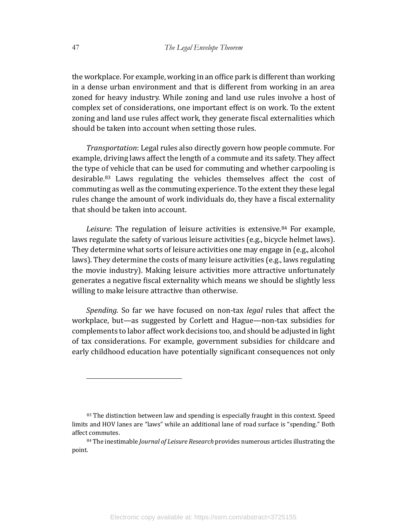the workplace. For example, working in an office park is different than working in a dense urban environment and that is different from working in an area zoned for heavy industry. While zoning and land use rules involve a host of complex set of considerations, one important effect is on work. To the extent zoning and land use rules affect work, they generate fiscal externalities which should be taken into account when setting those rules.

*Transportation*: Legal rules also directly govern how people commute. For example, driving laws affect the length of a commute and its safety. They affect the type of vehicle that can be used for commuting and whether carpooling is desirable.<sup>83</sup> Laws regulating the vehicles themselves affect the cost of commuting as well as the commuting experience. To the extent they these legal rules change the amount of work individuals do, they have a fiscal externality that should be taken into account.

*Leisure*: The regulation of leisure activities is extensive.<sup>84</sup> For example, laws regulate the safety of various leisure activities (e.g., bicycle helmet laws). They determine what sorts of leisure activities one may engage in (e.g., alcohol laws). They determine the costs of many leisure activities (e.g., laws regulating the movie industry). Making leisure activities more attractive unfortunately generates a negative fiscal externality which means we should be slightly less willing to make leisure attractive than otherwise.

*Spending.* So far we have focused on non-tax *legal* rules that affect the workplace, but—as suggested by Corlett and Hague—non-tax subsidies for complements to labor affect work decisions too, and should be adjusted in light of tax considerations. For example, government subsidies for childcare and early childhood education have potentially significant consequences not only

<sup>83</sup> The distinction between law and spending is especially fraught in this context. Speed limits and HOV lanes are "laws" while an additional lane of road surface is "spending." Both affect commutes.

<sup>84</sup> The inestimable *Journal of Leisure Research* provides numerous articles illustrating the point.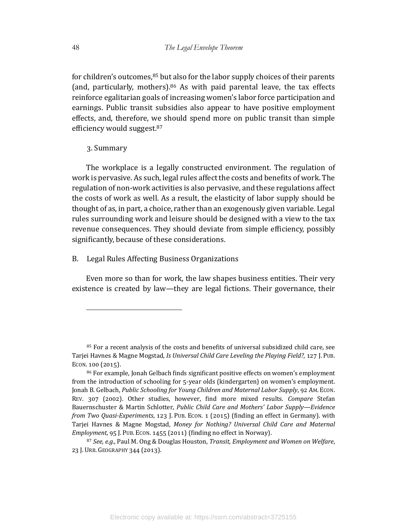for children's outcomes, $85$  but also for the labor supply choices of their parents (and, particularly, mothers). $86$  As with paid parental leave, the tax effects reinforce egalitarian goals of increasing women's labor force participation and earnings. Public transit subsidies also appear to have positive employment effects, and, therefore, we should spend more on public transit than simple efficiency would suggest.<sup>87</sup>

3. Summary

The workplace is a legally constructed environment. The regulation of work is pervasive. As such, legal rules affect the costs and benefits of work. The regulation of non-work activities is also pervasive, and these regulations affect the costs of work as well. As a result, the elasticity of labor supply should be thought of as, in part, a choice, rather than an exogenously given variable. Legal rules surrounding work and leisure should be designed with a view to the tax revenue consequences. They should deviate from simple efficiency, possibly significantly, because of these considerations.

B. Legal Rules Affecting Business Organizations

Even more so than for work, the law shapes business entities. Their very existence is created by law—they are legal fictions. Their governance, their

<sup>85</sup> For a recent analysis of the costs and benefits of universal subsidized child care, see Tarjei Havnes & Magne Mogstad, *Is Universal Child Care Leveling the Playing Field?*, 127 J. PUB. ECON.  $100(2015)$ .

<sup>86</sup> For example, Jonah Gelbach finds significant positive effects on women's employment from the introduction of schooling for 5-year olds (kindergarten) on women's employment. Jonah B. Gelbach, Public Schooling for Young Children and Maternal Labor Supply, 92 Am. ECON. REV. 307 (2002). Other studies, however, find more mixed results. *Compare* Stefan Bauernschuster & Martin Schlotter, *Public Child Care and Mothers' Labor Supply—Evidence from Two Quasi-Experiments*, 123 J. PUB. ECON. 1 (2015) (finding an effect in Germany). with Tarjei Havnes & Magne Mogstad, Money for Nothing? Universal Child Care and Maternal *Employment*, 95 J. PUB. ECON. 1455 (2011) (finding no effect in Norway).

<sup>87</sup> See, e.g., Paul M. Ong & Douglas Houston, *Transit, Employment and Women on Welfare*, 23 J. URB. GEOGRAPHY 344 (2013).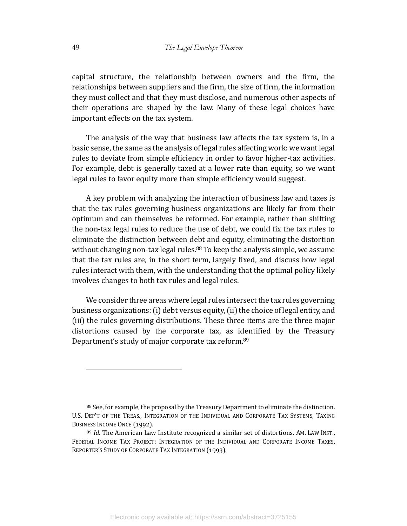capital structure, the relationship between owners and the firm, the relationships between suppliers and the firm, the size of firm, the information they must collect and that they must disclose, and numerous other aspects of their operations are shaped by the law. Many of these legal choices have important effects on the tax system.

The analysis of the way that business law affects the tax system is, in a basic sense, the same as the analysis of legal rules affecting work: we want legal rules to deviate from simple efficiency in order to favor higher-tax activities. For example, debt is generally taxed at a lower rate than equity, so we want legal rules to favor equity more than simple efficiency would suggest.

A key problem with analyzing the interaction of business law and taxes is that the tax rules governing business organizations are likely far from their optimum and can themselves be reformed. For example, rather than shifting the non-tax legal rules to reduce the use of debt, we could fix the tax rules to eliminate the distinction between debt and equity, eliminating the distortion without changing non-tax legal rules.<sup>88</sup> To keep the analysis simple, we assume that the tax rules are, in the short term, largely fixed, and discuss how legal rules interact with them, with the understanding that the optimal policy likely involves changes to both tax rules and legal rules.

We consider three areas where legal rules intersect the tax rules governing business organizations: (i) debt versus equity, (ii) the choice of legal entity, and (iii) the rules governing distributions. These three items are the three major  $distortions$  caused by the corporate tax, as identified by the Treasury Department's study of major corporate tax reform.<sup>89</sup>

<sup>88</sup> See, for example, the proposal by the Treasury Department to eliminate the distinction. U.S. DEP'T OF THE TREAS., INTEGRATION OF THE INDIVIDUAL AND CORPORATE TAX SYSTEMS, TAXING BUSINESS INCOME ONCE (1992).

<sup>89</sup> *Id.* The American Law Institute recognized a similar set of distortions. AM. LAW INST., FEDERAL INCOME TAX PROJECT: INTEGRATION OF THE INDIVIDUAL AND CORPORATE INCOME TAXES, REPORTER'S STUDY OF CORPORATE TAX INTEGRATION (1993).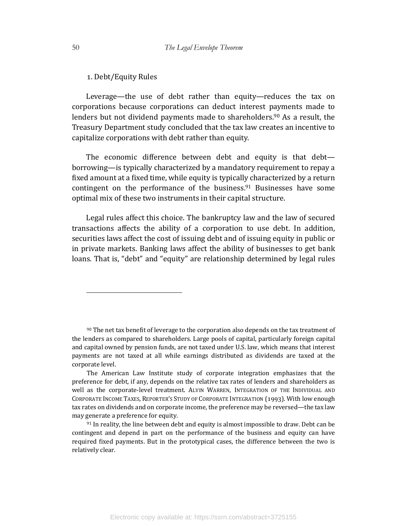# 1. Debt/Equity Rules

Leverage—the use of debt rather than equity—reduces the tax on corporations because corporations can deduct interest payments made to lenders but not dividend payments made to shareholders.<sup>90</sup> As a result, the Treasury Department study concluded that the tax law creates an incentive to capitalize corporations with debt rather than equity.

The economic difference between debt and equity is that debtborrowing—is typically characterized by a mandatory requirement to repay a fixed amount at a fixed time, while equity is typically characterized by a return contingent on the performance of the business.<sup>91</sup> Businesses have some optimal mix of these two instruments in their capital structure.

Legal rules affect this choice. The bankruptcy law and the law of secured transactions affects the ability of a corporation to use debt. In addition, securities laws affect the cost of issuing debt and of issuing equity in public or in private markets. Banking laws affect the ability of businesses to get bank loans. That is, "debt" and "equity" are relationship determined by legal rules

 $90$  The net tax benefit of leverage to the corporation also depends on the tax treatment of the lenders as compared to shareholders. Large pools of capital, particularly foreign capital and capital owned by pension funds, are not taxed under U.S. law, which means that interest payments are not taxed at all while earnings distributed as dividends are taxed at the corporate level.

The American Law Institute study of corporate integration emphasizes that the preference for debt, if any, depends on the relative tax rates of lenders and shareholders as well as the corporate-level treatment. ALVIN WARREN, INTEGRATION OF THE INDIVIDUAL AND CORPORATE INCOME TAXES, REPORTER'S STUDY OF CORPORATE INTEGRATION (1993). With low enough tax rates on dividends and on corporate income, the preference may be reversed—the tax law may generate a preference for equity.

 $91$  In reality, the line between debt and equity is almost impossible to draw. Debt can be contingent and depend in part on the performance of the business and equity can have required fixed payments. But in the prototypical cases, the difference between the two is relatively clear.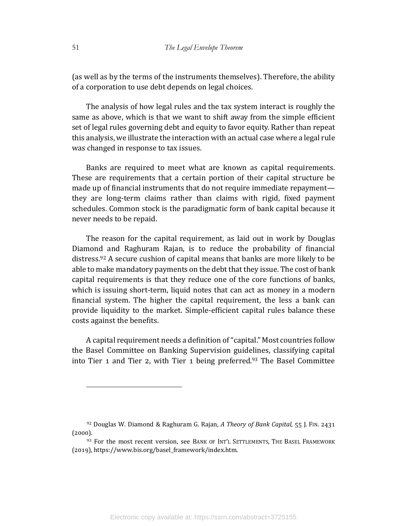(as well as by the terms of the instruments themselves). Therefore, the ability of a corporation to use debt depends on legal choices.

The analysis of how legal rules and the tax system interact is roughly the same as above, which is that we want to shift away from the simple efficient set of legal rules governing debt and equity to favor equity. Rather than repeat this analysis, we illustrate the interaction with an actual case where a legal rule was changed in response to tax issues.

Banks are required to meet what are known as capital requirements. These are requirements that a certain portion of their capital structure be made up of financial instruments that do not require immediate repayment they are long-term claims rather than claims with rigid, fixed payment schedules. Common stock is the paradigmatic form of bank capital because it never needs to be repaid.

The reason for the capital requirement, as laid out in work by Douglas Diamond and Raghuram Rajan, is to reduce the probability of financial distress.<sup>92</sup> A secure cushion of capital means that banks are more likely to be able to make mandatory payments on the debt that they issue. The cost of bank capital requirements is that they reduce one of the core functions of banks, which is issuing short-term, liquid notes that can act as money in a modern financial system. The higher the capital requirement, the less a bank can provide liquidity to the market. Simple-efficient capital rules balance these costs against the benefits.

A capital requirement needs a definition of "capital." Most countries follow the Basel Committee on Banking Supervision guidelines, classifying capital into Tier 1 and Tier 2, with Tier 1 being preferred.<sup>93</sup> The Basel Committee

<sup>&</sup>lt;sup>92</sup> Douglas W. Diamond & Raghuram G. Rajan, *A Theory of Bank Capital*, 55 J. FIN. 2431  $(2000).$ 

<sup>93</sup> For the most recent version, see BANK OF INT'L SETTLEMENTS, THE BASEL FRAMEWORK (2019), https://www.bis.org/basel\_framework/index.htm.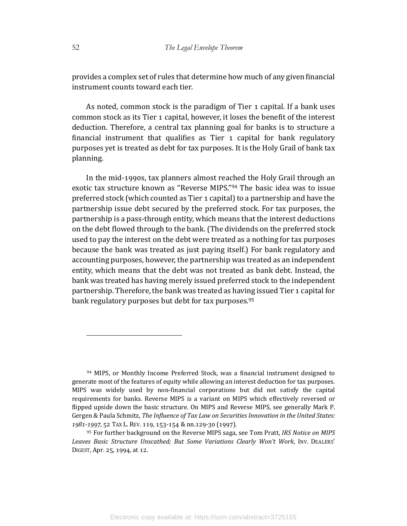provides a complex set of rules that determine how much of any given financial instrument counts toward each tier.

As noted, common stock is the paradigm of Tier 1 capital. If a bank uses common stock as its Tier 1 capital, however, it loses the benefit of the interest deduction. Therefore, a central tax planning goal for banks is to structure a financial instrument that qualifies as Tier  $\alpha$  capital for bank regulatory purposes yet is treated as debt for tax purposes. It is the Holy Grail of bank tax planning. 

In the mid-1990s, tax planners almost reached the Holy Grail through an exotic tax structure known as "Reverse MIPS."<sup>94</sup> The basic idea was to issue preferred stock (which counted as Tier 1 capital) to a partnership and have the partnership issue debt secured by the preferred stock. For tax purposes, the partnership is a pass-through entity, which means that the interest deductions on the debt flowed through to the bank. (The dividends on the preferred stock used to pay the interest on the debt were treated as a nothing for tax purposes because the bank was treated as just paying itself.) For bank regulatory and accounting purposes, however, the partnership was treated as an independent entity, which means that the debt was not treated as bank debt. Instead, the bank was treated has having merely issued preferred stock to the independent partnership. Therefore, the bank was treated as having issued Tier 1 capital for bank regulatory purposes but debt for tax purposes.<sup>95</sup>

<sup>94</sup> MIPS, or Monthly Income Preferred Stock, was a financial instrument designed to generate most of the features of equity while allowing an interest deduction for tax purposes. MIPS was widely used by non-financial corporations but did not satisfy the capital requirements for banks. Reverse MIPS is a variant on MIPS which effectively reversed or flipped upside down the basic structure. On MIPS and Reverse MIPS, see generally Mark P. Gergen & Paula Schmitz, *The Influence of Tax Law on Securities Innovation in the United States:* 1981-1997, 52 TAX L. REV. 119, 153-154 & nn.129-30 (1997).

<sup>95</sup> For further background on the Reverse MIPS saga, see Tom Pratt, *IRS Notice on MIPS* Leaves Basic Structure Unscathed; But Some Variations Clearly Won't Work, INV. DEALERS' DIGEST, Apr. 25, 1994, at 12.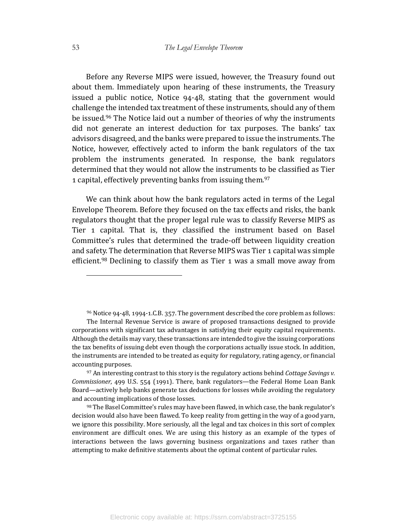Before any Reverse MIPS were issued, however, the Treasury found out about them. Immediately upon hearing of these instruments, the Treasury issued a public notice, Notice  $94-48$ , stating that the government would challenge the intended tax treatment of these instruments, should any of them be issued.<sup>96</sup> The Notice laid out a number of theories of why the instruments did not generate an interest deduction for tax purposes. The banks' tax advisors disagreed, and the banks were prepared to issue the instruments. The Notice, however, effectively acted to inform the bank regulators of the tax problem the instruments generated. In response, the bank regulators determined that they would not allow the instruments to be classified as Tier 1 capital, effectively preventing banks from issuing them.<sup>97</sup>

We can think about how the bank regulators acted in terms of the Legal Envelope Theorem. Before they focused on the tax effects and risks, the bank regulators thought that the proper legal rule was to classify Reverse MIPS as Tier 1 capital. That is, they classified the instrument based on Basel Committee's rules that determined the trade-off between liquidity creation and safety. The determination that Reverse MIPS was Tier 1 capital was simple efficient.<sup>98</sup> Declining to classify them as Tier 1 was a small move away from

 $96$  Notice  $94$ - $48$ , 1994-1.C.B. 357. The government described the core problem as follows:

The Internal Revenue Service is aware of proposed transactions designed to provide corporations with significant tax advantages in satisfying their equity capital requirements. Although the details may vary, these transactions are intended to give the issuing corporations the tax benefits of issuing debt even though the corporations actually issue stock. In addition, the instruments are intended to be treated as equity for regulatory, rating agency, or financial accounting purposes.

<sup>97</sup> An interesting contrast to this story is the regulatory actions behind *Cottage Savings v. Commissioner*, 499 U.S. 554 (1991). There, bank regulators—the Federal Home Loan Bank Board—actively help banks generate tax deductions for losses while avoiding the regulatory and accounting implications of those losses.

<sup>98</sup> The Basel Committee's rules may have been flawed, in which case, the bank regulator's decision would also have been flawed. To keep reality from getting in the way of a good yarn, we ignore this possibility. More seriously, all the legal and tax choices in this sort of complex environment are difficult ones. We are using this history as an example of the types of interactions between the laws governing business organizations and taxes rather than attempting to make definitive statements about the optimal content of particular rules.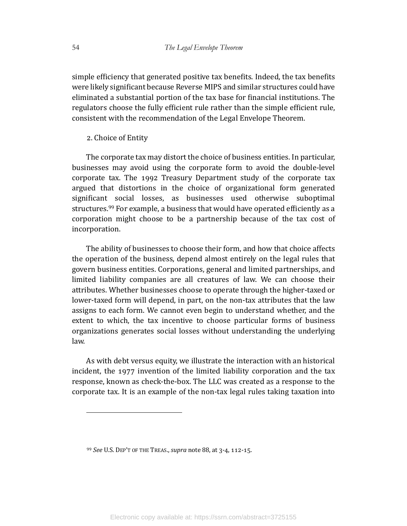simple efficiency that generated positive tax benefits. Indeed, the tax benefits were likely significant because Reverse MIPS and similar structures could have eliminated a substantial portion of the tax base for financial institutions. The regulators choose the fully efficient rule rather than the simple efficient rule, consistent with the recommendation of the Legal Envelope Theorem.

#### 2. Choice of Entity

The corporate tax may distort the choice of business entities. In particular, businesses may avoid using the corporate form to avoid the double-level corporate tax. The 1992 Treasury Department study of the corporate tax argued that distortions in the choice of organizational form generated significant social losses, as businesses used otherwise suboptimal structures.<sup>99</sup> For example, a business that would have operated efficiently as a corporation might choose to be a partnership because of the tax cost of incorporation. 

The ability of businesses to choose their form, and how that choice affects the operation of the business, depend almost entirely on the legal rules that govern business entities. Corporations, general and limited partnerships, and limited liability companies are all creatures of law. We can choose their attributes. Whether businesses choose to operate through the higher-taxed or lower-taxed form will depend, in part, on the non-tax attributes that the law assigns to each form. We cannot even begin to understand whether, and the extent to which, the tax incentive to choose particular forms of business organizations generates social losses without understanding the underlying law. 

As with debt versus equity, we illustrate the interaction with an historical incident, the  $1977$  invention of the limited liability corporation and the tax response, known as check-the-box. The LLC was created as a response to the corporate tax. It is an example of the non-tax legal rules taking taxation into

<sup>99</sup> *See* U.S. DEP'T OF THE TREAS., *supra* note 88, at 3-4, 112-15.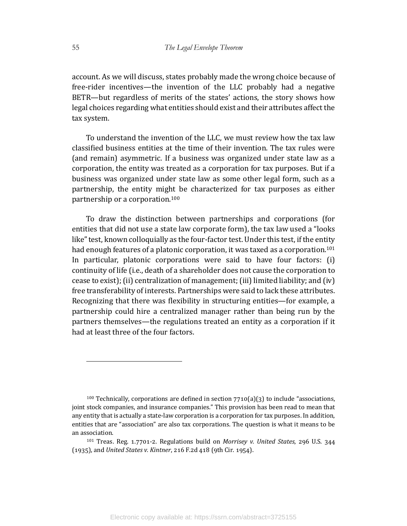account. As we will discuss, states probably made the wrong choice because of free-rider incentives—the invention of the LLC probably had a negative BETR—but regardless of merits of the states' actions, the story shows how legal choices regarding what entities should exist and their attributes affect the tax system.

To understand the invention of the LLC, we must review how the tax law classified business entities at the time of their invention. The tax rules were (and remain) asymmetric. If a business was organized under state law as a corporation, the entity was treated as a corporation for tax purposes. But if a business was organized under state law as some other legal form, such as a partnership, the entity might be characterized for tax purposes as either partnership or a corporation.<sup>100</sup>

To draw the distinction between partnerships and corporations (for entities that did not use a state law corporate form), the tax law used a "looks like" test, known colloquially as the four-factor test. Under this test, if the entity had enough features of a platonic corporation, it was taxed as a corporation.<sup>101</sup> In particular, platonic corporations were said to have four factors: (i) continuity of life (i.e., death of a shareholder does not cause the corporation to cease to exist); (ii) centralization of management; (iii) limited liability; and  $(iv)$ free transferability of interests. Partnerships were said to lack these attributes. Recognizing that there was flexibility in structuring entities—for example, a partnership could hire a centralized manager rather than being run by the partners themselves—the regulations treated an entity as a corporation if it had at least three of the four factors.

<sup>100</sup> Technically, corporations are defined in section  $7710(a)(3)$  to include "associations, joint stock companies, and insurance companies." This provision has been read to mean that any entity that is actually a state-law corporation is a corporation for tax purposes. In addition, entities that are "association" are also tax corporations. The question is what it means to be an association.

<sup>101</sup> Treas. Reg. 1.7701-2. Regulations build on *Morrisey v. United States*, 296 U.S. 344 (1935), and *United States v. Kintner*, 216 F.2d 418 (9th Cir. 1954).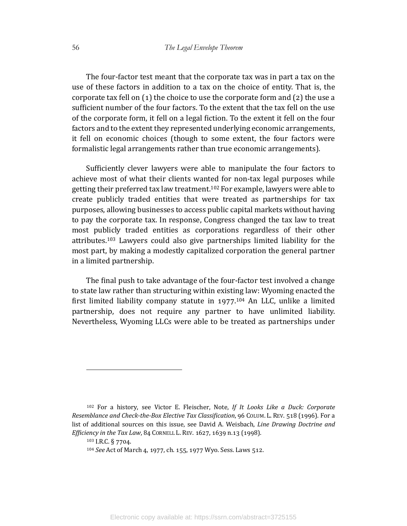The four-factor test meant that the corporate tax was in part a tax on the use of these factors in addition to a tax on the choice of entity. That is, the corporate tax fell on  $(1)$  the choice to use the corporate form and  $(2)$  the use a sufficient number of the four factors. To the extent that the tax fell on the use of the corporate form, it fell on a legal fiction. To the extent it fell on the four factors and to the extent they represented underlying economic arrangements, it fell on economic choices (though to some extent, the four factors were formalistic legal arrangements rather than true economic arrangements).

Sufficiently clever lawyers were able to manipulate the four factors to achieve most of what their clients wanted for non-tax legal purposes while getting their preferred tax law treatment.<sup>102</sup> For example, lawyers were able to create publicly traded entities that were treated as partnerships for tax purposes, allowing businesses to access public capital markets without having to pay the corporate tax. In response, Congress changed the tax law to treat most publicly traded entities as corporations regardless of their other attributes.<sup>103</sup> Lawyers could also give partnerships limited liability for the most part, by making a modestly capitalized corporation the general partner in a limited partnership.

The final push to take advantage of the four-factor test involved a change to state law rather than structuring within existing law: Wyoming enacted the first limited liability company statute in  $1977$ .<sup>104</sup> An LLC, unlike a limited partnership, does not require any partner to have unlimited liability. Nevertheless, Wyoming LLCs were able to be treated as partnerships under

<sup>&</sup>lt;sup>102</sup> For a history, see Victor E. Fleischer, Note, If It Looks Like a Duck: Corporate *Resemblance and Check-the-Box Elective Tax Classification*, 96 COLUM. L. REV. 518 (1996). For a list of additional sources on this issue, see David A. Weisbach, *Line Drawing Doctrine and Efficiency in the Tax Law*, 84 CORNELL L. REV. 1627, 1639 n.13 (1998).

<sup>103</sup> I.R.C. § 7704.

<sup>&</sup>lt;sup>104</sup> *See* Act of March 4, 1977, ch. 155, 1977 Wyo. Sess. Laws 512.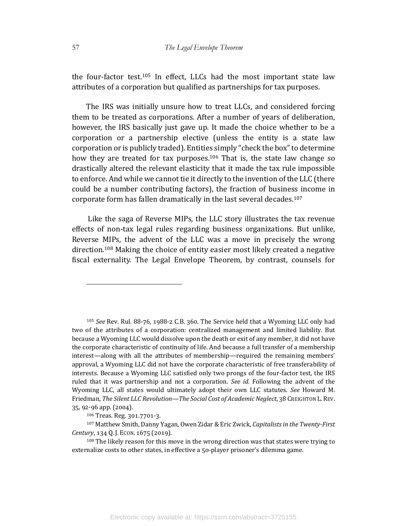the four-factor test.<sup>105</sup> In effect, LLCs had the most important state law attributes of a corporation but qualified as partnerships for tax purposes.

The IRS was initially unsure how to treat LLCs, and considered forcing them to be treated as corporations. After a number of years of deliberation, however, the IRS basically just gave up. It made the choice whether to be a corporation or a partnership elective (unless the entity is a state law corporation or is publicly traded). Entities simply "check the box" to determine how they are treated for tax purposes.<sup>106</sup> That is, the state law change so drastically altered the relevant elasticity that it made the tax rule impossible to enforce. And while we cannot tie it directly to the invention of the LLC (there could be a number contributing factors), the fraction of business income in corporate form has fallen dramatically in the last several decades.<sup>107</sup>

Like the saga of Reverse MIPs, the LLC story illustrates the tax revenue effects of non-tax legal rules regarding business organizations. But unlike, Reverse MIPs, the advent of the LLC was a move in precisely the wrong direction.<sup>108</sup> Making the choice of entity easier most likely created a negative fiscal externality. The Legal Envelope Theorem, by contrast, counsels for

<sup>&</sup>lt;sup>105</sup> *See* Rev. Rul. 88-76, 1988-2 C.B. 360. The Service held that a Wyoming LLC only had two of the attributes of a corporation: centralized management and limited liability. But because a Wyoming LLC would dissolve upon the death or exit of any member, it did not have the corporate characteristic of continuity of life. And because a full transfer of a membership interest—along with all the attributes of membership—required the remaining members' approval, a Wyoming LLC did not have the corporate characteristic of free transferability of interests. Because a Wyoming LLC satisfied only two prongs of the four-factor test, the IRS ruled that it was partnership and not a corporation. *See id.* Following the advent of the Wyoming LLC, all states would ultimately adopt their own LLC statutes. See Howard M. Friedman, *The Silent LLC Revolution—The Social Cost of Academic Neglect*, 38 CREIGHTON L.REV. 35, 92-96 app. (2004).

 $106$  Treas. Reg.  $301.7701 - 3$ .

<sup>107</sup> Matthew Smith, Danny Yagan, Owen Zidar & Eric Zwick, *Capitalists in the Twenty-First Century*, 134 Q. J. ECON. 1675 (2019).

 $108$  The likely reason for this move in the wrong direction was that states were trying to externalize costs to other states, in effective a 50-player prisoner's dilemma game.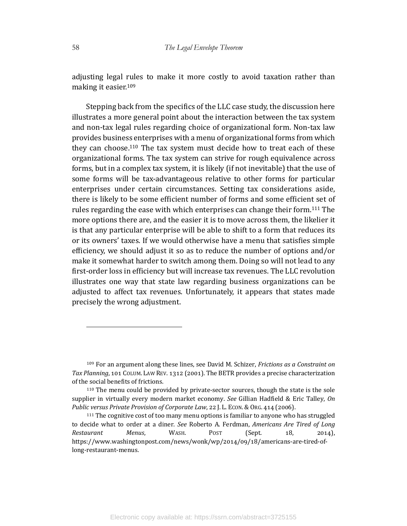adjusting legal rules to make it more costly to avoid taxation rather than making it easier.<sup>109</sup>

Stepping back from the specifics of the LLC case study, the discussion here illustrates a more general point about the interaction between the tax system and non-tax legal rules regarding choice of organizational form. Non-tax law provides business enterprises with a menu of organizational forms from which they can choose.<sup>110</sup> The tax system must decide how to treat each of these organizational forms. The tax system can strive for rough equivalence across forms, but in a complex tax system, it is likely (if not inevitable) that the use of some forms will be tax-advantageous relative to other forms for particular enterprises under certain circumstances. Setting tax considerations aside, there is likely to be some efficient number of forms and some efficient set of rules regarding the ease with which enterprises can change their form.<sup>111</sup> The more options there are, and the easier it is to move across them, the likelier it is that any particular enterprise will be able to shift to a form that reduces its or its owners' taxes. If we would otherwise have a menu that satisfies simple efficiency, we should adjust it so as to reduce the number of options and/or make it somewhat harder to switch among them. Doing so will not lead to any first-order loss in efficiency but will increase tax revenues. The LLC revolution illustrates one way that state law regarding business organizations can be adjusted to affect tax revenues. Unfortunately, it appears that states made precisely the wrong adjustment.

<sup>&</sup>lt;sup>109</sup> For an argument along these lines, see David M. Schizer, *Frictions* as a Constraint on Tax Planning, 101 COLUM. LAW REV. 1312 (2001). The BETR provides a precise characterization of the social benefits of frictions.

 $110$  The menu could be provided by private-sector sources, though the state is the sole supplier in virtually every modern market economy. See Gillian Hadfield & Eric Talley, On *Public versus Private Provision of Corporate Law, 22 J. L. Econ. & Org. 414 (2006).* 

<sup>&</sup>lt;sup>111</sup> The cognitive cost of too many menu options is familiar to anyone who has struggled to decide what to order at a diner. *See* Roberto A. Ferdman, *Americans Are Tired of Long* Restaurant Menus, WASH. POST (Sept. 18, 2014), https://www.washingtonpost.com/news/wonk/wp/2014/09/18/americans-are-tired-oflong-restaurant-menus.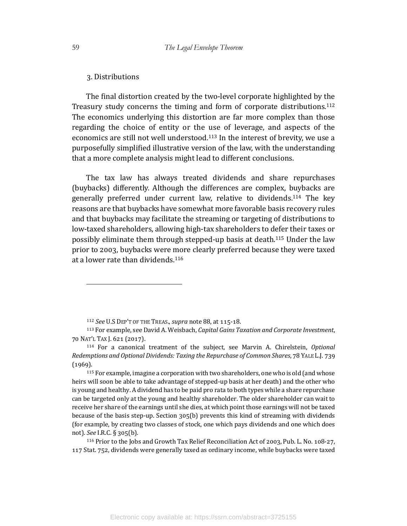# 3. Distributions

The final distortion created by the two-level corporate highlighted by the Treasury study concerns the timing and form of corporate distributions.<sup>112</sup> The economics underlying this distortion are far more complex than those regarding the choice of entity or the use of leverage, and aspects of the economics are still not well understood.<sup>113</sup> In the interest of brevity, we use a purposefully simplified illustrative version of the law, with the understanding that a more complete analysis might lead to different conclusions.

The tax law has always treated dividends and share repurchases (buybacks) differently. Although the differences are complex, buybacks are generally preferred under current law, relative to dividends.<sup>114</sup> The key reasons are that buybacks have somewhat more favorable basis recovery rules and that buybacks may facilitate the streaming or targeting of distributions to low-taxed shareholders, allowing high-tax shareholders to defer their taxes or possibly eliminate them through stepped-up basis at death.<sup>115</sup> Under the law prior to 2003, buybacks were more clearly preferred because they were taxed at a lower rate than dividends. $116$ 

 $115$  For example, imagine a corporation with two shareholders, one who is old (and whose heirs will soon be able to take advantage of stepped-up basis at her death) and the other who is young and healthy. A dividend has to be paid pro rata to both types while a share repurchase can be targeted only at the young and healthy shareholder. The older shareholder can wait to receive her share of the earnings until she dies, at which point those earnings will not be taxed because of the basis step-up. Section  $305(b)$  prevents this kind of streaming with dividends (for example, by creating two classes of stock, one which pays dividends and one which does not). *See* I.R.C. § 305(b).

<sup>116</sup> Prior to the Jobs and Growth Tax Relief Reconciliation Act of 2003, Pub. L. No. 108-27, 117 Stat. 752, dividends were generally taxed as ordinary income, while buybacks were taxed

<sup>&</sup>lt;sup>112</sup> See U.S DEP'T OF THE TREAS., *supra* note 88, at 115-18.

<sup>113</sup> For example, see David A. Weisbach, *Capital Gains Taxation and Corporate Investment*, 70 NAT'L TAX J. 621 (2017).

<sup>&</sup>lt;sup>114</sup> For a canonical treatment of the subject, see Marvin A. Chirelstein, *Optional Redemptions and Optional Dividends: Taxing the Repurchase of Common Shares, 78 YALE L.J. 739*  $(1969).$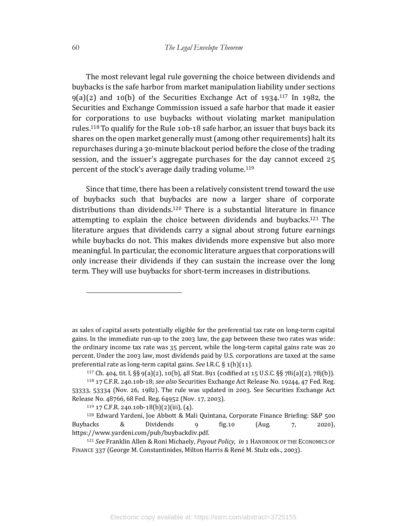The most relevant legal rule governing the choice between dividends and buybacks is the safe harbor from market manipulation liability under sections  $g(a)(2)$  and  $10(b)$  of the Securities Exchange Act of  $1934$ .<sup>117</sup> In 1982, the Securities and Exchange Commission issued a safe harbor that made it easier for corporations to use buybacks without violating market manipulation rules.<sup>118</sup> To qualify for the Rule  $10b-18$  safe harbor, an issuer that buys back its shares on the open market generally must (among other requirements) halt its repurchases during a 30-minute blackout period before the close of the trading session, and the issuer's aggregate purchases for the day cannot exceed  $25$ percent of the stock's average daily trading volume.<sup>119</sup>

Since that time, there has been a relatively consistent trend toward the use of buybacks such that buybacks are now a larger share of corporate distributions than dividends.<sup>120</sup> There is a substantial literature in finance attempting to explain the choice between dividends and buybacks.<sup>121</sup> The literature argues that dividends carry a signal about strong future earnings while buybacks do not. This makes dividends more expensive but also more meaningful. In particular, the economic literature argues that corporations will only increase their dividends if they can sustain the increase over the long term. They will use buybacks for short-term increases in distributions.

as sales of capital assets potentially eligible for the preferential tax rate on long-term capital gains. In the immediate run-up to the 2003 law, the gap between these two rates was wide: the ordinary income tax rate was  $35$  percent, while the long-term capital gains rate was  $20$ percent. Under the 2003 law, most dividends paid by U.S. corporations are taxed at the same preferential rate as long-term capital gains. See I.R.C. § 1(h)(11).

 $117$  Ch. 404, tit. I, §§ 9(a)(2), 10(b), 48 Stat. 891 (codified at 15 U.S.C. §§ 78i(a)(2), 78j(b)).

<sup>&</sup>lt;sup>118</sup> 17 C.F.R. 240.10b-18; *see also* Securities Exchange Act Release No. 19244, 47 Fed. Reg. 53333, 53334 (Nov. 26, 1982). The rule was updated in 2003. See Securities Exchange Act Release No. 48766, 68 Fed. Reg. 64952 (Nov. 17, 2003).

 $119$  17 C.F.R. 240.10b-18(b)(2)(iii), (4).

<sup>&</sup>lt;sup>120</sup> Edward Yardeni, Joe Abbott & Mali Quintana, Corporate Finance Briefing: S&P 500 Buybacks & Dividends  $\frac{1}{2}$  fig.10 (Aug. 7, 2020), https://www.yardeni.com/pub/buybackdiv.pdf.

<sup>121</sup> See Franklin Allen & Roni Michaely, *Payout Policy*, in 1 HANDBOOK OF THE ECONOMICS OF FINANCE 337 (George M. Constantinides, Milton Harris & René M. Stulz eds., 2003).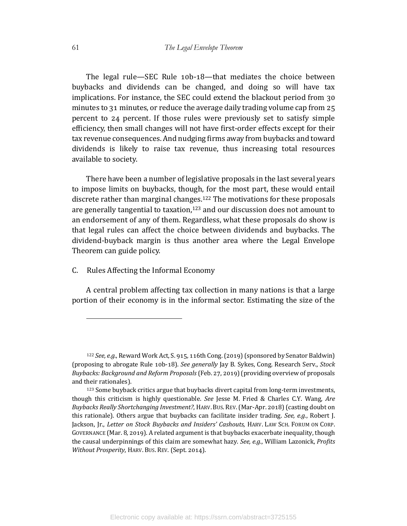The legal rule—SEC Rule  $10b-18$ —that mediates the choice between buybacks and dividends can be changed, and doing so will have tax implications. For instance, the SEC could extend the blackout period from 30 minutes to 31 minutes, or reduce the average daily trading volume cap from  $25$ percent to 24 percent. If those rules were previously set to satisfy simple efficiency, then small changes will not have first-order effects except for their tax revenue consequences. And nudging firms away from buybacks and toward dividends is likely to raise tax revenue, thus increasing total resources available to society.

There have been a number of legislative proposals in the last several years to impose limits on buybacks, though, for the most part, these would entail discrete rather than marginal changes.<sup>122</sup> The motivations for these proposals are generally tangential to taxation, $123$  and our discussion does not amount to an endorsement of any of them. Regardless, what these proposals do show is that legal rules can affect the choice between dividends and buybacks. The dividend-buyback margin is thus another area where the Legal Envelope Theorem can guide policy.

# C. Rules Affecting the Informal Economy

A central problem affecting tax collection in many nations is that a large portion of their economy is in the informal sector. Estimating the size of the

<sup>&</sup>lt;sup>122</sup> *See, e.g.*, Reward Work Act, S. 915, 116th Cong. (2019) (sponsored by Senator Baldwin) (proposing to abrogate Rule 10b-18). See generally Jay B. Sykes, Cong. Research Serv., Stock *Buybacks: Background and Reform Proposals* (Feb. 27, 2019) (providing overview of proposals and their rationales).

<sup>123</sup> Some buyback critics argue that buybacks divert capital from long-term investments, though this criticism is highly questionable. *See* Jesse M. Fried & Charles C.Y. Wang, *Are Buybacks Really Shortchanging Investment?*, HARV. BUS. REV. (Mar-Apr. 2018) (casting doubt on this rationale). Others argue that buybacks can facilitate insider trading. See, e.g., Robert J. Jackson, Jr., *Letter on Stock Buybacks and Insiders' Cashouts*, HARV. LAW SCH. FORUM ON CORP. GOVERNANCE (Mar. 8, 2019). A related argument is that buybacks exacerbate inequality, though the causal underpinnings of this claim are somewhat hazy. See, e.g., William Lazonick, *Profits Without Prosperity*, HARV. BUS. REV. (Sept. 2014).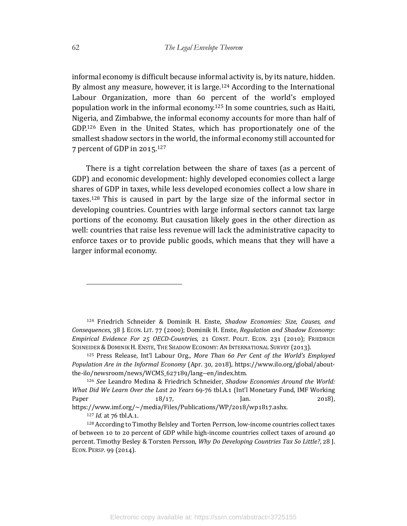informal economy is difficult because informal activity is, by its nature, hidden. By almost any measure, however, it is large.<sup>124</sup> According to the International Labour Organization, more than 60 percent of the world's employed population work in the informal economy.<sup>125</sup> In some countries, such as Haiti, Nigeria, and Zimbabwe, the informal economy accounts for more than half of GDP.<sup>126</sup> Even in the United States, which has proportionately one of the smallest shadow sectors in the world, the informal economy still accounted for 7 percent of GDP in  $2015$ .<sup>127</sup>

There is a tight correlation between the share of taxes (as a percent of GDP) and economic development: highly developed economies collect a large shares of GDP in taxes, while less developed economies collect a low share in taxes.<sup>128</sup> This is caused in part by the large size of the informal sector in developing countries. Countries with large informal sectors cannot tax large portions of the economy. But causation likely goes in the other direction as well: countries that raise less revenue will lack the administrative capacity to enforce taxes or to provide public goods, which means that they will have a larger informal economy.

<sup>124</sup> Friedrich Schneider & Dominik H. Enste, Shadow Economies: Size, Causes, and *Consequences*, 38 J. ECON. LIT. 77 (2000); Dominik H. Enste, *Regulation and Shadow Economy: Empirical Evidence For 25 OECD-Countries*, 21 CONST. POLIT. ECON. 231 (2010); FRIEDRICH SCHNEIDER & DOMINIK H. ENSTE, THE SHADOW ECONOMY: AN INTERNATIONAL SURVEY (2013).

<sup>125</sup> Press Release, Int'l Labour Org., More Than 60 Per Cent of the World's *Employed Population Are in the Informal Economy* (Apr. 30, 2018), https://www.ilo.org/global/aboutthe-ilo/newsroom/news/WCMS\_627189/lang--en/index.htm.

<sup>&</sup>lt;sup>126</sup> *See* Leandro Medina & Friedrich Schneider, *Shadow Economies Around the World: What Did We Learn Over the Last 20 Years* 69-76 tbl.A.1 (Int'l Monetary Fund, IMF Working Paper  $18/17$ ,  $\boxed{\text{an.}}$  2018), https://www.imf.org/~/media/Files/Publications/WP/2018/wp1817.ashx.

<sup>127</sup> *Id.* at 76 tbl.A.1.

<sup>128</sup> According to Timothy Belsley and Torten Perrson, low-income countries collect taxes of between 10 to 20 percent of GDP while high-income countries collect taxes of around  $40$ percent. Timothy Besley & Torsten Persson, *Why Do Developing Countries Tax So Little?*, 28 J. ECON. PERSP. 99 (2014).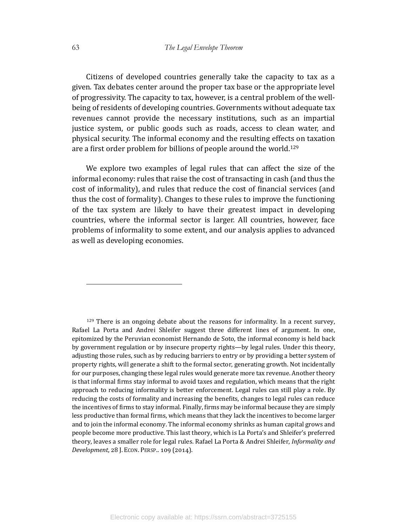Citizens of developed countries generally take the capacity to tax as a given. Tax debates center around the proper tax base or the appropriate level of progressivity. The capacity to tax, however, is a central problem of the wellbeing of residents of developing countries. Governments without adequate tax revenues cannot provide the necessary institutions, such as an impartial justice system, or public goods such as roads, access to clean water, and physical security. The informal economy and the resulting effects on taxation are a first order problem for billions of people around the world.<sup>129</sup>

We explore two examples of legal rules that can affect the size of the informal economy: rules that raise the cost of transacting in cash (and thus the cost of informality), and rules that reduce the cost of financial services (and thus the cost of formality). Changes to these rules to improve the functioning of the tax system are likely to have their greatest impact in developing countries, where the informal sector is larger. All countries, however, face problems of informality to some extent, and our analysis applies to advanced as well as developing economies.

 $129$  There is an ongoing debate about the reasons for informality. In a recent survey, Rafael La Porta and Andrei Shleifer suggest three different lines of argument. In one, epitomized by the Peruvian economist Hernando de Soto, the informal economy is held back by government regulation or by insecure property rights—by legal rules. Under this theory, adjusting those rules, such as by reducing barriers to entry or by providing a better system of property rights, will generate a shift to the formal sector, generating growth. Not incidentally for our purposes, changing these legal rules would generate more tax revenue. Another theory is that informal firms stay informal to avoid taxes and regulation, which means that the right approach to reducing informality is better enforcement. Legal rules can still play a role. By reducing the costs of formality and increasing the benefits, changes to legal rules can reduce the incentives of firms to stay informal. Finally, firms may be informal because they are simply less productive than formal firms, which means that they lack the incentives to become larger and to join the informal economy. The informal economy shrinks as human capital grows and people become more productive. This last theory, which is La Porta's and Shleifer's preferred theory, leaves a smaller role for legal rules. Rafael La Porta & Andrei Shleifer, *Informality and Development*, 28 J. ECON. PERSP.. 109 (2014).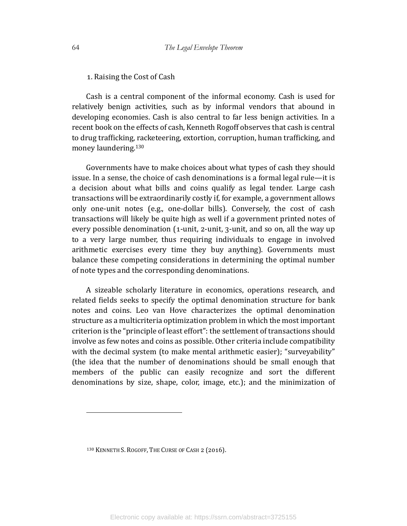1. Raising the Cost of Cash

Cash is a central component of the informal economy. Cash is used for relatively benign activities, such as by informal vendors that abound in developing economies. Cash is also central to far less benign activities. In a recent book on the effects of cash, Kenneth Rogoff observes that cash is central to drug trafficking, racketeering, extortion, corruption, human trafficking, and money laundering.<sup>130</sup>

Governments have to make choices about what types of cash they should issue. In a sense, the choice of cash denominations is a formal legal rule—it is a decision about what bills and coins qualify as legal tender. Large cash transactions will be extraordinarily costly if, for example, a government allows only one-unit notes (e.g., one-dollar bills). Conversely, the cost of cash transactions will likely be quite high as well if a government printed notes of every possible denomination  $(1\text{-unit}, 2\text{-unit}, 3\text{-unit},$  and so on, all the way up to a very large number, thus requiring individuals to engage in involved arithmetic exercises every time they buy anything). Governments must balance these competing considerations in determining the optimal number of note types and the corresponding denominations.

A sizeable scholarly literature in economics, operations research, and related fields seeks to specify the optimal denomination structure for bank notes and coins. Leo van Hove characterizes the optimal denomination structure as a multicriteria optimization problem in which the most important criterion is the "principle of least effort": the settlement of transactions should involve as few notes and coins as possible. Other criteria include compatibility with the decimal system (to make mental arithmetic easier); "surveyability" (the idea that the number of denominations should be small enough that members of the public can easily recognize and sort the different denominations by size, shape, color, image, etc.); and the minimization of

<sup>130</sup> KENNETH S. ROGOFF, THE CURSE OF CASH 2 (2016).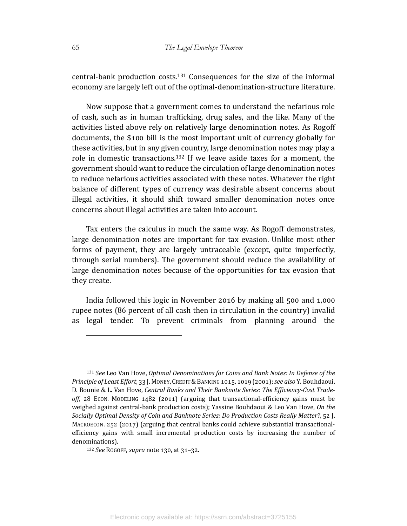central-bank production costs.<sup>131</sup> Consequences for the size of the informal economy are largely left out of the optimal-denomination-structure literature.

Now suppose that a government comes to understand the nefarious role of cash, such as in human trafficking, drug sales, and the like. Many of the activities listed above rely on relatively large denomination notes. As Rogoff documents, the \$100 bill is the most important unit of currency globally for these activities, but in any given country, large denomination notes may play a role in domestic transactions.<sup>132</sup> If we leave aside taxes for a moment, the government should want to reduce the circulation of large denomination notes to reduce nefarious activities associated with these notes. Whatever the right balance of different types of currency was desirable absent concerns about illegal activities, it should shift toward smaller denomination notes once concerns about illegal activities are taken into account.

Tax enters the calculus in much the same way. As Rogoff demonstrates, large denomination notes are important for tax evasion. Unlike most other forms of payment, they are largely untraceable (except, quite imperfectly, through serial numbers). The government should reduce the availability of large denomination notes because of the opportunities for tax evasion that they create.

India followed this logic in November 2016 by making all 500 and  $1,000$ rupee notes (86 percent of all cash then in circulation in the country) invalid as legal tender. To prevent criminals from planning around the

<sup>&</sup>lt;sup>131</sup> See Leo Van Hove, Optimal Denominations for Coins and Bank Notes: In Defense of the *Principle of Least Effort*, 33 J. MONEY, CREDIT & BANKING 1015, 1019 (2001); see also Y. Bouhdaoui, D. Bounie & L. Van Hove, Central Banks and Their Banknote Series: The Efficiency-Cost Trade $off$ , 28 ECON. MODELING  $1482$  (2011) (arguing that transactional-efficiency gains must be weighed against central-bank production costs); Yassine Bouhdaoui & Leo Van Hove, On the Socially Optimal Density of Coin and Banknote Series: Do Production Costs Really Matter?, 52 J. MACROECON. 252 (2017) (arguing that central banks could achieve substantial transactionalefficiency gains with small incremental production costs by increasing the number of denominations).

<sup>132</sup> *See* RogoFF, *supra* note 130, at 31-32.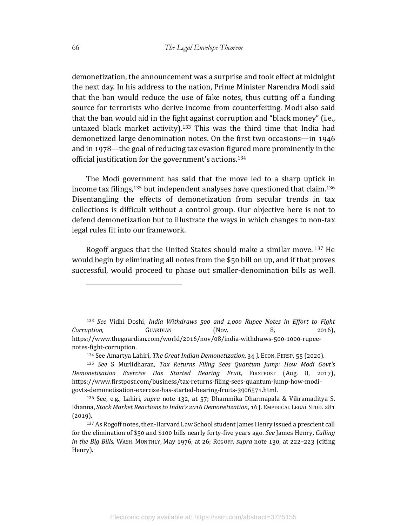demonetization, the announcement was a surprise and took effect at midnight the next day. In his address to the nation, Prime Minister Narendra Modi said that the ban would reduce the use of fake notes, thus cutting off a funding source for terrorists who derive income from counterfeiting. Modi also said that the ban would aid in the fight against corruption and "black money" (i.e., untaxed black market activity).<sup>133</sup> This was the third time that India had demonetized large denomination notes. On the first two occasions—in 1946 and in 1978—the goal of reducing tax evasion figured more prominently in the official justification for the government's actions.<sup>134</sup>

The Modi government has said that the move led to a sharp uptick in income tax filings,  $135$  but independent analyses have questioned that claim.  $136$ Disentangling the effects of demonetization from secular trends in tax collections is difficult without a control group. Our objective here is not to defend demonetization but to illustrate the ways in which changes to non-tax legal rules fit into our framework.

Rogoff argues that the United States should make a similar move.  $137$  He would begin by eliminating all notes from the  $$50$  bill on up, and if that proves successful, would proceed to phase out smaller-denomination bills as well.

<sup>&</sup>lt;sup>133</sup> See Vidhi Doshi, India Withdraws 500 and 1,000 Rupee Notes in Effort to Fight *Corruption*, **GUARDIAN** (Nov. 8, 2016). https://www.theguardian.com/world/2016/nov/08/india-withdraws-500-1000-rupeenotes-fight-corruption.

<sup>134</sup> See Amartya Lahiri, *The Great Indian Demonetization*, 34 J. ECON. PERSP. 55 (2020).

<sup>135</sup> See S Murlidharan, *Tax Returns Filing Sees Quantum Jump: How Modi Govt's Demonetisation Exercise Has Started Bearing Fruit*, FIRSTPOST (Aug. 8, 2017), https://www.firstpost.com/business/tax-returns-filing-sees-quantum-jump-how-modigovts-demonetisation-exercise-has-started-bearing-fruits-3906571.html.

 $136$  See, e.g., Lahiri, *supra* note 132, at 57; Dhammika Dharmapala & Vikramaditya S. Khanna, *Stock Market Reactions to India's 2016 Demonetization*, 16 J. EMPIRICAL LEGAL STUD. 281  $(2019).$ 

<sup>137</sup> As Rogoff notes, then-Harvard Law School student James Henry issued a prescient call for the elimination of \$50 and \$100 bills nearly forty-five years ago. *See* James Henry, *Calling in the Big Bills*, WASH. MONTHLY, May 1976, at 26; ROGOFF, *supra* note 130, at 222-223 (citing Henry).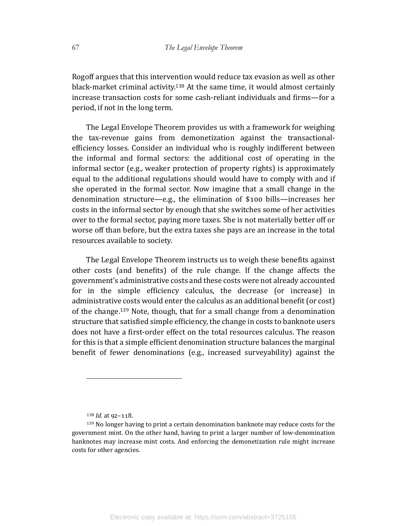Rogoff argues that this intervention would reduce tax evasion as well as other black-market criminal activity.<sup>138</sup> At the same time, it would almost certainly increase transaction costs for some cash-reliant individuals and firms-for a period, if not in the long term.

The Legal Envelope Theorem provides us with a framework for weighing the tax-revenue gains from demonetization against the transactionalefficiency losses. Consider an individual who is roughly indifferent between the informal and formal sectors: the additional cost of operating in the informal sector (e.g., weaker protection of property rights) is approximately equal to the additional regulations should would have to comply with and if she operated in the formal sector. Now imagine that a small change in the denomination structure—e.g., the elimination of \$100 bills—increases her costs in the informal sector by enough that she switches some of her activities over to the formal sector, paying more taxes. She is not materially better off or worse off than before, but the extra taxes she pays are an increase in the total resources available to society.

The Legal Envelope Theorem instructs us to weigh these benefits against other costs (and benefits) of the rule change. If the change affects the government's administrative costs and these costs were not already accounted for in the simple efficiency calculus, the decrease (or increase) in administrative costs would enter the calculus as an additional benefit (or cost) of the change.<sup>139</sup> Note, though, that for a small change from a denomination structure that satisfied simple efficiency, the change in costs to banknote users does not have a first-order effect on the total resources calculus. The reason for this is that a simple efficient denomination structure balances the marginal benefit of fewer denominations (e.g., increased surveyability) against the

 $138$  *Id.* at  $92 - 118$ .

<sup>139</sup> No longer having to print a certain denomination banknote may reduce costs for the government mint. On the other hand, having to print a larger number of low-denomination banknotes may increase mint costs. And enforcing the demonetization rule might increase costs for other agencies.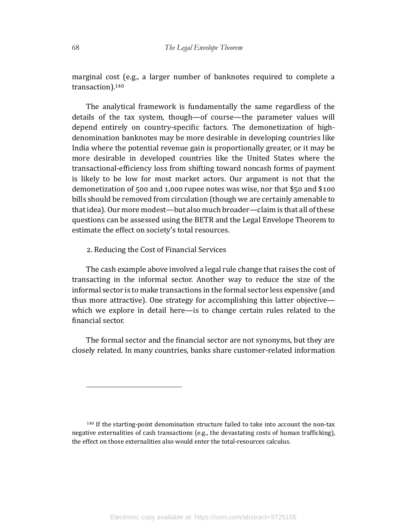marginal cost (e.g., a larger number of banknotes required to complete a transaction).140

The analytical framework is fundamentally the same regardless of the details of the tax system, though—of course—the parameter values will depend entirely on country-specific factors. The demonetization of highdenomination banknotes may be more desirable in developing countries like India where the potential revenue gain is proportionally greater, or it may be more desirable in developed countries like the United States where the transactional-efficiency loss from shifting toward noncash forms of payment is likely to be low for most market actors. Our argument is not that the demonetization of 500 and 1,000 rupee notes was wise, nor that \$50 and \$100 bills should be removed from circulation (though we are certainly amenable to that idea). Our more modest—but also much broader—claim is that all of these questions can be assessed using the BETR and the Legal Envelope Theorem to estimate the effect on society's total resources.

# 2. Reducing the Cost of Financial Services

The cash example above involved a legal rule change that raises the cost of transacting in the informal sector. Another way to reduce the size of the informal sector is to make transactions in the formal sector less expensive (and thus more attractive). One strategy for accomplishing this latter objective which we explore in detail here—is to change certain rules related to the financial sector.

The formal sector and the financial sector are not synonyms, but they are closely related. In many countries, banks share customer-related information

 $140$  If the starting-point denomination structure failed to take into account the non-tax negative externalities of cash transactions (e.g., the devastating costs of human trafficking), the effect on those externalities also would enter the total-resources calculus.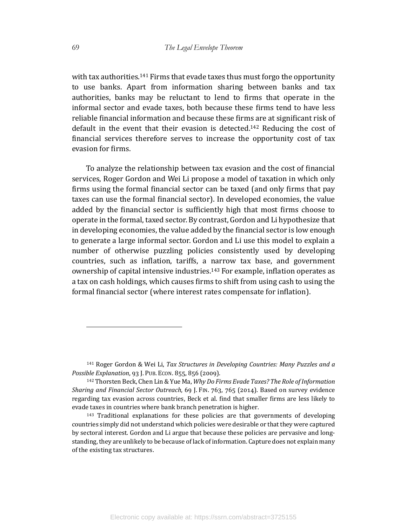with tax authorities.<sup>141</sup> Firms that evade taxes thus must forgo the opportunity to use banks. Apart from information sharing between banks and tax authorities, banks may be reluctant to lend to firms that operate in the informal sector and evade taxes, both because these firms tend to have less reliable financial information and because these firms are at significant risk of default in the event that their evasion is detected.<sup>142</sup> Reducing the cost of financial services therefore serves to increase the opportunity cost of tax evasion for firms.

To analyze the relationship between tax evasion and the cost of financial services, Roger Gordon and Wei Li propose a model of taxation in which only firms using the formal financial sector can be taxed (and only firms that pay taxes can use the formal financial sector). In developed economies, the value added by the financial sector is sufficiently high that most firms choose to operate in the formal, taxed sector. By contrast, Gordon and Li hypothesize that in developing economies, the value added by the financial sector is low enough to generate a large informal sector. Gordon and Li use this model to explain a number of otherwise puzzling policies consistently used by developing countries, such as inflation, tariffs, a narrow tax base, and government ownership of capital intensive industries.<sup>143</sup> For example, inflation operates as a tax on cash holdings, which causes firms to shift from using cash to using the formal financial sector (where interest rates compensate for inflation).

<sup>&</sup>lt;sup>141</sup> Roger Gordon & Wei Li, *Tax Structures in Developing Countries: Many Puzzles and a Possible Explanation*, 93 J. PUB. ECON. 855, 856 (2009).

<sup>&</sup>lt;sup>142</sup> Thorsten Beck, Chen Lin & Yue Ma, *Why Do Firms Evade Taxes? The Role of Information* Sharing and Financial Sector Outreach, 69 J. FIN. 763, 765 (2014). Based on survey evidence regarding tax evasion across countries, Beck et al. find that smaller firms are less likely to evade taxes in countries where bank branch penetration is higher.

<sup>143</sup> Traditional explanations for these policies are that governments of developing countries simply did not understand which policies were desirable or that they were captured by sectoral interest. Gordon and Li argue that because these policies are pervasive and longstanding, they are unlikely to be because of lack of information. Capture does not explain many of the existing tax structures.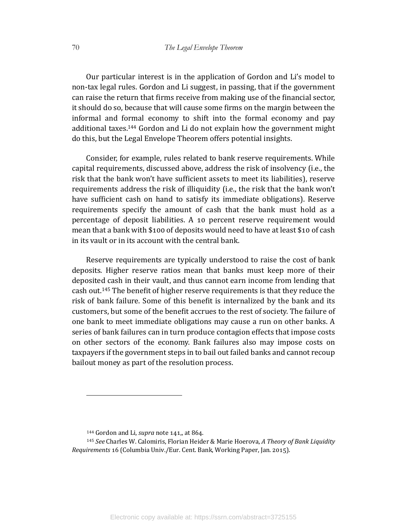Our particular interest is in the application of Gordon and Li's model to non-tax legal rules. Gordon and Li suggest, in passing, that if the government can raise the return that firms receive from making use of the financial sector, it should do so, because that will cause some firms on the margin between the informal and formal economy to shift into the formal economy and pay additional taxes.<sup>144</sup> Gordon and Li do not explain how the government might do this, but the Legal Envelope Theorem offers potential insights.

Consider, for example, rules related to bank reserve requirements. While capital requirements, discussed above, address the risk of insolvency (i.e., the risk that the bank won't have sufficient assets to meet its liabilities), reserve requirements address the risk of illiquidity (i.e., the risk that the bank won't have sufficient cash on hand to satisfy its immediate obligations). Reserve requirements specify the amount of cash that the bank must hold as a percentage of deposit liabilities. A 10 percent reserve requirement would mean that a bank with \$100 of deposits would need to have at least \$10 of cash in its vault or in its account with the central bank.

Reserve requirements are typically understood to raise the cost of bank deposits. Higher reserve ratios mean that banks must keep more of their deposited cash in their vault, and thus cannot earn income from lending that cash out.<sup>145</sup> The benefit of higher reserve requirements is that they reduce the risk of bank failure. Some of this benefit is internalized by the bank and its customers, but some of the benefit accrues to the rest of society. The failure of one bank to meet immediate obligations may cause a run on other banks. A series of bank failures can in turn produce contagion effects that impose costs on other sectors of the economy. Bank failures also may impose costs on taxpayers if the government steps in to bail out failed banks and cannot recoup bailout money as part of the resolution process.

<sup>&</sup>lt;sup>144</sup> Gordon and Li, *supra* note 141,, at 864.

<sup>145</sup> *See* Charles W. Calomiris, Florian Heider & Marie Hoerova, *A Theory of Bank Liquidity Requirements* 16 (Columbia Univ./Eur. Cent. Bank, Working Paper, Jan. 2015).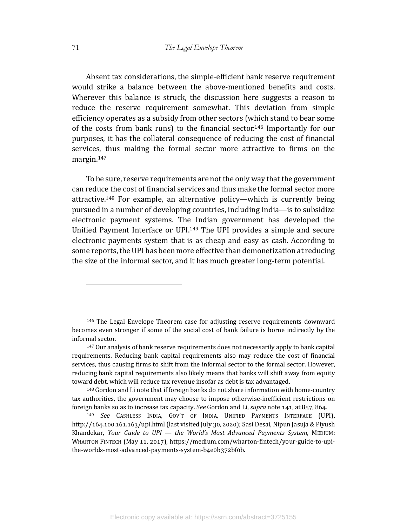Absent tax considerations, the simple-efficient bank reserve requirement would strike a balance between the above-mentioned benefits and costs. Wherever this balance is struck, the discussion here suggests a reason to reduce the reserve requirement somewhat. This deviation from simple efficiency operates as a subsidy from other sectors (which stand to bear some of the costs from bank runs) to the financial sector.<sup>146</sup> Importantly for our purposes, it has the collateral consequence of reducing the cost of financial services, thus making the formal sector more attractive to firms on the margin.147

To be sure, reserve requirements are not the only way that the government can reduce the cost of financial services and thus make the formal sector more attractive.<sup>148</sup> For example, an alternative policy—which is currently being pursued in a number of developing countries, including India—is to subsidize electronic payment systems. The Indian government has developed the Unified Payment Interface or UPI.<sup>149</sup> The UPI provides a simple and secure electronic payments system that is as cheap and easy as cash. According to some reports, the UPI has been more effective than demonetization at reducing the size of the informal sector, and it has much greater long-term potential.

<sup>&</sup>lt;sup>146</sup> The Legal Envelope Theorem case for adjusting reserve requirements downward becomes even stronger if some of the social cost of bank failure is borne indirectly by the informal sector.

<sup>&</sup>lt;sup>147</sup> Our analysis of bank reserve requirements does not necessarily apply to bank capital requirements. Reducing bank capital requirements also may reduce the cost of financial services, thus causing firms to shift from the informal sector to the formal sector. However, reducing bank capital requirements also likely means that banks will shift away from equity toward debt, which will reduce tax revenue insofar as debt is tax advantaged.

<sup>148</sup> Gordon and Li note that if foreign banks do not share information with home-country tax authorities, the government may choose to impose otherwise-inefficient restrictions on foreign banks so as to increase tax capacity. See Gordon and Li, supra note 141, at 857, 864.

<sup>149</sup> *See* CASHLESS INDIA, GOV'T OF INDIA, UNIFIED PAYMENTS INTERFACE (UPI), http://164.100.161.163/upi.html (last visited July 30, 2020); Sasi Desai, Nipun Jasuja & Piyush Khandekar, *Your Guide to UPI* — *the World's Most Advanced Payments System*, MEDIUM: WHARTON FINTECH (May 11, 2017), https://medium.com/wharton-fintech/your-guide-to-upithe-worlds-most-advanced-payments-system-b4e0b372bf0b.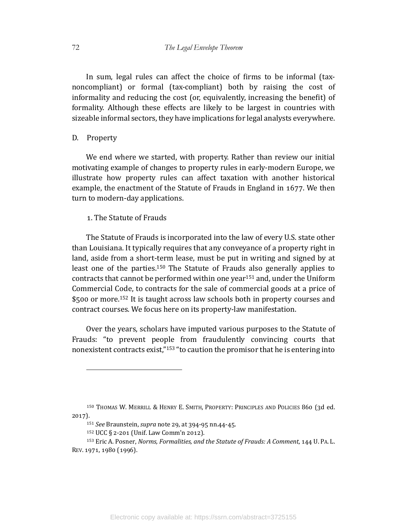In sum, legal rules can affect the choice of firms to be informal (taxnoncompliant) or formal (tax-compliant) both by raising the cost of informality and reducing the cost (or, equivalently, increasing the benefit) of formality. Although these effects are likely to be largest in countries with sizeable informal sectors, they have implications for legal analysts everywhere.

## D. Property

We end where we started, with property. Rather than review our initial motivating example of changes to property rules in early-modern Europe, we illustrate how property rules can affect taxation with another historical example, the enactment of the Statute of Frauds in England in 1677. We then turn to modern-day applications.

## 1. The Statute of Frauds

The Statute of Frauds is incorporated into the law of every U.S. state other than Louisiana. It typically requires that any conveyance of a property right in land, aside from a short-term lease, must be put in writing and signed by at least one of the parties.<sup>150</sup> The Statute of Frauds also generally applies to contracts that cannot be performed within one year<sup>151</sup> and, under the Uniform Commercial Code, to contracts for the sale of commercial goods at a price of  $$500$  or more.<sup>152</sup> It is taught across law schools both in property courses and contract courses. We focus here on its property-law manifestation.

Over the years, scholars have imputed various purposes to the Statute of Frauds: "to prevent people from fraudulently convincing courts that nonexistent contracts exist," $153$ " to caution the promisor that he is entering into

<sup>&</sup>lt;sup>150</sup> THOMAS W. MERRILL & HENRY E. SMITH, PROPERTY: PRINCIPLES AND POLICIES 860 (3d ed.  $2017$ ).

<sup>151</sup> *See* Braunstein, *supra* note 29, at 394-95 nn.44-45.

 $152$  UCC § 2-201 (Unif. Law Comm'n 2012).

<sup>&</sup>lt;sup>153</sup> Eric A. Posner, *Norms, Formalities, and the Statute of Frauds: A Comment,* 144 U. PA. L. REV. 1971, 1980 (1996).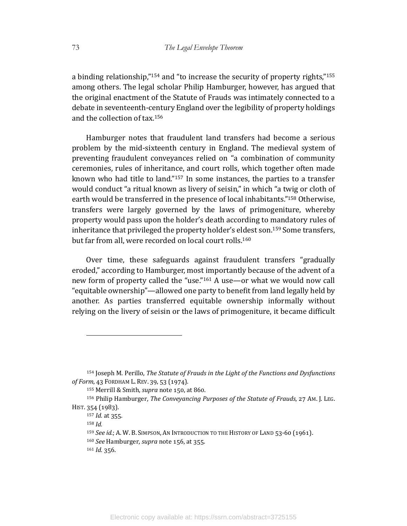a binding relationship,"<sup>154</sup> and "to increase the security of property rights,"<sup>155</sup> among others. The legal scholar Philip Hamburger, however, has argued that the original enactment of the Statute of Frauds was intimately connected to a debate in seventeenth-century England over the legibility of property holdings and the collection of tax. $156$ 

Hamburger notes that fraudulent land transfers had become a serious problem by the mid-sixteenth century in England. The medieval system of preventing fraudulent conveyances relied on "a combination of community ceremonies, rules of inheritance, and court rolls, which together often made known who had title to land." $157$  In some instances, the parties to a transfer would conduct "a ritual known as livery of seisin," in which "a twig or cloth of earth would be transferred in the presence of local inhabitants."<sup>158</sup> Otherwise, transfers were largely governed by the laws of primogeniture, whereby property would pass upon the holder's death according to mandatory rules of inheritance that privileged the property holder's eldest son.<sup>159</sup> Some transfers, but far from all, were recorded on local court rolls.<sup>160</sup>

Over time, these safeguards against fraudulent transfers "gradually eroded," according to Hamburger, most importantly because of the advent of a new form of property called the "use."<sup>161</sup> A use—or what we would now call "equitable ownership"—allowed one party to benefit from land legally held by another. As parties transferred equitable ownership informally without relying on the livery of seisin or the laws of primogeniture, it became difficult

<sup>&</sup>lt;sup>154</sup> Joseph M. Perillo, *The Statute of Frauds in the Light of the Functions and Dysfunctions of Form*, 43 FORDHAM L. REV. 39, 53 (1974).

<sup>155</sup> Merrill & Smith, *supra* note 150, at 860.

<sup>156</sup> Philip Hamburger, *The Conveyancing Purposes of the Statute of Frauds*, 27 Am. J. LEG. HIST. 354 (1983).

 $157$  *Id.* at 355.

<sup>158</sup> *Id.*

<sup>&</sup>lt;sup>159</sup> *See id.*; A. W. B. SIMPSON, AN INTRODUCTION TO THE HISTORY OF LAND 53-60 (1961).

<sup>&</sup>lt;sup>160</sup> See Hamburger, *supra* note 156, at 355.

 $161$  *Id.* 356.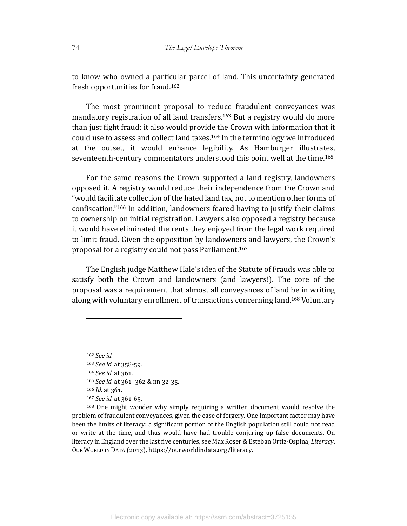to know who owned a particular parcel of land. This uncertainty generated fresh opportunities for fraud.<sup>162</sup>

The most prominent proposal to reduce fraudulent conveyances was mandatory registration of all land transfers.<sup>163</sup> But a registry would do more than just fight fraud: it also would provide the Crown with information that it could use to assess and collect land taxes.<sup>164</sup> In the terminology we introduced at the outset, it would enhance legibility. As Hamburger illustrates, seventeenth-century commentators understood this point well at the time.<sup>165</sup>

For the same reasons the Crown supported a land registry, landowners opposed it. A registry would reduce their independence from the Crown and "would facilitate collection of the hated land tax, not to mention other forms of confiscation."<sup>166</sup> In addition, landowners feared having to justify their claims to ownership on initial registration. Lawyers also opposed a registry because it would have eliminated the rents they enjoyed from the legal work required to limit fraud. Given the opposition by landowners and lawyers, the Crown's proposal for a registry could not pass Parliament.<sup>167</sup>

The English judge Matthew Hale's idea of the Statute of Frauds was able to satisfy both the Crown and landowners (and lawyers!). The core of the proposal was a requirement that almost all conveyances of land be in writing along with voluntary enrollment of transactions concerning land.<sup>168</sup> Voluntary

<sup>162</sup> *See id.* 163 *See id.* at 358-59. 164 *See id.* at 361. 165 *See id.* at 361-362 & nn.32-35. 166 *Id.* at 361. 167 *See id.* at 361-65.

 $168$  One might wonder why simply requiring a written document would resolve the problem of fraudulent conveyances, given the ease of forgery. One important factor may have been the limits of literacy: a significant portion of the English population still could not read or write at the time, and thus would have had trouble conjuring up false documents. On literacy in England over the last five centuries, see Max Roser & Esteban Ortiz-Ospina, *Literacy*, OUR WORLD IN DATA (2013), https://ourworldindata.org/literacy.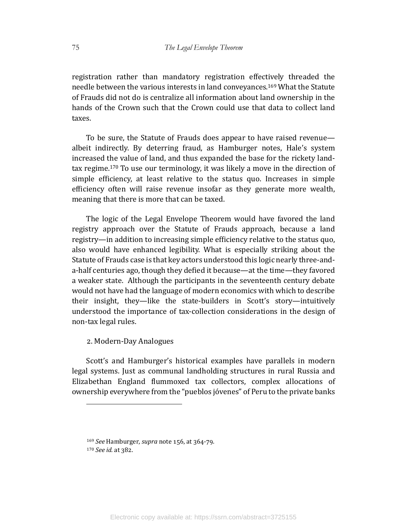registration rather than mandatory registration effectively threaded the needle between the various interests in land conveyances.<sup>169</sup> What the Statute of Frauds did not do is centralize all information about land ownership in the hands of the Crown such that the Crown could use that data to collect land taxes.

To be sure, the Statute of Frauds does appear to have raised revenue albeit indirectly. By deterring fraud, as Hamburger notes, Hale's system increased the value of land, and thus expanded the base for the rickety landtax regime.<sup>170</sup> To use our terminology, it was likely a move in the direction of simple efficiency, at least relative to the status quo. Increases in simple efficiency often will raise revenue insofar as they generate more wealth, meaning that there is more that can be taxed.

The logic of the Legal Envelope Theorem would have favored the land registry approach over the Statute of Frauds approach, because a land registry—in addition to increasing simple efficiency relative to the status quo, also would have enhanced legibility. What is especially striking about the Statute of Frauds case is that key actors understood this logic nearly three-anda-half centuries ago, though they defied it because—at the time—they favored a weaker state. Although the participants in the seventeenth century debate would not have had the language of modern economics with which to describe their insight, they—like the state-builders in Scott's story—intuitively understood the importance of tax-collection considerations in the design of non-tax legal rules.

## 2. Modern-Day Analogues

Scott's and Hamburger's historical examples have parallels in modern legal systems. Just as communal landholding structures in rural Russia and Elizabethan England flummoxed tax collectors, complex allocations of ownership everywhere from the "pueblos jóvenes" of Peru to the private banks

<sup>&</sup>lt;sup>169</sup> *See* Hamburger, *supra* note 156, at 364-79. 170 *See id.* at 382.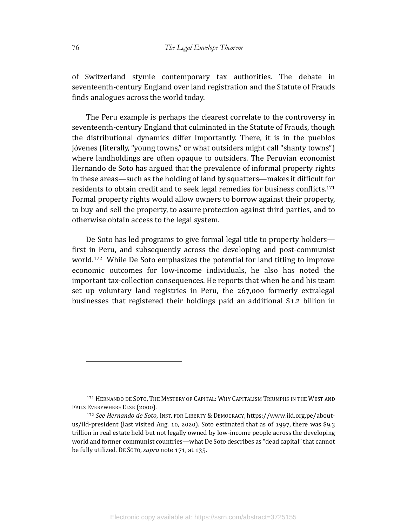of Switzerland stymie contemporary tax authorities. The debate in seventeenth-century England over land registration and the Statute of Frauds finds analogues across the world today.

The Peru example is perhaps the clearest correlate to the controversy in seventeenth-century England that culminated in the Statute of Frauds, though the distributional dynamics differ importantly. There, it is in the pueblos jóvenes (literally, "young towns," or what outsiders might call "shanty towns") where landholdings are often opaque to outsiders. The Peruvian economist Hernando de Soto has argued that the prevalence of informal property rights in these areas—such as the holding of land by squatters—makes it difficult for residents to obtain credit and to seek legal remedies for business conflicts.<sup>171</sup> Formal property rights would allow owners to borrow against their property, to buy and sell the property, to assure protection against third parties, and to otherwise obtain access to the legal system.

De Soto has led programs to give formal legal title to property holders first in Peru, and subsequently across the developing and post-communist world.<sup>172</sup> While De Soto emphasizes the potential for land titling to improve economic outcomes for low-income individuals, he also has noted the important tax-collection consequences. He reports that when he and his team set up voluntary land registries in Peru, the  $267,000$  formerly extralegal businesses that registered their holdings paid an additional  $$1.2$  billion in

<sup>171</sup> HERNANDO DE SOTO, THE MYSTERY OF CAPITAL: WHY CAPITALISM TRIUMPHS IN THE WEST AND FAILS EVERYWHERE ELSE (2000).

<sup>172</sup> See Hernando de Soto, INST. FOR LIBERTY & DEMOCRACY, https://www.ild.org.pe/aboutus/ild-president (last visited Aug. 10, 2020). Soto estimated that as of 1997, there was \$9.3 trillion in real estate held but not legally owned by low-income people across the developing world and former communist countries—what De Soto describes as "dead capital" that cannot be fully utilized. DE SOTO, *supra* note 171, at 135.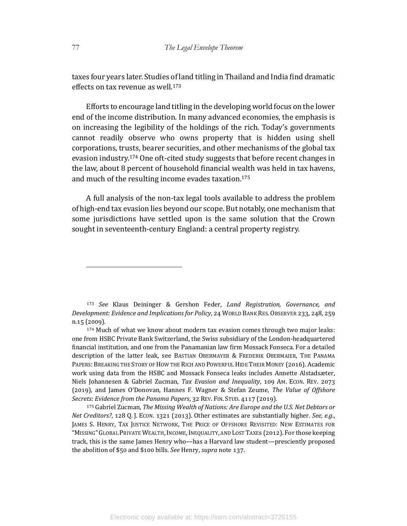taxes four years later. Studies of land titling in Thailand and India find dramatic effects on tax revenue as well. $173$ 

Efforts to encourage land titling in the developing world focus on the lower end of the income distribution. In many advanced economies, the emphasis is on increasing the legibility of the holdings of the rich. Today's governments cannot readily observe who owns property that is hidden using shell corporations, trusts, bearer securities, and other mechanisms of the global tax evasion industry.<sup>174</sup> One oft-cited study suggests that before recent changes in the law, about 8 percent of household financial wealth was held in tax havens, and much of the resulting income evades taxation.<sup>175</sup>

A full analysis of the non-tax legal tools available to address the problem of high-end tax evasion lies beyond our scope. But notably, one mechanism that some jurisdictions have settled upon is the same solution that the Crown sought in seventeenth-century England: a central property registry.

173 See Klaus Deininger & Gershon Feder, *Land Registration, Governance, and Development: Evidence and Implications for Policy*, 24 WORLD BANK RES. OBSERVER 233, 248, 259 n.15 (2009).

<sup>174</sup> Much of what we know about modern tax evasion comes through two major leaks: one from HSBC Private Bank Switzerland, the Swiss subsidiary of the London-headquartered financial institution, and one from the Panamanian law firm Mossack Fonseca. For a detailed description of the latter leak, see BASTIAN OBERMAYER & FREDERIK OBERMAIER, THE PANAMA PAPERS: BREAKING THE STORY OF HOW THE RICH AND POWERFUL HIDE THEIR MONEY (2016). Academic work using data from the HSBC and Mossack Fonseca leaks includes Annette Alstadsæter, Niels Johannesen & Gabriel Zucman, *Tax Evasion and Inequality*, 109 AM. ECON. REV. 2073 (2019), and James O'Donovan, Hannes F. Wagner & Stefan Zeume, *The Value of Offshore Secrets: Evidence from the Panama Papers*, 32 REV. FIN. STUD. 4117 (2019).

175 Gabriel Zucman, *The Missing Wealth of Nations: Are Europe and the U.S. Net Debtors or Net Creditors?*, 128 Q. J. Econ. 1321 (2013). Other estimates are substantially higher. See, e.g., JAMES S. HENRY, TAX JUSTICE NETWORK, THE PRICE OF OFFSHORE REVISITED: NEW ESTIMATES FOR "MISSING" GLOBAL PRIVATE WEALTH, INCOME, INEQUALITY, AND LOST TAXES (2012). For those keeping track, this is the same James Henry who—has a Harvard law student—presciently proposed the abolition of \$50 and \$100 bills. See Henry, *supra* note 137.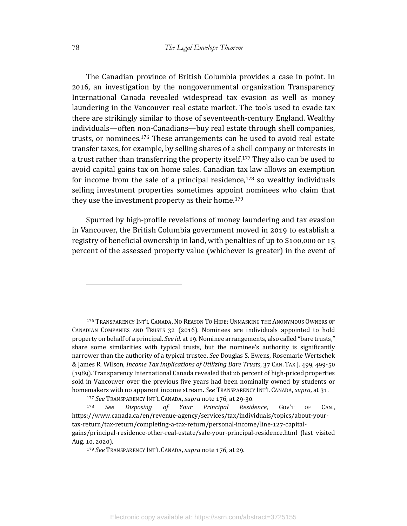The Canadian province of British Columbia provides a case in point. In 2016, an investigation by the nongovernmental organization Transparency International Canada revealed widespread tax evasion as well as money laundering in the Vancouver real estate market. The tools used to evade tax there are strikingly similar to those of seventeenth-century England. Wealthy individuals—often non-Canadians—buy real estate through shell companies, trusts, or nominees.<sup>176</sup> These arrangements can be used to avoid real estate transfer taxes, for example, by selling shares of a shell company or interests in a trust rather than transferring the property itself.<sup>177</sup> They also can be used to avoid capital gains tax on home sales. Canadian tax law allows an exemption for income from the sale of a principal residence, $178$  so wealthy individuals selling investment properties sometimes appoint nominees who claim that they use the investment property as their home.<sup>179</sup>

Spurred by high-profile revelations of money laundering and tax evasion in Vancouver, the British Columbia government moved in 2019 to establish a registry of beneficial ownership in land, with penalties of up to \$100,000 or 15 percent of the assessed property value (whichever is greater) in the event of

176 TRANSPARENCY INT'L CANADA, NO REASON TO HIDE: UNMASKING THE ANONYMOUS OWNERS OF CANADIAN COMPANIES AND TRUSTS 32 (2016). Nominees are individuals appointed to hold property on behalf of a principal. *See id.* at 19. Nominee arrangements, also called "bare trusts," share some similarities with typical trusts, but the nominee's authority is significantly narrower than the authority of a typical trustee. See Douglas S. Ewens, Rosemarie Wertschek & James R. Wilson, *Income Tax Implications of Utilizing Bare Trusts*, 37 CAN. TAX J. 499, 499-50 (1989). Transparency International Canada revealed that 26 percent of high-priced properties sold in Vancouver over the previous five years had been nominally owned by students or homemakers with no apparent income stream. *See* TRANSPARENCY INT'L CANADA, *supra*, at 31.

<sup>178</sup> *See Disposing of Your Principal Residence*, GOV'T OF CAN., https://www.canada.ca/en/revenue-agency/services/tax/individuals/topics/about-yourtax-return/tax-return/completing-a-tax-return/personal-income/line-127-capitalgains/principal-residence-other-real-estate/sale-your-principal-residence.html (last visited Aug. 10, 2020).

<sup>&</sup>lt;sup>177</sup> See TRANSPARENCY INT'L CANADA, *supra* note 176, at 29-30.

<sup>&</sup>lt;sup>179</sup> See TRANSPARENCY INT'L CANADA, *supra* note 176, at 29.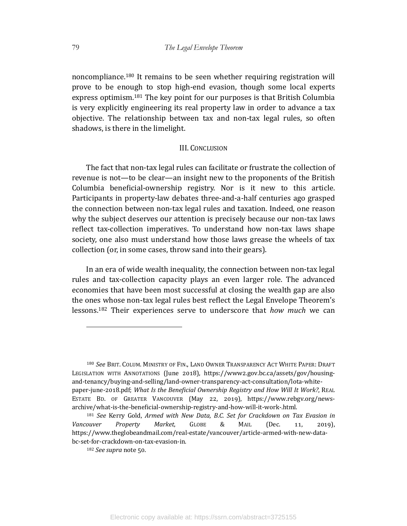noncompliance.<sup>180</sup> It remains to be seen whether requiring registration will prove to be enough to stop high-end evasion, though some local experts express optimism.<sup>181</sup> The key point for our purposes is that British Columbia is very explicitly engineering its real property law in order to advance a tax objective. The relationship between tax and non-tax legal rules, so often shadows, is there in the limelight.

## III. CONCLUSION

The fact that non-tax legal rules can facilitate or frustrate the collection of revenue is not—to be clear—an insight new to the proponents of the British Columbia beneficial-ownership registry. Nor is it new to this article. Participants in property-law debates three-and-a-half centuries ago grasped the connection between non-tax legal rules and taxation. Indeed, one reason why the subject deserves our attention is precisely because our non-tax laws reflect tax-collection imperatives. To understand how non-tax laws shape society, one also must understand how those laws grease the wheels of tax collection (or, in some cases, throw sand into their gears).

In an era of wide wealth inequality, the connection between non-tax legal rules and tax-collection capacity plays an even larger role. The advanced economies that have been most successful at closing the wealth gap are also the ones whose non-tax legal rules best reflect the Legal Envelope Theorem's lessons.<sup>182</sup> Their experiences serve to underscore that *how much* we can

<sup>180</sup> See Brit. Colum. MINISTRY OF FIN., LAND OWNER TRANSPARENCY ACT WHITE PAPER: DRAFT LEGISLATION WITH ANNOTATIONS (June 2018), https://www2.gov.bc.ca/assets/gov/housingand-tenancy/buying-and-selling/land-owner-transparency-act-consultation/lota-whitepaper-june-2018.pdf; What Is the Beneficial Ownership Registry and How Will It Work?, REAL ESTATE BD. OF GREATER VANCOUVER (May 22, 2019), https://www.rebgv.org/newsarchive/what-is-the-beneficial-ownership-registry-and-how-will-it-work-.html.

<sup>&</sup>lt;sup>181</sup> See Kerry Gold, Armed with New Data, B.C. Set for Crackdown on Tax Evasion in Vancouver Property Market, GLOBE & MAIL (Dec. 11, 2019), https://www.theglobeandmail.com/real-estate/vancouver/article-armed-with-new-databc-set-for-crackdown-on-tax-evasion-in. 

<sup>&</sup>lt;sup>182</sup> *See supra* note 50.